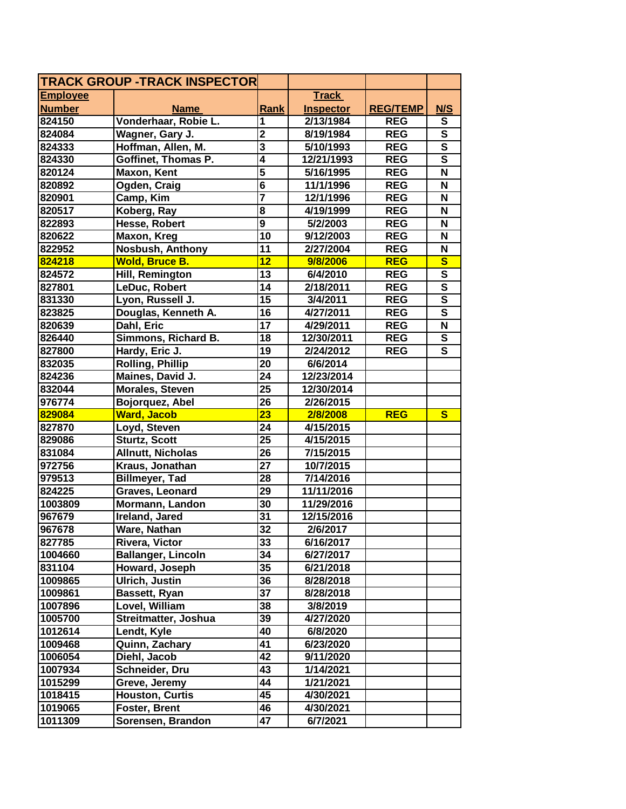| <b>TRACK GROUP -TRACK INSPECTOR</b> |                           |                         |                  |                 |                         |
|-------------------------------------|---------------------------|-------------------------|------------------|-----------------|-------------------------|
| <b>Employee</b>                     |                           |                         | <b>Track</b>     |                 |                         |
| <b>Number</b>                       | <b>Name</b>               | <b>Rank</b>             | <b>Inspector</b> | <b>REG/TEMP</b> | <b>N/S</b>              |
| 824150                              | Vonderhaar, Robie L.      | 1                       | 2/13/1984        | <b>REG</b>      | S                       |
| 824084                              | Wagner, Gary J.           | $\overline{\mathbf{2}}$ | 8/19/1984        | <b>REG</b>      | $\overline{\mathbf{s}}$ |
| 824333                              | Hoffman, Allen, M.        | $\overline{\mathbf{3}}$ | 5/10/1993        | <b>REG</b>      | $\overline{\mathsf{s}}$ |
| 824330                              | Goffinet, Thomas P.       | $\overline{\bf{4}}$     | 12/21/1993       | <b>REG</b>      | $\overline{\mathsf{s}}$ |
| 820124                              | Maxon, Kent               | 5                       | 5/16/1995        | <b>REG</b>      | $\mathbf N$             |
| 820892                              | Ogden, Craig              | $6\phantom{a}$          | 11/1/1996        | <b>REG</b>      | N                       |
| 820901                              | Camp, Kim                 | $\overline{\mathbf{7}}$ | 12/1/1996        | <b>REG</b>      | N                       |
| 820517                              | Koberg, Ray               | 8                       | 4/19/1999        | <b>REG</b>      | N                       |
| 822893                              | Hesse, Robert             | $\overline{9}$          | 5/2/2003         | <b>REG</b>      | N                       |
| 820622                              | Maxon, Kreg               | 10                      | 9/12/2003        | <b>REG</b>      | N                       |
| 822952                              | Nosbush, Anthony          | 11                      | 2/27/2004        | <b>REG</b>      | N                       |
| 824218                              | <b>Wold, Bruce B.</b>     | $\overline{12}$         | 9/8/2006         | <b>REG</b>      | $\overline{\mathbf{s}}$ |
| 824572                              | Hill, Remington           | 13                      | 6/4/2010         | <b>REG</b>      | $\overline{\mathbf{s}}$ |
| 827801                              | LeDuc, Robert             | 14                      | 2/18/2011        | <b>REG</b>      | $\overline{\mathbf{s}}$ |
| 831330                              | Lyon, Russell J.          | 15                      | 3/4/2011         | <b>REG</b>      | $\overline{\mathbf{s}}$ |
| 823825                              | Douglas, Kenneth A.       | $\overline{16}$         | 4/27/2011        | <b>REG</b>      | $\overline{\mathsf{s}}$ |
| 820639                              | Dahl, Eric                | 17                      | 4/29/2011        | <b>REG</b>      | $\overline{\mathsf{N}}$ |
| 826440                              | Simmons, Richard B.       | 18                      | 12/30/2011       | <b>REG</b>      | $\overline{\mathsf{s}}$ |
| 827800                              | Hardy, Eric J.            | 19                      | 2/24/2012        | <b>REG</b>      | $\overline{\mathbf{s}}$ |
| 832035                              | <b>Rolling, Phillip</b>   | 20                      | 6/6/2014         |                 |                         |
| 824236                              | Maines, David J.          | 24                      | 12/23/2014       |                 |                         |
| 832044                              | <b>Morales, Steven</b>    | 25                      | 12/30/2014       |                 |                         |
| 976774                              | Bojorquez, Abel           | 26                      | 2/26/2015        |                 |                         |
| 829084                              | <b>Ward, Jacob</b>        | 23                      | 2/8/2008         | <b>REG</b>      | $\mathbf{s}$            |
| 827870                              | Loyd, Steven              | 24                      | 4/15/2015        |                 |                         |
| 829086                              | <b>Sturtz, Scott</b>      | 25                      | 4/15/2015        |                 |                         |
| 831084                              | <b>Allnutt, Nicholas</b>  | 26                      | 7/15/2015        |                 |                         |
| 972756                              | Kraus, Jonathan           | $\overline{27}$         | 10/7/2015        |                 |                         |
| 979513                              | <b>Billmeyer, Tad</b>     | 28                      | 7/14/2016        |                 |                         |
| 824225                              | Graves, Leonard           | 29                      | 11/11/2016       |                 |                         |
| 1003809                             | Mormann, Landon           | 30                      | 11/29/2016       |                 |                         |
| 967679                              | Ireland, Jared            | 31                      | 12/15/2016       |                 |                         |
| 967678                              | Ware, Nathan              | $\overline{32}$         | 2/6/2017         |                 |                         |
| 827785                              | Rivera, Victor            | 33                      | 6/16/2017        |                 |                         |
| 1004660                             | <b>Ballanger, Lincoln</b> | 34                      | 6/27/2017        |                 |                         |
| 831104                              | Howard, Joseph            | 35                      | 6/21/2018        |                 |                         |
| 1009865                             | <b>Ulrich, Justin</b>     | 36                      | 8/28/2018        |                 |                         |
| 1009861                             | Bassett, Ryan             | 37                      | 8/28/2018        |                 |                         |
| 1007896                             | Lovel, William            | 38                      | 3/8/2019         |                 |                         |
| 1005700                             | Streitmatter, Joshua      | 39                      | 4/27/2020        |                 |                         |
| 1012614                             | Lendt, Kyle               | 40                      | 6/8/2020         |                 |                         |
| 1009468                             | Quinn, Zachary            | 41                      | 6/23/2020        |                 |                         |
| 1006054                             | Diehl, Jacob              | 42                      | 9/11/2020        |                 |                         |
| 1007934                             | Schneider, Dru            | 43                      | 1/14/2021        |                 |                         |
| 1015299                             | Greve, Jeremy             | 44                      | 1/21/2021        |                 |                         |
| 1018415                             | <b>Houston, Curtis</b>    | 45                      | 4/30/2021        |                 |                         |
| 1019065                             | <b>Foster, Brent</b>      | 46                      | 4/30/2021        |                 |                         |
| 1011309                             | Sorensen, Brandon         | 47                      | 6/7/2021         |                 |                         |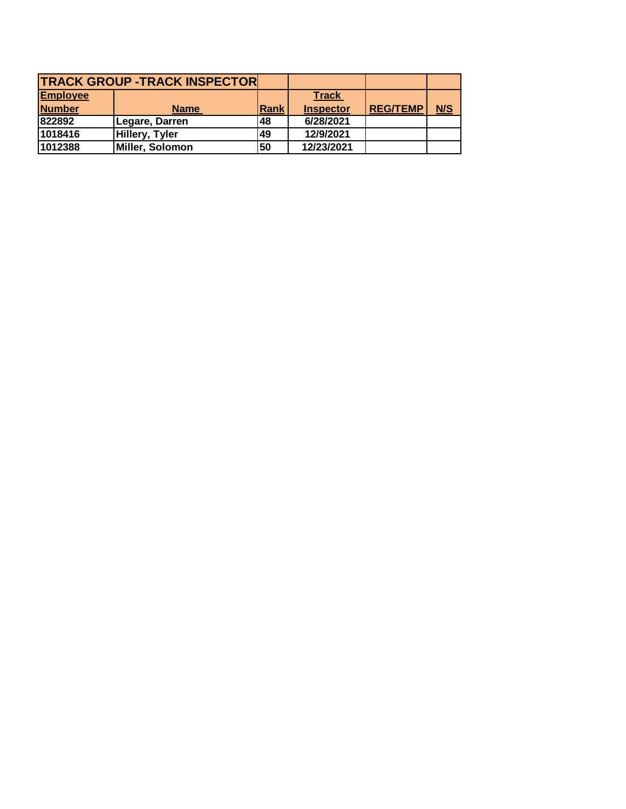|                 | <b>TRACK GROUP -TRACK INSPECTORL</b> |      |                  |                 |     |
|-----------------|--------------------------------------|------|------------------|-----------------|-----|
| <b>Employee</b> |                                      |      | <b>Track</b>     |                 |     |
| <b>Number</b>   | <b>Name</b>                          | Rank | <b>Inspector</b> | <b>REG/TEMP</b> | N/S |
| 822892          | Legare, Darren                       | 48   | 6/28/2021        |                 |     |
| 1018416         | <b>Hillery, Tyler</b>                | 49   | 12/9/2021        |                 |     |
| 1012388         | Miller, Solomon                      | 50   | 12/23/2021       |                 |     |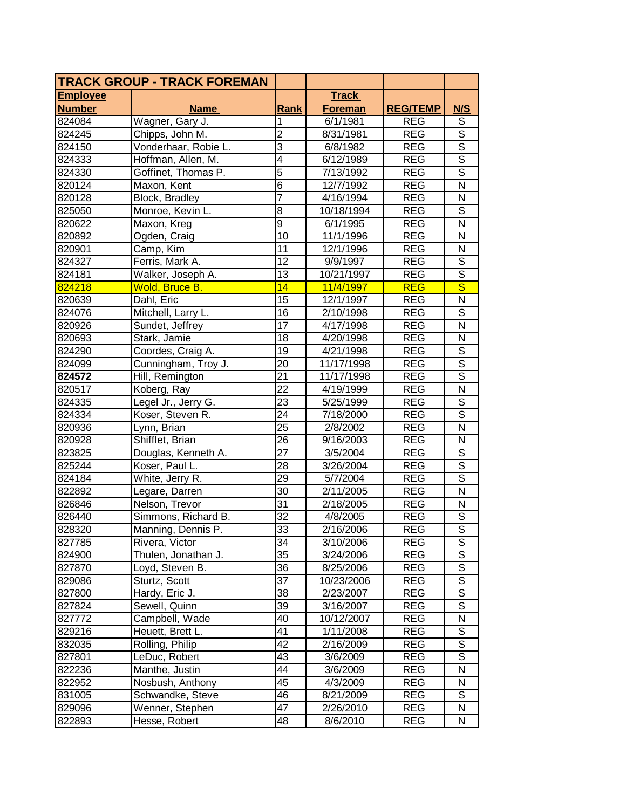|                 | <b>TRACK GROUP - TRACK FOREMAN</b> |                 |                |                 |                          |
|-----------------|------------------------------------|-----------------|----------------|-----------------|--------------------------|
| <b>Employee</b> |                                    |                 | <b>Track</b>   |                 |                          |
| <b>Number</b>   | <b>Name</b>                        | <b>Rank</b>     | <b>Foreman</b> | <b>REG/TEMP</b> | N/S                      |
| 824084          | Wagner, Gary J.                    | 1               | 6/1/1981       | <b>REG</b>      | S                        |
| 824245          | Chipps, John M.                    | $\overline{2}$  | 8/31/1981      | <b>REG</b>      | $\overline{\mathsf{s}}$  |
| 824150          | Vonderhaar, Robie L.               | $\overline{3}$  | 6/8/1982       | <b>REG</b>      | $\overline{s}$           |
| 824333          | Hoffman, Allen, M.                 | $\overline{4}$  | 6/12/1989      | <b>REG</b>      | $\overline{\mathsf{s}}$  |
| 824330          | Goffinet, Thomas P.                | $\overline{5}$  | 7/13/1992      | <b>REG</b>      | $\overline{s}$           |
| 820124          | Maxon, Kent                        | $\overline{6}$  | 12/7/1992      | <b>REG</b>      | $\overline{\mathsf{N}}$  |
| 820128          | Block, Bradley                     | $\overline{7}$  | 4/16/1994      | <b>REG</b>      | N                        |
| 825050          | Monroe, Kevin L.                   | 8               | 10/18/1994     | <b>REG</b>      | S                        |
| 820622          | Maxon, Kreg                        | $\overline{9}$  | 6/1/1995       | <b>REG</b>      | N                        |
| 820892          | Ogden, Craig                       | $\overline{10}$ | 11/1/1996      | <b>REG</b>      | N                        |
| 820901          | Camp, Kim                          | 11              | 12/1/1996      | <b>REG</b>      | N                        |
| 824327          | Ferris, Mark A.                    | $\overline{12}$ | 9/9/1997       | <b>REG</b>      | $\overline{s}$           |
| 824181          | Walker, Joseph A.                  | $\overline{13}$ | 10/21/1997     | <b>REG</b>      | $\overline{\mathsf{s}}$  |
| 824218          | Wold, Bruce B.                     | 14              | 11/4/1997      | <b>REG</b>      | $\overline{\mathsf{s}}$  |
| 820639          | Dahl, Eric                         | $\overline{15}$ | 12/1/1997      | <b>REG</b>      | N                        |
| 824076          | Mitchell, Larry L.                 | 16              | 2/10/1998      | <b>REG</b>      | $\overline{\mathsf{s}}$  |
| 820926          | Sundet, Jeffrey                    | 17              | 4/17/1998      | <b>REG</b>      | $\overline{\mathsf{N}}$  |
| 820693          | Stark, Jamie                       | 18              | 4/20/1998      | <b>REG</b>      | N                        |
| 824290          | Coordes, Craig A.                  | 19              | 4/21/1998      | <b>REG</b>      | S                        |
| 824099          | Cunningham, Troy J.                | 20              | 11/17/1998     | <b>REG</b>      | $\overline{\mathsf{s}}$  |
| 824572          | Hill, Remington                    | 21              | 11/17/1998     | <b>REG</b>      | $\overline{\mathsf{s}}$  |
| 820517          | Koberg, Ray                        | 22              | 4/19/1999      | <b>REG</b>      | N                        |
| 824335          | Legel Jr., Jerry G.                | 23              | 5/25/1999      | <b>REG</b>      | $\overline{s}$           |
| 824334          | Koser, Steven R.                   | 24              | 7/18/2000      | <b>REG</b>      | $\overline{\mathsf{s}}$  |
| 820936          | Lynn, Brian                        | $\overline{25}$ | 2/8/2002       | <b>REG</b>      | $\overline{\mathsf{N}}$  |
| 820928          | Shifflet, Brian                    | 26              | 9/16/2003      | <b>REG</b>      | N                        |
| 823825          | Douglas, Kenneth A.                | 27              | 3/5/2004       | <b>REG</b>      | $\overline{s}$           |
| 825244          | Koser, Paul L.                     | $\overline{28}$ | 3/26/2004      | <b>REG</b>      | $\overline{s}$           |
| 824184          | White, Jerry R.                    | 29              | 5/7/2004       | <b>REG</b>      | $\overline{s}$           |
| 822892          | Legare, Darren                     | 30              | 2/11/2005      | <b>REG</b>      | N                        |
| 826846          | Nelson, Trevor                     | 31              | 2/18/2005      | <b>REG</b>      | N                        |
| 826440          | Simmons, Richard B.                | 32              | 4/8/2005       | <b>REG</b>      | $\overline{S}$           |
| 828320          | Manning, Dennis P                  | $\overline{33}$ | 2/16/2006      | <b>REG</b>      | $\overline{\mathsf{s}}$  |
| 827785          | Rivera, Victor                     | 34              | 3/10/2006      | <b>REG</b>      | S                        |
| 824900          | Thulen, Jonathan J.                | 35              | 3/24/2006      | <b>REG</b>      | S                        |
| 827870          | Loyd, Steven B.                    | 36              | 8/25/2006      | <b>REG</b>      | $\overline{s}$           |
| 829086          | Sturtz, Scott                      | 37              | 10/23/2006     | <b>REG</b>      | $\overline{\mathsf{s}}$  |
| 827800          | Hardy, Eric J.                     | 38              | 2/23/2007      | REG             | $\overline{\mathcal{S}}$ |
| 827824          | Sewell, Quinn                      | 39              | 3/16/2007      | <b>REG</b>      | $\overline{s}$           |
| 827772          | Campbell, Wade                     | 40              | 10/12/2007     | <b>REG</b>      | N                        |
| 829216          | Heuett, Brett L.                   | 41              | 1/11/2008      | <b>REG</b>      | $\mathbb S$              |
| 832035          | Rolling, Philip                    | 42              | 2/16/2009      | <b>REG</b>      | $\overline{\mathsf{s}}$  |
| 827801          | LeDuc, Robert                      | 43              | 3/6/2009       | <b>REG</b>      | $\overline{s}$           |
| 822236          | Manthe, Justin                     | 44              | 3/6/2009       | REG             | N                        |
| 822952          | Nosbush, Anthony                   | 45              | 4/3/2009       | <b>REG</b>      | N                        |
| 831005          | Schwandke, Steve                   | 46              | 8/21/2009      | <b>REG</b>      | S                        |
| 829096          | Wenner, Stephen                    | 47              | 2/26/2010      | <b>REG</b>      | N                        |
| 822893          | Hesse, Robert                      | 48              | 8/6/2010       | <b>REG</b>      | N                        |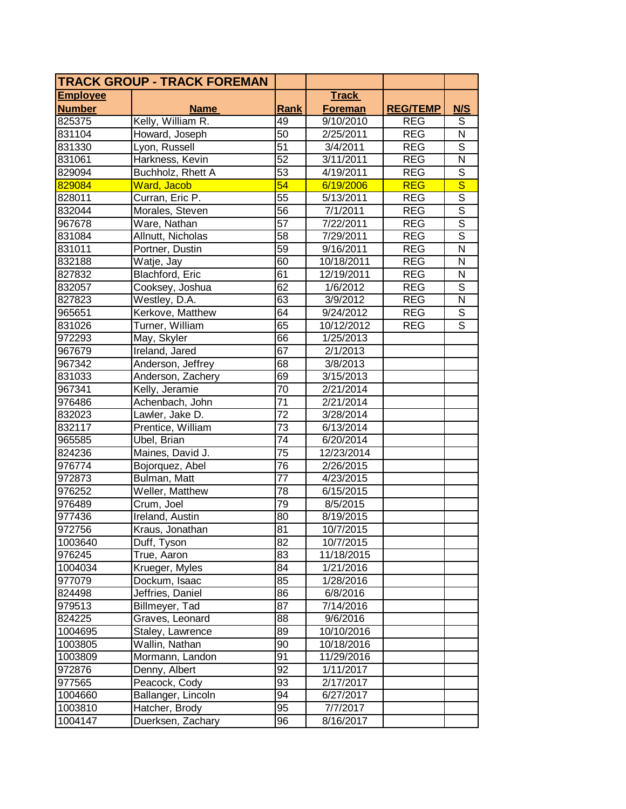|                 | <b>TRACK GROUP - TRACK FOREMAN</b> |                 |                |                 |                         |
|-----------------|------------------------------------|-----------------|----------------|-----------------|-------------------------|
| <b>Employee</b> |                                    |                 | <b>Track</b>   |                 |                         |
| <b>Number</b>   | <b>Name</b>                        | Rank            | <b>Foreman</b> | <b>REG/TEMP</b> | N/S                     |
| 825375          | Kelly, William R.                  | 49              | 9/10/2010      | <b>REG</b>      | S                       |
| 831104          | Howard, Joseph                     | 50              | 2/25/2011      | <b>REG</b>      | $\mathsf{N}$            |
| 831330          | Lyon, Russell                      | $\overline{51}$ | 3/4/2011       | <b>REG</b>      | $\overline{\mathsf{s}}$ |
| 831061          | Harkness, Kevin                    | $\overline{52}$ | 3/11/2011      | <b>REG</b>      | $\overline{\mathsf{N}}$ |
| 829094          | Buchholz, Rhett A                  | 53              | 4/19/2011      | <b>REG</b>      | $\overline{s}$          |
| 829084          | Ward, Jacob                        | $\overline{54}$ | 6/19/2006      | <b>REG</b>      | $\overline{\mathsf{s}}$ |
| 828011          | Curran, Eric P.                    | 55              | 5/13/2011      | <b>REG</b>      | $\overline{S}$          |
| 832044          | Morales, Steven                    | 56              | 7/1/2011       | <b>REG</b>      | $\mathsf S$             |
| 967678          | Ware, Nathan                       | $\overline{57}$ | 7/22/2011      | <b>REG</b>      | $\overline{\mathsf{s}}$ |
| 831084          | Allnutt, Nicholas                  | 58              | 7/29/2011      | <b>REG</b>      | $\overline{\mathsf{s}}$ |
| 831011          | Portner, Dustin                    | 59              | 9/16/2011      | <b>REG</b>      | $\overline{\mathsf{N}}$ |
| 832188          | Watje, Jay                         | 60              | 10/18/2011     | <b>REG</b>      | N                       |
| 827832          | <b>Blachford, Eric</b>             | 61              | 12/19/2011     | <b>REG</b>      | N                       |
| 832057          | Cooksey, Joshua                    | 62              | 1/6/2012       | <b>REG</b>      | $\overline{s}$          |
| 827823          | Westley, D.A.                      | 63              | 3/9/2012       | <b>REG</b>      | N                       |
| 965651          | Kerkove, Matthew                   | 64              | 9/24/2012      | <b>REG</b>      | $\overline{s}$          |
| 831026          | Turner, William                    | 65              | 10/12/2012     | <b>REG</b>      | $\overline{\mathsf{s}}$ |
| 972293          | May, Skyler                        | 66              | 1/25/2013      |                 |                         |
| 967679          | <b>Ireland</b> , Jared             | 67              | 2/1/2013       |                 |                         |
| 967342          | Anderson, Jeffrey                  | 68              | 3/8/2013       |                 |                         |
| 831033          | Anderson, Zachery                  | 69              | 3/15/2013      |                 |                         |
| 967341          | Kelly, Jeramie                     | 70              | 2/21/2014      |                 |                         |
| 976486          | Achenbach, John                    | $\overline{71}$ | 2/21/2014      |                 |                         |
| 832023          | Lawler, Jake D.                    | $\overline{72}$ | 3/28/2014      |                 |                         |
| 832117          | Prentice, William                  | $\overline{73}$ | 6/13/2014      |                 |                         |
| 965585          | Ubel, Brian                        | 74              | 6/20/2014      |                 |                         |
| 824236          | Maines, David J.                   | $\overline{75}$ | 12/23/2014     |                 |                         |
| 976774          | Bojorquez, Abel                    | $\overline{76}$ | 2/26/2015      |                 |                         |
| 972873          | Bulman, Matt                       | 77              | 4/23/2015      |                 |                         |
| 976252          | Weller, Matthew                    | 78              | 6/15/2015      |                 |                         |
| 976489          | Crum, Joel                         | 79              | 8/5/2015       |                 |                         |
| 977436          | Ireland, Austin                    | 80              | 8/19/2015      |                 |                         |
| 972756          | Kraus, Jonathan                    | $\overline{81}$ | 10/7/2015      |                 |                         |
| 1003640         | Duff, Tyson                        | 82              | 10/7/2015      |                 |                         |
| 976245          | True, Aaron                        | 83              | 11/18/2015     |                 |                         |
| 1004034         | Krueger, Myles                     | 84              | 1/21/2016      |                 |                         |
| 977079          | Dockum, Isaac                      | 85              | 1/28/2016      |                 |                         |
| 824498          | Jeffries, Daniel                   | 86              | 6/8/2016       |                 |                         |
| 979513          | Billmeyer, Tad                     | 87              | 7/14/2016      |                 |                         |
| 824225          | Graves, Leonard                    | 88              | 9/6/2016       |                 |                         |
| 1004695         | Staley, Lawrence                   | 89              | 10/10/2016     |                 |                         |
| 1003805         | Wallin, Nathan                     | 90              | 10/18/2016     |                 |                         |
| 1003809         | Mormann, Landon                    | 91              | 11/29/2016     |                 |                         |
| 972876          | Denny, Albert                      | 92              | 1/11/2017      |                 |                         |
| 977565          | Peacock, Cody                      | 93              | 2/17/2017      |                 |                         |
| 1004660         | Ballanger, Lincoln                 | 94              | 6/27/2017      |                 |                         |
| 1003810         | Hatcher, Brody                     | 95              | 7/7/2017       |                 |                         |
| 1004147         | Duerksen, Zachary                  | 96              | 8/16/2017      |                 |                         |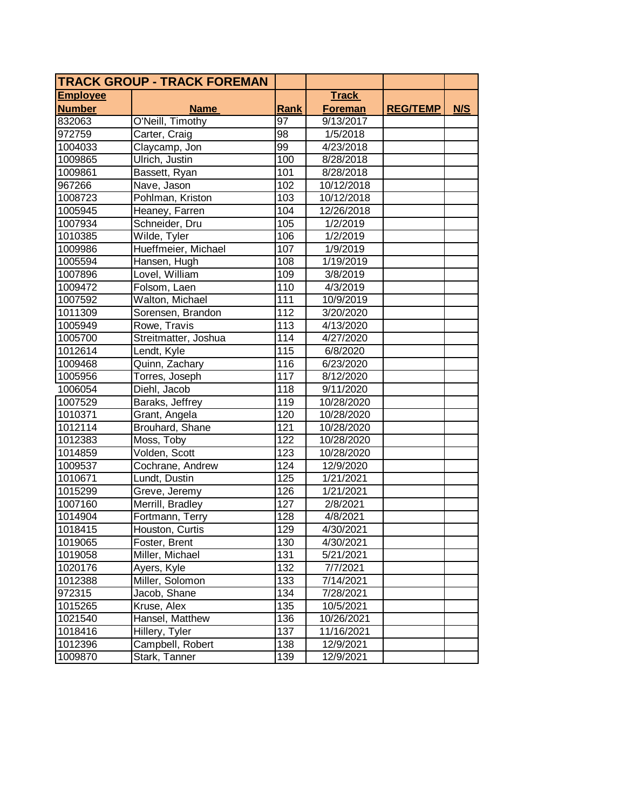|                 | <b>TRACK GROUP - TRACK FOREMAN</b> |                 |                |                 |     |
|-----------------|------------------------------------|-----------------|----------------|-----------------|-----|
| <b>Employee</b> |                                    |                 | <b>Track</b>   |                 |     |
| <b>Number</b>   | <b>Name</b>                        | Rank            | <b>Foreman</b> | <b>REG/TEMP</b> | N/S |
| 832063          | O'Neill, Timothy                   | $\overline{97}$ | 9/13/2017      |                 |     |
| 972759          | Carter, Craig                      | 98              | 1/5/2018       |                 |     |
| 1004033         | Claycamp, Jon                      | 99              | 4/23/2018      |                 |     |
| 1009865         | Ulrich, Justin                     | 100             | 8/28/2018      |                 |     |
| 1009861         | Bassett, Ryan                      | 101             | 8/28/2018      |                 |     |
| 967266          | Nave, Jason                        | 102             | 10/12/2018     |                 |     |
| 1008723         | Pohlman, Kriston                   | 103             | 10/12/2018     |                 |     |
| 1005945         | Heaney, Farren                     | 104             | 12/26/2018     |                 |     |
| 1007934         | Schneider, Dru                     | 105             | 1/2/2019       |                 |     |
| 1010385         | Wilde, Tyler                       | 106             | 1/2/2019       |                 |     |
| 1009986         | Hueffmeier, Michael                | 107             | 1/9/2019       |                 |     |
| 1005594         | Hansen, Hugh                       | 108             | 1/19/2019      |                 |     |
| 1007896         | Lovel, William                     | 109             | 3/8/2019       |                 |     |
| 1009472         | Folsom, Laen                       | 110             | 4/3/2019       |                 |     |
| 1007592         | Walton, Michael                    | 111             | 10/9/2019      |                 |     |
| 1011309         | Sorensen, Brandon                  | 112             | 3/20/2020      |                 |     |
| 1005949         | Rowe, Travis                       | 113             | 4/13/2020      |                 |     |
| 1005700         | Streitmatter, Joshua               | 114             | 4/27/2020      |                 |     |
| 1012614         | Lendt, Kyle                        | 115             | 6/8/2020       |                 |     |
| 1009468         | Quinn, Zachary                     | 116             | 6/23/2020      |                 |     |
| 1005956         | Torres, Joseph                     | 117             | 8/12/2020      |                 |     |
| 1006054         | Diehl, Jacob                       | 118             | 9/11/2020      |                 |     |
| 1007529         | Baraks, Jeffrey                    | 119             | 10/28/2020     |                 |     |
| 1010371         | Grant, Angela                      | 120             | 10/28/2020     |                 |     |
| 1012114         | Brouhard, Shane                    | 121             | 10/28/2020     |                 |     |
| 1012383         | Moss, Toby                         | 122             | 10/28/2020     |                 |     |
| 1014859         | Volden, Scott                      | 123             | 10/28/2020     |                 |     |
| 1009537         | Cochrane, Andrew                   | 124             | 12/9/2020      |                 |     |
| 1010671         | Lundt, Dustin                      | 125             | 1/21/2021      |                 |     |
| 1015299         | Greve, Jeremy                      | 126             | 1/21/2021      |                 |     |
| 1007160         | Merrill, Bradley                   | 127             | 2/8/2021       |                 |     |
| 1014904         | Fortmann, Terry                    | 128             | 4/8/2021       |                 |     |
| 1018415         | Houston, Curtis                    | 129             | 4/30/2021      |                 |     |
| 1019065         | Foster, Brent                      | 130             | 4/30/2021      |                 |     |
| 1019058         | Miller, Michael                    | 131             | 5/21/2021      |                 |     |
| 1020176         | Ayers, Kyle                        | 132             | 7/7/2021       |                 |     |
| 1012388         | Miller, Solomon                    | 133             | 7/14/2021      |                 |     |
| 972315          | Jacob, Shane                       | 134             | 7/28/2021      |                 |     |
| 1015265         | Kruse, Alex                        | 135             | 10/5/2021      |                 |     |
| 1021540         | Hansel, Matthew                    | 136             | 10/26/2021     |                 |     |
| 1018416         | Hillery, Tyler                     | 137             | 11/16/2021     |                 |     |
| 1012396         | Campbell, Robert                   | 138             | 12/9/2021      |                 |     |
| 1009870         | Stark, Tanner                      | 139             | 12/9/2021      |                 |     |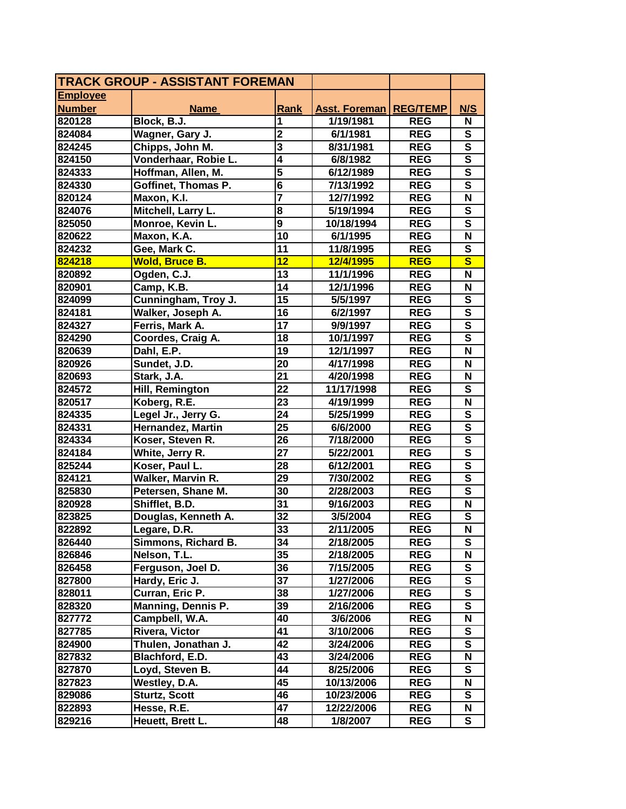| <b>TRACK GROUP - ASSISTANT FOREMAN</b> |                           |                         |                      |                 |                           |
|----------------------------------------|---------------------------|-------------------------|----------------------|-----------------|---------------------------|
| <b>Employee</b>                        |                           |                         |                      |                 |                           |
| <b>Number</b>                          | <b>Name</b>               | Rank                    | <b>Asst. Foreman</b> | <b>REG/TEMP</b> | N/S                       |
| 820128                                 | Block, B.J.               | 1                       | 1/19/1981            | <b>REG</b>      | N                         |
| 824084                                 | Wagner, Gary J.           | $\overline{2}$          | 6/1/1981             | <b>REG</b>      | ${\bf S}$                 |
| 824245                                 | Chipps, John M.           | $\overline{\mathbf{3}}$ | 8/31/1981            | <b>REG</b>      | $\overline{\mathsf{s}}$   |
| 824150                                 | Vonderhaar, Robie L.      | $\overline{4}$          | 6/8/1982             | <b>REG</b>      | $\overline{\mathsf{s}}$   |
| 824333                                 | Hoffman, Allen, M.        | 5                       | 6/12/1989            | <b>REG</b>      | $\overline{\mathbf{s}}$   |
| 824330                                 | Goffinet, Thomas P.       | $\overline{\mathbf{6}}$ | 7/13/1992            | <b>REG</b>      | ${\bf S}$                 |
| 820124                                 | Maxon, K.I.               |                         | 12/7/1992            | <b>REG</b>      | N                         |
| 824076                                 | Mitchell, Larry L.        | 8                       | 5/19/1994            | <b>REG</b>      | S                         |
| 825050                                 | Monroe, Kevin L.          | $\overline{9}$          | 10/18/1994           | <b>REG</b>      | S                         |
| 820622                                 | Maxon, K.A.               | 10                      | 6/1/1995             | <b>REG</b>      | N                         |
| 824232                                 | Gee, Mark C.              | 11                      | 11/8/1995            | <b>REG</b>      | $\overline{\mathsf{s}}$   |
| 824218                                 | <b>Wold, Bruce B.</b>     | 12                      | 12/4/1995            | <b>REG</b>      | $\overline{\mathbf{s}}$   |
| 820892                                 | Ogden, C.J.               | 13                      | 11/1/1996            | <b>REG</b>      | N                         |
| 820901                                 | Camp, K.B.                | 14                      | 12/1/1996            | <b>REG</b>      | N                         |
| 824099                                 | Cunningham, Troy J.       | $\overline{15}$         | 5/5/1997             | <b>REG</b>      | ${\mathbf S}$             |
| 824181                                 | Walker, Joseph A.         | 16                      | 6/2/1997             | <b>REG</b>      | $\overline{\mathsf{s}}$   |
| 824327                                 | Ferris, Mark A.           | 17                      | 9/9/1997             | <b>REG</b>      | $\overline{\mathsf{s}}$   |
| 824290                                 | Coordes, Craig A.         | 18                      | 10/1/1997            | <b>REG</b>      | $\overline{\mathsf{s}}$   |
| 820639                                 | Dahl, E.P.                | 19                      | 12/1/1997            | <b>REG</b>      | N                         |
| 820926                                 | Sundet, J.D.              | 20                      | 4/17/1998            | <b>REG</b>      | N                         |
| 820693                                 | Stark, J.A.               | 21                      | 4/20/1998            | <b>REG</b>      | N                         |
| 824572                                 | Hill, Remington           | 22                      | 11/17/1998           | <b>REG</b>      | $\mathbf{s}$              |
| 820517                                 | Koberg, R.E.              | 23                      | 4/19/1999            | <b>REG</b>      | $\boldsymbol{\mathsf{N}}$ |
| 824335                                 | Legel Jr., Jerry G.       | 24                      | 5/25/1999            | <b>REG</b>      | ${\bf S}$                 |
| 824331                                 | Hernandez, Martin         | 25                      | 6/6/2000             | <b>REG</b>      | $\overline{\mathbf{s}}$   |
| 824334                                 | Koser, Steven R.          | 26                      | 7/18/2000            | <b>REG</b>      | $\overline{\mathbf{s}}$   |
| 824184                                 | White, Jerry R.           | $\overline{27}$         | 5/22/2001            | <b>REG</b>      | $\overline{\mathsf{s}}$   |
| 825244                                 | Koser, Paul L.            | 28                      | 6/12/2001            | <b>REG</b>      | $\overline{\mathsf{s}}$   |
| 824121                                 | Walker, Marvin R.         | 29                      | 7/30/2002            | <b>REG</b>      | $\overline{\mathbf{s}}$   |
| 825830                                 | Petersen, Shane M.        | 30                      | 2/28/2003            | <b>REG</b>      | $\overline{\mathbf{s}}$   |
| 820928                                 | Shifflet, B.D.            | $\overline{31}$         | 9/16/2003            | <b>REG</b>      | $\mathbf N$               |
| 823825                                 | Douglas, Kenneth A.       | 32                      | 3/5/2004             | <b>REG</b>      | ${\bf S}$                 |
| 822892                                 | Legare, D.R.              | 33                      | 2/11/2005            | <b>REG</b>      | $\overline{\mathsf{N}}$   |
| 826440                                 | Simmons, Richard B.       | 34                      | 2/18/2005            | <b>REG</b>      | S                         |
| 826846                                 | Nelson, T.L.              | 35                      | 2/18/2005            | <b>REG</b>      | N                         |
| 826458                                 | Ferguson, Joel D.         | 36                      | 7/15/2005            | <b>REG</b>      | S                         |
| 827800                                 | Hardy, Eric J.            | 37                      | 1/27/2006            | <b>REG</b>      | ${\bf S}$                 |
| 828011                                 | Curran, Eric P.           | 38                      | 1/27/2006            | <b>REG</b>      | S                         |
| 828320                                 | <b>Manning, Dennis P.</b> | 39                      | 2/16/2006            | <b>REG</b>      | S                         |
| 827772                                 | Campbell, W.A.            | 40                      | 3/6/2006             | <b>REG</b>      | N                         |
| 827785                                 | Rivera, Victor            | 41                      | 3/10/2006            | <b>REG</b>      | S                         |
| 824900                                 | Thulen, Jonathan J.       | 42                      | 3/24/2006            | <b>REG</b>      | $\overline{\mathsf{s}}$   |
| 827832                                 | Blachford, E.D.           | 43                      | 3/24/2006            | <b>REG</b>      | N                         |
| 827870                                 | Loyd, Steven B.           | 44                      | 8/25/2006            | <b>REG</b>      | S                         |
| 827823                                 | Westley, D.A.             | 45                      | 10/13/2006           | <b>REG</b>      | N                         |
| 829086                                 | <b>Sturtz, Scott</b>      | 46                      | 10/23/2006           | <b>REG</b>      | S                         |
| 822893                                 | Hesse, R.E.               | 47                      | 12/22/2006           | <b>REG</b>      | N                         |
| 829216                                 | Heuett, Brett L.          | 48                      | 1/8/2007             | <b>REG</b>      | S                         |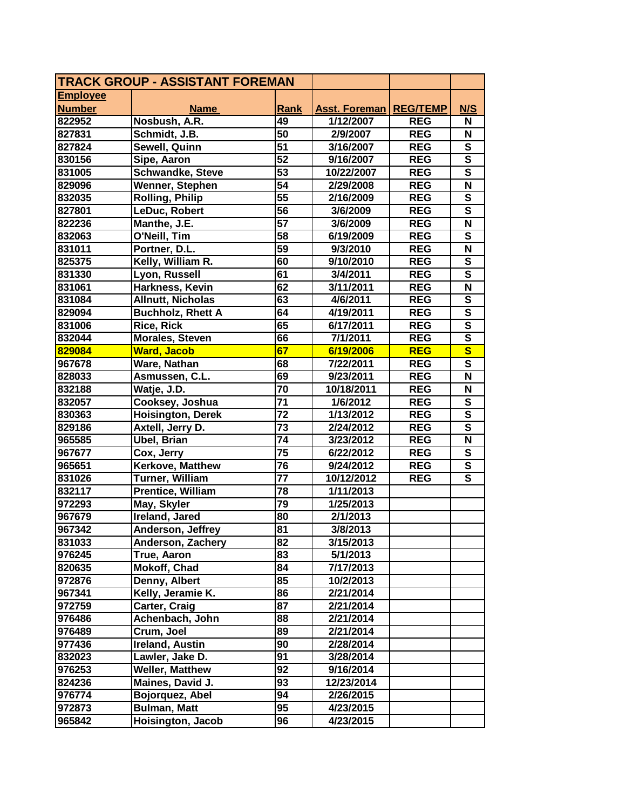| <b>TRACK GROUP - ASSISTANT FOREMAN</b> |                          |                 |               |                 |                           |
|----------------------------------------|--------------------------|-----------------|---------------|-----------------|---------------------------|
| <b>Employee</b>                        |                          |                 |               |                 |                           |
| <b>Number</b>                          | <b>Name</b>              | Rank            | Asst. Foreman | <b>REG/TEMP</b> | N/S                       |
| 822952                                 | Nosbush, A.R.            | 49              | 1/12/2007     | <b>REG</b>      | N                         |
| 827831                                 | Schmidt, J.B.            | 50              | 2/9/2007      | <b>REG</b>      | N                         |
| 827824                                 | Sewell, Quinn            | 51              | 3/16/2007     | <b>REG</b>      | ${\bf S}$                 |
| 830156                                 | Sipe, Aaron              | 52              | 9/16/2007     | <b>REG</b>      | $\overline{\mathsf{s}}$   |
| 831005                                 | <b>Schwandke, Steve</b>  | 53              | 10/22/2007    | <b>REG</b>      | $\overline{\mathbf{s}}$   |
| 829096                                 | Wenner, Stephen          | $\overline{54}$ | 2/29/2008     | <b>REG</b>      | $\mathbf N$               |
| 832035                                 | <b>Rolling, Philip</b>   | $\overline{55}$ | 2/16/2009     | <b>REG</b>      | ${\bf S}$                 |
| 827801                                 | LeDuc, Robert            | 56              | 3/6/2009      | <b>REG</b>      | ${\bf S}$                 |
| 822236                                 | Manthe, J.E.             | $\overline{57}$ | 3/6/2009      | <b>REG</b>      | $\boldsymbol{\mathsf{N}}$ |
| 832063                                 | O'Neill, Tim             | $\overline{58}$ | 6/19/2009     | <b>REG</b>      | ${\bf S}$                 |
| 831011                                 | Portner, D.L.            | 59              | 9/3/2010      | <b>REG</b>      | N                         |
| 825375                                 | Kelly, William R.        | 60              | 9/10/2010     | <b>REG</b>      | ${\bf S}$                 |
| 831330                                 | Lyon, Russell            | 61              | 3/4/2011      | <b>REG</b>      | $\overline{\mathbf{s}}$   |
| 831061                                 | Harkness, Kevin          | 62              | 3/11/2011     | <b>REG</b>      | $\mathbf N$               |
| 831084                                 | <b>Allnutt, Nicholas</b> | 63              | 4/6/2011      | <b>REG</b>      | ${\bf S}$                 |
| 829094                                 | <b>Buchholz, Rhett A</b> | 64              | 4/19/2011     | <b>REG</b>      | $\overline{\mathsf{s}}$   |
| 831006                                 | <b>Rice, Rick</b>        | 65              | 6/17/2011     | <b>REG</b>      | $\overline{\mathsf{s}}$   |
| 832044                                 | <b>Morales, Steven</b>   | 66              | 7/1/2011      | <b>REG</b>      | $\overline{\mathsf{s}}$   |
| 829084                                 | <b>Ward, Jacob</b>       | 67              | 6/19/2006     | <b>REG</b>      | $\mathbf{s}$              |
| 967678                                 | Ware, Nathan             | 68              | 7/22/2011     | <b>REG</b>      | ${\bf S}$                 |
| 828033                                 | Asmussen, C.L.           | 69              | 9/23/2011     | <b>REG</b>      | N                         |
| 832188                                 | Watje, J.D.              | 70              | 10/18/2011    | <b>REG</b>      | $\boldsymbol{\mathsf{N}}$ |
| 832057                                 | Cooksey, Joshua          | $\overline{71}$ | 1/6/2012      | <b>REG</b>      | ${\bf S}$                 |
| 830363                                 | <b>Hoisington, Derek</b> | 72              | 1/13/2012     | <b>REG</b>      | $\overline{\mathsf{s}}$   |
| 829186                                 | Axtell, Jerry D.         | 73              | 2/24/2012     | <b>REG</b>      | $\overline{\mathsf{s}}$   |
| 965585                                 | Ubel, Brian              | 74              | 3/23/2012     | <b>REG</b>      | N                         |
| 967677                                 | Cox, Jerry               | $\overline{75}$ | 6/22/2012     | <b>REG</b>      | $\mathbf{s}$              |
| 965651                                 | Kerkove, Matthew         | $\overline{76}$ | 9/24/2012     | <b>REG</b>      | $\overline{\mathsf{s}}$   |
| 831026                                 | Turner, William          | 77              | 10/12/2012    | <b>REG</b>      | $\overline{\mathbf{s}}$   |
| 832117                                 | Prentice, William        | 78              | 1/11/2013     |                 |                           |
| 972293                                 | May, Skyler              | 79              | 1/25/2013     |                 |                           |
| 967679                                 | Ireland, Jared           | 80              | 2/1/2013      |                 |                           |
| 967342                                 | Anderson, Jeffrey        | 81              | 3/8/2013      |                 |                           |
| 831033                                 | Anderson, Zachery        | 82              | 3/15/2013     |                 |                           |
| 976245                                 | True, Aaron              | 83              | 5/1/2013      |                 |                           |
| 820635                                 | Mokoff, Chad             | 84              | 7/17/2013     |                 |                           |
| 972876                                 | Denny, Albert            | 85              | 10/2/2013     |                 |                           |
| 967341                                 | Kelly, Jeramie K.        | 86              | 2/21/2014     |                 |                           |
| 972759                                 | Carter, Craig            | 87              | 2/21/2014     |                 |                           |
| 976486                                 | Achenbach, John          | 88              | 2/21/2014     |                 |                           |
| 976489                                 | Crum, Joel               | 89              | 2/21/2014     |                 |                           |
| 977436                                 | <b>Ireland, Austin</b>   | 90              | 2/28/2014     |                 |                           |
| 832023                                 | Lawler, Jake D.          | 91              | 3/28/2014     |                 |                           |
| 976253                                 | <b>Weller, Matthew</b>   | 92              | 9/16/2014     |                 |                           |
| 824236                                 | Maines, David J.         | 93              | 12/23/2014    |                 |                           |
| 976774                                 | Bojorquez, Abel          | 94              | 2/26/2015     |                 |                           |
| 972873                                 | <b>Bulman, Matt</b>      | 95              | 4/23/2015     |                 |                           |
| 965842                                 | Hoisington, Jacob        | 96              | 4/23/2015     |                 |                           |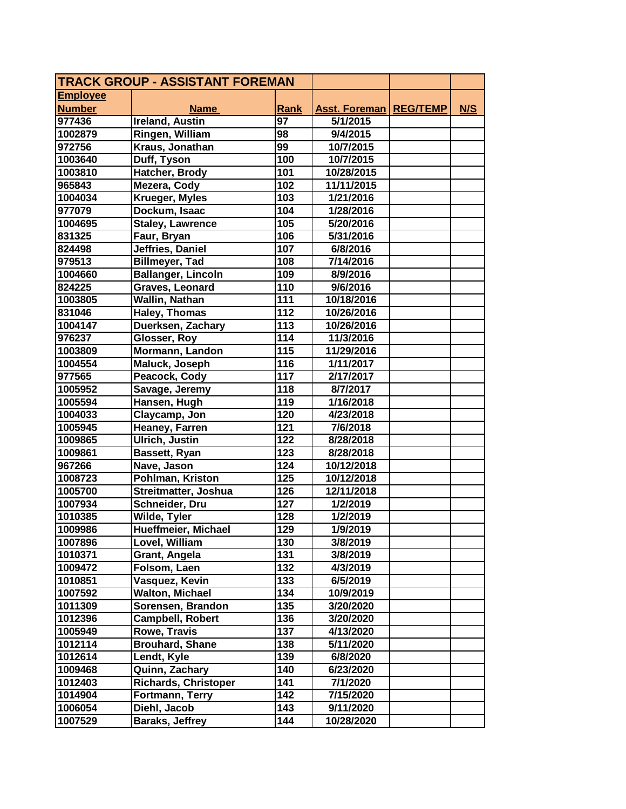| <b>TRACK GROUP - ASSISTANT FOREMAN</b> |                             |      |                                 |     |
|----------------------------------------|-----------------------------|------|---------------------------------|-----|
| <b>Employee</b>                        |                             |      |                                 |     |
| <b>Number</b>                          | <b>Name</b>                 | Rank | <b>Asst. Foreman   REG/TEMP</b> | N/S |
| 977436                                 | <b>Ireland, Austin</b>      | 97   | 5/1/2015                        |     |
| 1002879                                | Ringen, William             | 98   | 9/4/2015                        |     |
| 972756                                 | Kraus, Jonathan             | 99   | 10/7/2015                       |     |
| 1003640                                | Duff, Tyson                 | 100  | 10/7/2015                       |     |
| 1003810                                | Hatcher, Brody              | 101  | 10/28/2015                      |     |
| 965843                                 | Mezera, Cody                | 102  | 11/11/2015                      |     |
| 1004034                                | <b>Krueger, Myles</b>       | 103  | 1/21/2016                       |     |
| 977079                                 | Dockum, Isaac               | 104  | 1/28/2016                       |     |
| 1004695                                | <b>Staley, Lawrence</b>     | 105  | 5/20/2016                       |     |
| 831325                                 | Faur, Bryan                 | 106  | 5/31/2016                       |     |
| 824498                                 | Jeffries, Daniel            | 107  | 6/8/2016                        |     |
| 979513                                 | <b>Billmeyer, Tad</b>       | 108  | 7/14/2016                       |     |
| 1004660                                | <b>Ballanger, Lincoln</b>   | 109  | 8/9/2016                        |     |
| 824225                                 | Graves, Leonard             | 110  | 9/6/2016                        |     |
| 1003805                                | Wallin, Nathan              | 111  | 10/18/2016                      |     |
| 831046                                 | <b>Haley, Thomas</b>        | 112  | 10/26/2016                      |     |
| 1004147                                | Duerksen, Zachary           | 113  | 10/26/2016                      |     |
| 976237                                 | Glosser, Roy                | 114  | 11/3/2016                       |     |
| 1003809                                | Mormann, Landon             | 115  | 11/29/2016                      |     |
| 1004554                                | Maluck, Joseph              | 116  | 1/11/2017                       |     |
| 977565                                 | Peacock, Cody               | 117  | 2/17/2017                       |     |
| 1005952                                | Savage, Jeremy              | 118  | 8/7/2017                        |     |
| 1005594                                | Hansen, Hugh                | 119  | 1/16/2018                       |     |
| 1004033                                | Claycamp, Jon               | 120  | 4/23/2018                       |     |
| 1005945                                | Heaney, Farren              | 121  | 7/6/2018                        |     |
| 1009865                                | <b>Ulrich, Justin</b>       | 122  | 8/28/2018                       |     |
| 1009861                                | Bassett, Ryan               | 123  | 8/28/2018                       |     |
| 967266                                 | Nave, Jason                 | 124  | 10/12/2018                      |     |
| 1008723                                | Pohlman, Kriston            | 125  | 10/12/2018                      |     |
| 1005700                                | Streitmatter, Joshua        | 126  | 12/11/2018                      |     |
| 1007934                                | Schneider, Dru              | 127  | 1/2/2019                        |     |
| 1010385                                | Wilde, Tyler                | 128  | 1/2/2019                        |     |
| 1009986                                | Hueffmeier, Michael         | 129  | 1/9/2019                        |     |
| 1007896                                | Lovel, William              | 130  | 3/8/2019                        |     |
| 1010371                                | Grant, Angela               | 131  | 3/8/2019                        |     |
| 1009472                                | Folsom, Laen                | 132  | 4/3/2019                        |     |
| 1010851                                | Vasquez, Kevin              | 133  | 6/5/2019                        |     |
| 1007592                                | <b>Walton, Michael</b>      | 134  | 10/9/2019                       |     |
| 1011309                                | Sorensen, Brandon           | 135  | 3/20/2020                       |     |
| 1012396                                | <b>Campbell, Robert</b>     | 136  | 3/20/2020                       |     |
| 1005949                                | Rowe, Travis                | 137  | 4/13/2020                       |     |
| 1012114                                | <b>Brouhard, Shane</b>      | 138  | 5/11/2020                       |     |
| 1012614                                | Lendt, Kyle                 | 139  | 6/8/2020                        |     |
| 1009468                                | Quinn, Zachary              | 140  | 6/23/2020                       |     |
| 1012403                                | <b>Richards, Christoper</b> | 141  | 7/1/2020                        |     |
| 1014904                                | Fortmann, Terry             | 142  | 7/15/2020                       |     |
| 1006054                                | Diehl, Jacob                | 143  | 9/11/2020                       |     |
| 1007529                                | Baraks, Jeffrey             | 144  | 10/28/2020                      |     |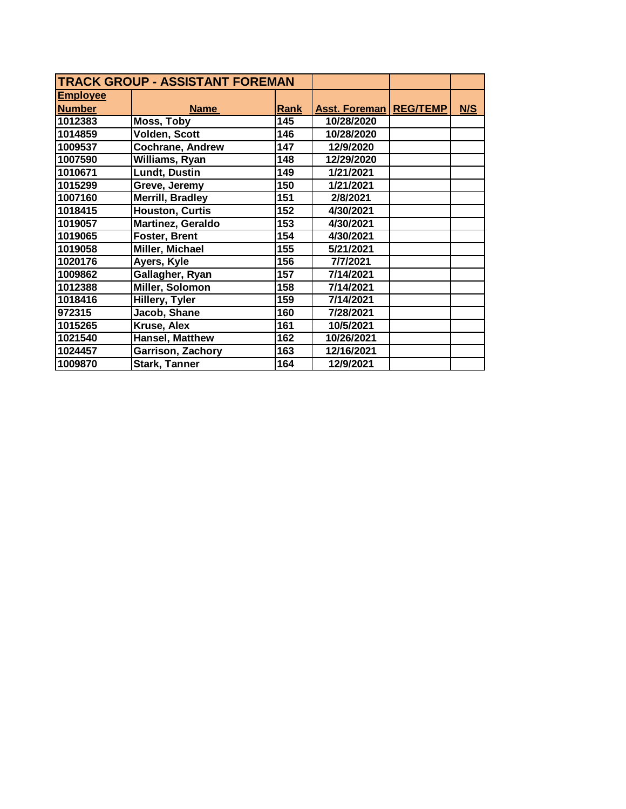| <b>TRACK GROUP - ASSISTANT FOREMAN</b> |                          |      |                                 |     |
|----------------------------------------|--------------------------|------|---------------------------------|-----|
| <b>Employee</b>                        |                          |      |                                 |     |
| <b>Number</b>                          | <b>Name</b>              | Rank | <b>Asst. Foreman   REG/TEMP</b> | N/S |
| 1012383                                | Moss, Toby               | 145  | 10/28/2020                      |     |
| 1014859                                | Volden, Scott            | 146  | 10/28/2020                      |     |
| 1009537                                | <b>Cochrane, Andrew</b>  | 147  | 12/9/2020                       |     |
| 1007590                                | Williams, Ryan           | 148  | 12/29/2020                      |     |
| 1010671                                | <b>Lundt, Dustin</b>     | 149  | 1/21/2021                       |     |
| 1015299                                | Greve, Jeremy            | 150  | 1/21/2021                       |     |
| 1007160                                | <b>Merrill, Bradley</b>  | 151  | 2/8/2021                        |     |
| 1018415                                | <b>Houston, Curtis</b>   | 152  | 4/30/2021                       |     |
| 1019057                                | Martinez, Geraldo        | 153  | 4/30/2021                       |     |
| 1019065                                | Foster, Brent            | 154  | 4/30/2021                       |     |
| 1019058                                | Miller, Michael          | 155  | 5/21/2021                       |     |
| 1020176                                | Ayers, Kyle              | 156  | 7/7/2021                        |     |
| 1009862                                | Gallagher, Ryan          | 157  | 7/14/2021                       |     |
| 1012388                                | Miller, Solomon          | 158  | 7/14/2021                       |     |
| 1018416                                | Hillery, Tyler           | 159  | 7/14/2021                       |     |
| 972315                                 | Jacob, Shane             | 160  | 7/28/2021                       |     |
| 1015265                                | Kruse, Alex              | 161  | 10/5/2021                       |     |
| 1021540                                | Hansel, Matthew          | 162  | 10/26/2021                      |     |
| 1024457                                | <b>Garrison, Zachory</b> | 163  | 12/16/2021                      |     |
| 1009870                                | <b>Stark, Tanner</b>     | 164  | 12/9/2021                       |     |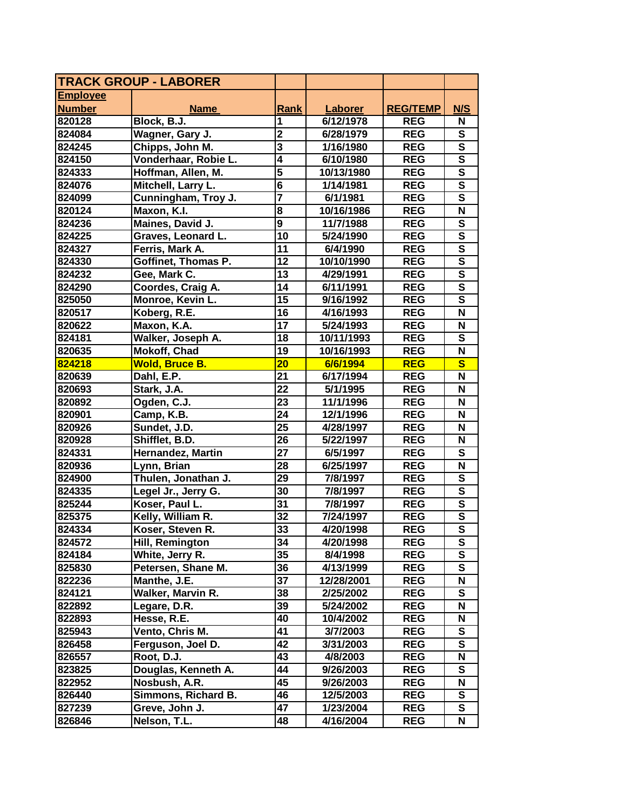| <b>Employee</b><br>N/S<br><b>Number</b><br><b>Rank</b><br><b>Laborer</b><br><b>REG/TEMP</b><br><b>Name</b><br>Block, B.J.<br>1<br>6/12/1978<br><b>REG</b><br>N<br>820128<br>$\overline{\mathbf{2}}$<br>${\bf S}$<br>Wagner, Gary J.<br>6/28/1979<br><b>REG</b><br>824084<br>Chipps, John M.<br>$\overline{\mathbf{3}}$<br>$\overline{\mathbf{s}}$<br>1/16/1980<br><b>REG</b><br>824245<br>$\overline{\mathsf{s}}$<br>$\overline{\mathbf{4}}$<br>Vonderhaar, Robie L.<br>824150<br>6/10/1980<br><b>REG</b><br>$\overline{5}$<br>$\overline{\mathsf{s}}$<br>824333<br>Hoffman, Allen, M.<br>10/13/1980<br><b>REG</b><br>$\overline{\mathsf{s}}$<br>$\overline{\mathbf{6}}$<br>824076<br>Mitchell, Larry L.<br>1/14/1981<br><b>REG</b><br>$\overline{\mathsf{s}}$<br>$\overline{\mathbf{7}}$<br>824099<br>Cunningham, Troy J.<br>6/1/1981<br><b>REG</b><br>8<br>N<br>820124<br>Maxon, K.I.<br>10/16/1986<br><b>REG</b><br>$\overline{9}$<br>Maines, David J.<br><b>REG</b><br>S<br>824236<br>11/7/1988<br>$\overline{\mathbf{s}}$<br>10<br>824225<br>Graves, Leonard L.<br><b>REG</b><br>5/24/1990<br>$\overline{\mathbf{s}}$<br>11<br>824327<br>Ferris, Mark A.<br>6/4/1990<br><b>REG</b><br>$\overline{\mathbf{s}}$<br>Goffinet, Thomas P.<br>12<br>10/10/1990<br><b>REG</b><br>824330<br>$\overline{\mathsf{s}}$<br>Gee, Mark C.<br>13<br>824232<br>4/29/1991<br><b>REG</b><br>$\overline{\mathbf{s}}$<br>14<br>Coordes, Craig A.<br><b>REG</b><br>824290<br>6/11/1991<br>15<br>$\mathbf{s}$<br>Monroe, Kevin L.<br>9/16/1992<br><b>REG</b><br>825050<br>16<br>N<br>820517<br>Koberg, R.E.<br>4/16/1993<br><b>REG</b><br>$\overline{17}$<br>Maxon, K.A.<br>N<br>820622<br>5/24/1993<br><b>REG</b><br>$\overline{\mathbf{s}}$<br>18<br>Walker, Joseph A.<br>10/11/1993<br><b>REG</b><br>824181<br>$\boldsymbol{\mathsf{N}}$<br>820635<br>Mokoff, Chad<br>19<br>10/16/1993<br><b>REG</b><br>$\overline{\mathbf{s}}$<br>824218<br><b>Wold, Bruce B.</b><br>20<br>6/6/1994<br><b>REG</b><br>21<br>N<br>820639<br>Dahl, E.P.<br>6/17/1994<br><b>REG</b><br>22<br>820693<br>Stark, J.A.<br>5/1/1995<br><b>REG</b><br>N<br>23<br>N<br>820892<br>Ogden, C.J.<br>11/1/1996<br><b>REG</b><br>24<br><b>REG</b><br>N<br>820901<br>Camp, K.B.<br>12/1/1996<br>25<br>N<br>Sundet, J.D.<br>4/28/1997<br><b>REG</b><br>820926<br>26<br>820928<br>Shifflet, B.D.<br>5/22/1997<br><b>REG</b><br>N<br>$\overline{27}$<br>${\bf S}$<br>Hernandez, Martin<br>6/5/1997<br><b>REG</b><br>824331<br>28<br>6/25/1997<br><b>REG</b><br>N<br>820936<br>Lynn, Brian<br>Thulen, Jonathan J.<br>$\overline{29}$<br>S<br>824900<br>7/8/1997<br><b>REG</b><br>$\overline{\mathsf{s}}$<br>30<br>824335<br>Legel Jr., Jerry G.<br>7/8/1997<br><b>REG</b><br>$\overline{\mathsf{s}}$<br>31<br>825244<br>Koser, Paul L.<br>7/8/1997<br><b>REG</b><br>$\overline{\mathsf{s}}$<br>32<br>825375<br>Kelly, William R.<br>7/24/1997<br><b>REG</b><br>$\overline{\mathsf{s}}$<br>33<br>824334<br>Koser, Steven R.<br>4/20/1998<br><b>REG</b><br>34<br>824572<br>Hill, Remington<br><b>REG</b><br>S<br>4/20/1998<br>35<br>824184<br>White, Jerry R.<br><b>REG</b><br>S<br>8/4/1998<br>Petersen, Shane M.<br><b>REG</b><br>${\bf S}$<br>825830<br>36<br>4/13/1999<br>Manthe, J.E.<br>37<br><b>REG</b><br>N<br>822236<br>12/28/2001<br>$\mathbf{s}$<br>Walker, Marvin R.<br>38<br>2/25/2002<br><b>REG</b><br>824121<br>39<br>N<br>Legare, D.R.<br>5/24/2002<br><b>REG</b><br>822892<br>Hesse, R.E.<br>40<br><b>REG</b><br>822893<br>10/4/2002<br>N<br>41<br>S<br>825943<br>Vento, Chris M.<br>3/7/2003<br><b>REG</b><br>42<br>${\bf S}$<br>Ferguson, Joel D.<br>3/31/2003<br><b>REG</b><br>826458<br>Root, D.J.<br>43<br>4/8/2003<br><b>REG</b><br>N<br>826557<br>${\bf S}$<br>Douglas, Kenneth A.<br>44<br><b>REG</b><br>823825<br>9/26/2003<br>45<br>Nosbush, A.R.<br>N<br>822952<br><b>REG</b><br>9/26/2003<br>Simmons, Richard B.<br>46<br>S<br>826440<br>12/5/2003<br><b>REG</b><br>827239<br>Greve, John J.<br>47<br>1/23/2004<br><b>REG</b><br>S | <b>TRACK GROUP - LABORER</b> |              |    |           |            |   |
|------------------------------------------------------------------------------------------------------------------------------------------------------------------------------------------------------------------------------------------------------------------------------------------------------------------------------------------------------------------------------------------------------------------------------------------------------------------------------------------------------------------------------------------------------------------------------------------------------------------------------------------------------------------------------------------------------------------------------------------------------------------------------------------------------------------------------------------------------------------------------------------------------------------------------------------------------------------------------------------------------------------------------------------------------------------------------------------------------------------------------------------------------------------------------------------------------------------------------------------------------------------------------------------------------------------------------------------------------------------------------------------------------------------------------------------------------------------------------------------------------------------------------------------------------------------------------------------------------------------------------------------------------------------------------------------------------------------------------------------------------------------------------------------------------------------------------------------------------------------------------------------------------------------------------------------------------------------------------------------------------------------------------------------------------------------------------------------------------------------------------------------------------------------------------------------------------------------------------------------------------------------------------------------------------------------------------------------------------------------------------------------------------------------------------------------------------------------------------------------------------------------------------------------------------------------------------------------------------------------------------------------------------------------------------------------------------------------------------------------------------------------------------------------------------------------------------------------------------------------------------------------------------------------------------------------------------------------------------------------------------------------------------------------------------------------------------------------------------------------------------------------------------------------------------------------------------------------------------------------------------------------------------------------------------------------------------------------------------------------------------------------------------------------------------------------------------------------------------------------------------------------------------------------------------------------------------------------------------------------------------------------------------------------------------------------------------------------------------------------------------------------------------------------------------------------------------------------------------------------------------------------------------------------------------------------------------------------------------------------------------------|------------------------------|--------------|----|-----------|------------|---|
|                                                                                                                                                                                                                                                                                                                                                                                                                                                                                                                                                                                                                                                                                                                                                                                                                                                                                                                                                                                                                                                                                                                                                                                                                                                                                                                                                                                                                                                                                                                                                                                                                                                                                                                                                                                                                                                                                                                                                                                                                                                                                                                                                                                                                                                                                                                                                                                                                                                                                                                                                                                                                                                                                                                                                                                                                                                                                                                                                                                                                                                                                                                                                                                                                                                                                                                                                                                                                                                                                                                                                                                                                                                                                                                                                                                                                                                                                                                                                                                                            |                              |              |    |           |            |   |
|                                                                                                                                                                                                                                                                                                                                                                                                                                                                                                                                                                                                                                                                                                                                                                                                                                                                                                                                                                                                                                                                                                                                                                                                                                                                                                                                                                                                                                                                                                                                                                                                                                                                                                                                                                                                                                                                                                                                                                                                                                                                                                                                                                                                                                                                                                                                                                                                                                                                                                                                                                                                                                                                                                                                                                                                                                                                                                                                                                                                                                                                                                                                                                                                                                                                                                                                                                                                                                                                                                                                                                                                                                                                                                                                                                                                                                                                                                                                                                                                            |                              |              |    |           |            |   |
|                                                                                                                                                                                                                                                                                                                                                                                                                                                                                                                                                                                                                                                                                                                                                                                                                                                                                                                                                                                                                                                                                                                                                                                                                                                                                                                                                                                                                                                                                                                                                                                                                                                                                                                                                                                                                                                                                                                                                                                                                                                                                                                                                                                                                                                                                                                                                                                                                                                                                                                                                                                                                                                                                                                                                                                                                                                                                                                                                                                                                                                                                                                                                                                                                                                                                                                                                                                                                                                                                                                                                                                                                                                                                                                                                                                                                                                                                                                                                                                                            |                              |              |    |           |            |   |
|                                                                                                                                                                                                                                                                                                                                                                                                                                                                                                                                                                                                                                                                                                                                                                                                                                                                                                                                                                                                                                                                                                                                                                                                                                                                                                                                                                                                                                                                                                                                                                                                                                                                                                                                                                                                                                                                                                                                                                                                                                                                                                                                                                                                                                                                                                                                                                                                                                                                                                                                                                                                                                                                                                                                                                                                                                                                                                                                                                                                                                                                                                                                                                                                                                                                                                                                                                                                                                                                                                                                                                                                                                                                                                                                                                                                                                                                                                                                                                                                            |                              |              |    |           |            |   |
|                                                                                                                                                                                                                                                                                                                                                                                                                                                                                                                                                                                                                                                                                                                                                                                                                                                                                                                                                                                                                                                                                                                                                                                                                                                                                                                                                                                                                                                                                                                                                                                                                                                                                                                                                                                                                                                                                                                                                                                                                                                                                                                                                                                                                                                                                                                                                                                                                                                                                                                                                                                                                                                                                                                                                                                                                                                                                                                                                                                                                                                                                                                                                                                                                                                                                                                                                                                                                                                                                                                                                                                                                                                                                                                                                                                                                                                                                                                                                                                                            |                              |              |    |           |            |   |
|                                                                                                                                                                                                                                                                                                                                                                                                                                                                                                                                                                                                                                                                                                                                                                                                                                                                                                                                                                                                                                                                                                                                                                                                                                                                                                                                                                                                                                                                                                                                                                                                                                                                                                                                                                                                                                                                                                                                                                                                                                                                                                                                                                                                                                                                                                                                                                                                                                                                                                                                                                                                                                                                                                                                                                                                                                                                                                                                                                                                                                                                                                                                                                                                                                                                                                                                                                                                                                                                                                                                                                                                                                                                                                                                                                                                                                                                                                                                                                                                            |                              |              |    |           |            |   |
|                                                                                                                                                                                                                                                                                                                                                                                                                                                                                                                                                                                                                                                                                                                                                                                                                                                                                                                                                                                                                                                                                                                                                                                                                                                                                                                                                                                                                                                                                                                                                                                                                                                                                                                                                                                                                                                                                                                                                                                                                                                                                                                                                                                                                                                                                                                                                                                                                                                                                                                                                                                                                                                                                                                                                                                                                                                                                                                                                                                                                                                                                                                                                                                                                                                                                                                                                                                                                                                                                                                                                                                                                                                                                                                                                                                                                                                                                                                                                                                                            |                              |              |    |           |            |   |
|                                                                                                                                                                                                                                                                                                                                                                                                                                                                                                                                                                                                                                                                                                                                                                                                                                                                                                                                                                                                                                                                                                                                                                                                                                                                                                                                                                                                                                                                                                                                                                                                                                                                                                                                                                                                                                                                                                                                                                                                                                                                                                                                                                                                                                                                                                                                                                                                                                                                                                                                                                                                                                                                                                                                                                                                                                                                                                                                                                                                                                                                                                                                                                                                                                                                                                                                                                                                                                                                                                                                                                                                                                                                                                                                                                                                                                                                                                                                                                                                            |                              |              |    |           |            |   |
|                                                                                                                                                                                                                                                                                                                                                                                                                                                                                                                                                                                                                                                                                                                                                                                                                                                                                                                                                                                                                                                                                                                                                                                                                                                                                                                                                                                                                                                                                                                                                                                                                                                                                                                                                                                                                                                                                                                                                                                                                                                                                                                                                                                                                                                                                                                                                                                                                                                                                                                                                                                                                                                                                                                                                                                                                                                                                                                                                                                                                                                                                                                                                                                                                                                                                                                                                                                                                                                                                                                                                                                                                                                                                                                                                                                                                                                                                                                                                                                                            |                              |              |    |           |            |   |
|                                                                                                                                                                                                                                                                                                                                                                                                                                                                                                                                                                                                                                                                                                                                                                                                                                                                                                                                                                                                                                                                                                                                                                                                                                                                                                                                                                                                                                                                                                                                                                                                                                                                                                                                                                                                                                                                                                                                                                                                                                                                                                                                                                                                                                                                                                                                                                                                                                                                                                                                                                                                                                                                                                                                                                                                                                                                                                                                                                                                                                                                                                                                                                                                                                                                                                                                                                                                                                                                                                                                                                                                                                                                                                                                                                                                                                                                                                                                                                                                            |                              |              |    |           |            |   |
|                                                                                                                                                                                                                                                                                                                                                                                                                                                                                                                                                                                                                                                                                                                                                                                                                                                                                                                                                                                                                                                                                                                                                                                                                                                                                                                                                                                                                                                                                                                                                                                                                                                                                                                                                                                                                                                                                                                                                                                                                                                                                                                                                                                                                                                                                                                                                                                                                                                                                                                                                                                                                                                                                                                                                                                                                                                                                                                                                                                                                                                                                                                                                                                                                                                                                                                                                                                                                                                                                                                                                                                                                                                                                                                                                                                                                                                                                                                                                                                                            |                              |              |    |           |            |   |
|                                                                                                                                                                                                                                                                                                                                                                                                                                                                                                                                                                                                                                                                                                                                                                                                                                                                                                                                                                                                                                                                                                                                                                                                                                                                                                                                                                                                                                                                                                                                                                                                                                                                                                                                                                                                                                                                                                                                                                                                                                                                                                                                                                                                                                                                                                                                                                                                                                                                                                                                                                                                                                                                                                                                                                                                                                                                                                                                                                                                                                                                                                                                                                                                                                                                                                                                                                                                                                                                                                                                                                                                                                                                                                                                                                                                                                                                                                                                                                                                            |                              |              |    |           |            |   |
|                                                                                                                                                                                                                                                                                                                                                                                                                                                                                                                                                                                                                                                                                                                                                                                                                                                                                                                                                                                                                                                                                                                                                                                                                                                                                                                                                                                                                                                                                                                                                                                                                                                                                                                                                                                                                                                                                                                                                                                                                                                                                                                                                                                                                                                                                                                                                                                                                                                                                                                                                                                                                                                                                                                                                                                                                                                                                                                                                                                                                                                                                                                                                                                                                                                                                                                                                                                                                                                                                                                                                                                                                                                                                                                                                                                                                                                                                                                                                                                                            |                              |              |    |           |            |   |
|                                                                                                                                                                                                                                                                                                                                                                                                                                                                                                                                                                                                                                                                                                                                                                                                                                                                                                                                                                                                                                                                                                                                                                                                                                                                                                                                                                                                                                                                                                                                                                                                                                                                                                                                                                                                                                                                                                                                                                                                                                                                                                                                                                                                                                                                                                                                                                                                                                                                                                                                                                                                                                                                                                                                                                                                                                                                                                                                                                                                                                                                                                                                                                                                                                                                                                                                                                                                                                                                                                                                                                                                                                                                                                                                                                                                                                                                                                                                                                                                            |                              |              |    |           |            |   |
|                                                                                                                                                                                                                                                                                                                                                                                                                                                                                                                                                                                                                                                                                                                                                                                                                                                                                                                                                                                                                                                                                                                                                                                                                                                                                                                                                                                                                                                                                                                                                                                                                                                                                                                                                                                                                                                                                                                                                                                                                                                                                                                                                                                                                                                                                                                                                                                                                                                                                                                                                                                                                                                                                                                                                                                                                                                                                                                                                                                                                                                                                                                                                                                                                                                                                                                                                                                                                                                                                                                                                                                                                                                                                                                                                                                                                                                                                                                                                                                                            |                              |              |    |           |            |   |
|                                                                                                                                                                                                                                                                                                                                                                                                                                                                                                                                                                                                                                                                                                                                                                                                                                                                                                                                                                                                                                                                                                                                                                                                                                                                                                                                                                                                                                                                                                                                                                                                                                                                                                                                                                                                                                                                                                                                                                                                                                                                                                                                                                                                                                                                                                                                                                                                                                                                                                                                                                                                                                                                                                                                                                                                                                                                                                                                                                                                                                                                                                                                                                                                                                                                                                                                                                                                                                                                                                                                                                                                                                                                                                                                                                                                                                                                                                                                                                                                            |                              |              |    |           |            |   |
|                                                                                                                                                                                                                                                                                                                                                                                                                                                                                                                                                                                                                                                                                                                                                                                                                                                                                                                                                                                                                                                                                                                                                                                                                                                                                                                                                                                                                                                                                                                                                                                                                                                                                                                                                                                                                                                                                                                                                                                                                                                                                                                                                                                                                                                                                                                                                                                                                                                                                                                                                                                                                                                                                                                                                                                                                                                                                                                                                                                                                                                                                                                                                                                                                                                                                                                                                                                                                                                                                                                                                                                                                                                                                                                                                                                                                                                                                                                                                                                                            |                              |              |    |           |            |   |
|                                                                                                                                                                                                                                                                                                                                                                                                                                                                                                                                                                                                                                                                                                                                                                                                                                                                                                                                                                                                                                                                                                                                                                                                                                                                                                                                                                                                                                                                                                                                                                                                                                                                                                                                                                                                                                                                                                                                                                                                                                                                                                                                                                                                                                                                                                                                                                                                                                                                                                                                                                                                                                                                                                                                                                                                                                                                                                                                                                                                                                                                                                                                                                                                                                                                                                                                                                                                                                                                                                                                                                                                                                                                                                                                                                                                                                                                                                                                                                                                            |                              |              |    |           |            |   |
|                                                                                                                                                                                                                                                                                                                                                                                                                                                                                                                                                                                                                                                                                                                                                                                                                                                                                                                                                                                                                                                                                                                                                                                                                                                                                                                                                                                                                                                                                                                                                                                                                                                                                                                                                                                                                                                                                                                                                                                                                                                                                                                                                                                                                                                                                                                                                                                                                                                                                                                                                                                                                                                                                                                                                                                                                                                                                                                                                                                                                                                                                                                                                                                                                                                                                                                                                                                                                                                                                                                                                                                                                                                                                                                                                                                                                                                                                                                                                                                                            |                              |              |    |           |            |   |
|                                                                                                                                                                                                                                                                                                                                                                                                                                                                                                                                                                                                                                                                                                                                                                                                                                                                                                                                                                                                                                                                                                                                                                                                                                                                                                                                                                                                                                                                                                                                                                                                                                                                                                                                                                                                                                                                                                                                                                                                                                                                                                                                                                                                                                                                                                                                                                                                                                                                                                                                                                                                                                                                                                                                                                                                                                                                                                                                                                                                                                                                                                                                                                                                                                                                                                                                                                                                                                                                                                                                                                                                                                                                                                                                                                                                                                                                                                                                                                                                            |                              |              |    |           |            |   |
|                                                                                                                                                                                                                                                                                                                                                                                                                                                                                                                                                                                                                                                                                                                                                                                                                                                                                                                                                                                                                                                                                                                                                                                                                                                                                                                                                                                                                                                                                                                                                                                                                                                                                                                                                                                                                                                                                                                                                                                                                                                                                                                                                                                                                                                                                                                                                                                                                                                                                                                                                                                                                                                                                                                                                                                                                                                                                                                                                                                                                                                                                                                                                                                                                                                                                                                                                                                                                                                                                                                                                                                                                                                                                                                                                                                                                                                                                                                                                                                                            |                              |              |    |           |            |   |
|                                                                                                                                                                                                                                                                                                                                                                                                                                                                                                                                                                                                                                                                                                                                                                                                                                                                                                                                                                                                                                                                                                                                                                                                                                                                                                                                                                                                                                                                                                                                                                                                                                                                                                                                                                                                                                                                                                                                                                                                                                                                                                                                                                                                                                                                                                                                                                                                                                                                                                                                                                                                                                                                                                                                                                                                                                                                                                                                                                                                                                                                                                                                                                                                                                                                                                                                                                                                                                                                                                                                                                                                                                                                                                                                                                                                                                                                                                                                                                                                            |                              |              |    |           |            |   |
|                                                                                                                                                                                                                                                                                                                                                                                                                                                                                                                                                                                                                                                                                                                                                                                                                                                                                                                                                                                                                                                                                                                                                                                                                                                                                                                                                                                                                                                                                                                                                                                                                                                                                                                                                                                                                                                                                                                                                                                                                                                                                                                                                                                                                                                                                                                                                                                                                                                                                                                                                                                                                                                                                                                                                                                                                                                                                                                                                                                                                                                                                                                                                                                                                                                                                                                                                                                                                                                                                                                                                                                                                                                                                                                                                                                                                                                                                                                                                                                                            |                              |              |    |           |            |   |
|                                                                                                                                                                                                                                                                                                                                                                                                                                                                                                                                                                                                                                                                                                                                                                                                                                                                                                                                                                                                                                                                                                                                                                                                                                                                                                                                                                                                                                                                                                                                                                                                                                                                                                                                                                                                                                                                                                                                                                                                                                                                                                                                                                                                                                                                                                                                                                                                                                                                                                                                                                                                                                                                                                                                                                                                                                                                                                                                                                                                                                                                                                                                                                                                                                                                                                                                                                                                                                                                                                                                                                                                                                                                                                                                                                                                                                                                                                                                                                                                            |                              |              |    |           |            |   |
|                                                                                                                                                                                                                                                                                                                                                                                                                                                                                                                                                                                                                                                                                                                                                                                                                                                                                                                                                                                                                                                                                                                                                                                                                                                                                                                                                                                                                                                                                                                                                                                                                                                                                                                                                                                                                                                                                                                                                                                                                                                                                                                                                                                                                                                                                                                                                                                                                                                                                                                                                                                                                                                                                                                                                                                                                                                                                                                                                                                                                                                                                                                                                                                                                                                                                                                                                                                                                                                                                                                                                                                                                                                                                                                                                                                                                                                                                                                                                                                                            |                              |              |    |           |            |   |
|                                                                                                                                                                                                                                                                                                                                                                                                                                                                                                                                                                                                                                                                                                                                                                                                                                                                                                                                                                                                                                                                                                                                                                                                                                                                                                                                                                                                                                                                                                                                                                                                                                                                                                                                                                                                                                                                                                                                                                                                                                                                                                                                                                                                                                                                                                                                                                                                                                                                                                                                                                                                                                                                                                                                                                                                                                                                                                                                                                                                                                                                                                                                                                                                                                                                                                                                                                                                                                                                                                                                                                                                                                                                                                                                                                                                                                                                                                                                                                                                            |                              |              |    |           |            |   |
|                                                                                                                                                                                                                                                                                                                                                                                                                                                                                                                                                                                                                                                                                                                                                                                                                                                                                                                                                                                                                                                                                                                                                                                                                                                                                                                                                                                                                                                                                                                                                                                                                                                                                                                                                                                                                                                                                                                                                                                                                                                                                                                                                                                                                                                                                                                                                                                                                                                                                                                                                                                                                                                                                                                                                                                                                                                                                                                                                                                                                                                                                                                                                                                                                                                                                                                                                                                                                                                                                                                                                                                                                                                                                                                                                                                                                                                                                                                                                                                                            |                              |              |    |           |            |   |
|                                                                                                                                                                                                                                                                                                                                                                                                                                                                                                                                                                                                                                                                                                                                                                                                                                                                                                                                                                                                                                                                                                                                                                                                                                                                                                                                                                                                                                                                                                                                                                                                                                                                                                                                                                                                                                                                                                                                                                                                                                                                                                                                                                                                                                                                                                                                                                                                                                                                                                                                                                                                                                                                                                                                                                                                                                                                                                                                                                                                                                                                                                                                                                                                                                                                                                                                                                                                                                                                                                                                                                                                                                                                                                                                                                                                                                                                                                                                                                                                            |                              |              |    |           |            |   |
|                                                                                                                                                                                                                                                                                                                                                                                                                                                                                                                                                                                                                                                                                                                                                                                                                                                                                                                                                                                                                                                                                                                                                                                                                                                                                                                                                                                                                                                                                                                                                                                                                                                                                                                                                                                                                                                                                                                                                                                                                                                                                                                                                                                                                                                                                                                                                                                                                                                                                                                                                                                                                                                                                                                                                                                                                                                                                                                                                                                                                                                                                                                                                                                                                                                                                                                                                                                                                                                                                                                                                                                                                                                                                                                                                                                                                                                                                                                                                                                                            |                              |              |    |           |            |   |
|                                                                                                                                                                                                                                                                                                                                                                                                                                                                                                                                                                                                                                                                                                                                                                                                                                                                                                                                                                                                                                                                                                                                                                                                                                                                                                                                                                                                                                                                                                                                                                                                                                                                                                                                                                                                                                                                                                                                                                                                                                                                                                                                                                                                                                                                                                                                                                                                                                                                                                                                                                                                                                                                                                                                                                                                                                                                                                                                                                                                                                                                                                                                                                                                                                                                                                                                                                                                                                                                                                                                                                                                                                                                                                                                                                                                                                                                                                                                                                                                            |                              |              |    |           |            |   |
|                                                                                                                                                                                                                                                                                                                                                                                                                                                                                                                                                                                                                                                                                                                                                                                                                                                                                                                                                                                                                                                                                                                                                                                                                                                                                                                                                                                                                                                                                                                                                                                                                                                                                                                                                                                                                                                                                                                                                                                                                                                                                                                                                                                                                                                                                                                                                                                                                                                                                                                                                                                                                                                                                                                                                                                                                                                                                                                                                                                                                                                                                                                                                                                                                                                                                                                                                                                                                                                                                                                                                                                                                                                                                                                                                                                                                                                                                                                                                                                                            |                              |              |    |           |            |   |
|                                                                                                                                                                                                                                                                                                                                                                                                                                                                                                                                                                                                                                                                                                                                                                                                                                                                                                                                                                                                                                                                                                                                                                                                                                                                                                                                                                                                                                                                                                                                                                                                                                                                                                                                                                                                                                                                                                                                                                                                                                                                                                                                                                                                                                                                                                                                                                                                                                                                                                                                                                                                                                                                                                                                                                                                                                                                                                                                                                                                                                                                                                                                                                                                                                                                                                                                                                                                                                                                                                                                                                                                                                                                                                                                                                                                                                                                                                                                                                                                            |                              |              |    |           |            |   |
|                                                                                                                                                                                                                                                                                                                                                                                                                                                                                                                                                                                                                                                                                                                                                                                                                                                                                                                                                                                                                                                                                                                                                                                                                                                                                                                                                                                                                                                                                                                                                                                                                                                                                                                                                                                                                                                                                                                                                                                                                                                                                                                                                                                                                                                                                                                                                                                                                                                                                                                                                                                                                                                                                                                                                                                                                                                                                                                                                                                                                                                                                                                                                                                                                                                                                                                                                                                                                                                                                                                                                                                                                                                                                                                                                                                                                                                                                                                                                                                                            |                              |              |    |           |            |   |
|                                                                                                                                                                                                                                                                                                                                                                                                                                                                                                                                                                                                                                                                                                                                                                                                                                                                                                                                                                                                                                                                                                                                                                                                                                                                                                                                                                                                                                                                                                                                                                                                                                                                                                                                                                                                                                                                                                                                                                                                                                                                                                                                                                                                                                                                                                                                                                                                                                                                                                                                                                                                                                                                                                                                                                                                                                                                                                                                                                                                                                                                                                                                                                                                                                                                                                                                                                                                                                                                                                                                                                                                                                                                                                                                                                                                                                                                                                                                                                                                            |                              |              |    |           |            |   |
|                                                                                                                                                                                                                                                                                                                                                                                                                                                                                                                                                                                                                                                                                                                                                                                                                                                                                                                                                                                                                                                                                                                                                                                                                                                                                                                                                                                                                                                                                                                                                                                                                                                                                                                                                                                                                                                                                                                                                                                                                                                                                                                                                                                                                                                                                                                                                                                                                                                                                                                                                                                                                                                                                                                                                                                                                                                                                                                                                                                                                                                                                                                                                                                                                                                                                                                                                                                                                                                                                                                                                                                                                                                                                                                                                                                                                                                                                                                                                                                                            |                              |              |    |           |            |   |
|                                                                                                                                                                                                                                                                                                                                                                                                                                                                                                                                                                                                                                                                                                                                                                                                                                                                                                                                                                                                                                                                                                                                                                                                                                                                                                                                                                                                                                                                                                                                                                                                                                                                                                                                                                                                                                                                                                                                                                                                                                                                                                                                                                                                                                                                                                                                                                                                                                                                                                                                                                                                                                                                                                                                                                                                                                                                                                                                                                                                                                                                                                                                                                                                                                                                                                                                                                                                                                                                                                                                                                                                                                                                                                                                                                                                                                                                                                                                                                                                            |                              |              |    |           |            |   |
|                                                                                                                                                                                                                                                                                                                                                                                                                                                                                                                                                                                                                                                                                                                                                                                                                                                                                                                                                                                                                                                                                                                                                                                                                                                                                                                                                                                                                                                                                                                                                                                                                                                                                                                                                                                                                                                                                                                                                                                                                                                                                                                                                                                                                                                                                                                                                                                                                                                                                                                                                                                                                                                                                                                                                                                                                                                                                                                                                                                                                                                                                                                                                                                                                                                                                                                                                                                                                                                                                                                                                                                                                                                                                                                                                                                                                                                                                                                                                                                                            |                              |              |    |           |            |   |
|                                                                                                                                                                                                                                                                                                                                                                                                                                                                                                                                                                                                                                                                                                                                                                                                                                                                                                                                                                                                                                                                                                                                                                                                                                                                                                                                                                                                                                                                                                                                                                                                                                                                                                                                                                                                                                                                                                                                                                                                                                                                                                                                                                                                                                                                                                                                                                                                                                                                                                                                                                                                                                                                                                                                                                                                                                                                                                                                                                                                                                                                                                                                                                                                                                                                                                                                                                                                                                                                                                                                                                                                                                                                                                                                                                                                                                                                                                                                                                                                            |                              |              |    |           |            |   |
|                                                                                                                                                                                                                                                                                                                                                                                                                                                                                                                                                                                                                                                                                                                                                                                                                                                                                                                                                                                                                                                                                                                                                                                                                                                                                                                                                                                                                                                                                                                                                                                                                                                                                                                                                                                                                                                                                                                                                                                                                                                                                                                                                                                                                                                                                                                                                                                                                                                                                                                                                                                                                                                                                                                                                                                                                                                                                                                                                                                                                                                                                                                                                                                                                                                                                                                                                                                                                                                                                                                                                                                                                                                                                                                                                                                                                                                                                                                                                                                                            |                              |              |    |           |            |   |
|                                                                                                                                                                                                                                                                                                                                                                                                                                                                                                                                                                                                                                                                                                                                                                                                                                                                                                                                                                                                                                                                                                                                                                                                                                                                                                                                                                                                                                                                                                                                                                                                                                                                                                                                                                                                                                                                                                                                                                                                                                                                                                                                                                                                                                                                                                                                                                                                                                                                                                                                                                                                                                                                                                                                                                                                                                                                                                                                                                                                                                                                                                                                                                                                                                                                                                                                                                                                                                                                                                                                                                                                                                                                                                                                                                                                                                                                                                                                                                                                            |                              |              |    |           |            |   |
|                                                                                                                                                                                                                                                                                                                                                                                                                                                                                                                                                                                                                                                                                                                                                                                                                                                                                                                                                                                                                                                                                                                                                                                                                                                                                                                                                                                                                                                                                                                                                                                                                                                                                                                                                                                                                                                                                                                                                                                                                                                                                                                                                                                                                                                                                                                                                                                                                                                                                                                                                                                                                                                                                                                                                                                                                                                                                                                                                                                                                                                                                                                                                                                                                                                                                                                                                                                                                                                                                                                                                                                                                                                                                                                                                                                                                                                                                                                                                                                                            |                              |              |    |           |            |   |
|                                                                                                                                                                                                                                                                                                                                                                                                                                                                                                                                                                                                                                                                                                                                                                                                                                                                                                                                                                                                                                                                                                                                                                                                                                                                                                                                                                                                                                                                                                                                                                                                                                                                                                                                                                                                                                                                                                                                                                                                                                                                                                                                                                                                                                                                                                                                                                                                                                                                                                                                                                                                                                                                                                                                                                                                                                                                                                                                                                                                                                                                                                                                                                                                                                                                                                                                                                                                                                                                                                                                                                                                                                                                                                                                                                                                                                                                                                                                                                                                            |                              |              |    |           |            |   |
|                                                                                                                                                                                                                                                                                                                                                                                                                                                                                                                                                                                                                                                                                                                                                                                                                                                                                                                                                                                                                                                                                                                                                                                                                                                                                                                                                                                                                                                                                                                                                                                                                                                                                                                                                                                                                                                                                                                                                                                                                                                                                                                                                                                                                                                                                                                                                                                                                                                                                                                                                                                                                                                                                                                                                                                                                                                                                                                                                                                                                                                                                                                                                                                                                                                                                                                                                                                                                                                                                                                                                                                                                                                                                                                                                                                                                                                                                                                                                                                                            |                              |              |    |           |            |   |
|                                                                                                                                                                                                                                                                                                                                                                                                                                                                                                                                                                                                                                                                                                                                                                                                                                                                                                                                                                                                                                                                                                                                                                                                                                                                                                                                                                                                                                                                                                                                                                                                                                                                                                                                                                                                                                                                                                                                                                                                                                                                                                                                                                                                                                                                                                                                                                                                                                                                                                                                                                                                                                                                                                                                                                                                                                                                                                                                                                                                                                                                                                                                                                                                                                                                                                                                                                                                                                                                                                                                                                                                                                                                                                                                                                                                                                                                                                                                                                                                            |                              |              |    |           |            |   |
|                                                                                                                                                                                                                                                                                                                                                                                                                                                                                                                                                                                                                                                                                                                                                                                                                                                                                                                                                                                                                                                                                                                                                                                                                                                                                                                                                                                                                                                                                                                                                                                                                                                                                                                                                                                                                                                                                                                                                                                                                                                                                                                                                                                                                                                                                                                                                                                                                                                                                                                                                                                                                                                                                                                                                                                                                                                                                                                                                                                                                                                                                                                                                                                                                                                                                                                                                                                                                                                                                                                                                                                                                                                                                                                                                                                                                                                                                                                                                                                                            |                              |              |    |           |            |   |
|                                                                                                                                                                                                                                                                                                                                                                                                                                                                                                                                                                                                                                                                                                                                                                                                                                                                                                                                                                                                                                                                                                                                                                                                                                                                                                                                                                                                                                                                                                                                                                                                                                                                                                                                                                                                                                                                                                                                                                                                                                                                                                                                                                                                                                                                                                                                                                                                                                                                                                                                                                                                                                                                                                                                                                                                                                                                                                                                                                                                                                                                                                                                                                                                                                                                                                                                                                                                                                                                                                                                                                                                                                                                                                                                                                                                                                                                                                                                                                                                            |                              |              |    |           |            |   |
|                                                                                                                                                                                                                                                                                                                                                                                                                                                                                                                                                                                                                                                                                                                                                                                                                                                                                                                                                                                                                                                                                                                                                                                                                                                                                                                                                                                                                                                                                                                                                                                                                                                                                                                                                                                                                                                                                                                                                                                                                                                                                                                                                                                                                                                                                                                                                                                                                                                                                                                                                                                                                                                                                                                                                                                                                                                                                                                                                                                                                                                                                                                                                                                                                                                                                                                                                                                                                                                                                                                                                                                                                                                                                                                                                                                                                                                                                                                                                                                                            |                              |              |    |           |            |   |
|                                                                                                                                                                                                                                                                                                                                                                                                                                                                                                                                                                                                                                                                                                                                                                                                                                                                                                                                                                                                                                                                                                                                                                                                                                                                                                                                                                                                                                                                                                                                                                                                                                                                                                                                                                                                                                                                                                                                                                                                                                                                                                                                                                                                                                                                                                                                                                                                                                                                                                                                                                                                                                                                                                                                                                                                                                                                                                                                                                                                                                                                                                                                                                                                                                                                                                                                                                                                                                                                                                                                                                                                                                                                                                                                                                                                                                                                                                                                                                                                            |                              |              |    |           |            |   |
|                                                                                                                                                                                                                                                                                                                                                                                                                                                                                                                                                                                                                                                                                                                                                                                                                                                                                                                                                                                                                                                                                                                                                                                                                                                                                                                                                                                                                                                                                                                                                                                                                                                                                                                                                                                                                                                                                                                                                                                                                                                                                                                                                                                                                                                                                                                                                                                                                                                                                                                                                                                                                                                                                                                                                                                                                                                                                                                                                                                                                                                                                                                                                                                                                                                                                                                                                                                                                                                                                                                                                                                                                                                                                                                                                                                                                                                                                                                                                                                                            |                              |              |    |           |            |   |
|                                                                                                                                                                                                                                                                                                                                                                                                                                                                                                                                                                                                                                                                                                                                                                                                                                                                                                                                                                                                                                                                                                                                                                                                                                                                                                                                                                                                                                                                                                                                                                                                                                                                                                                                                                                                                                                                                                                                                                                                                                                                                                                                                                                                                                                                                                                                                                                                                                                                                                                                                                                                                                                                                                                                                                                                                                                                                                                                                                                                                                                                                                                                                                                                                                                                                                                                                                                                                                                                                                                                                                                                                                                                                                                                                                                                                                                                                                                                                                                                            | 826846                       | Nelson, T.L. | 48 | 4/16/2004 | <b>REG</b> | N |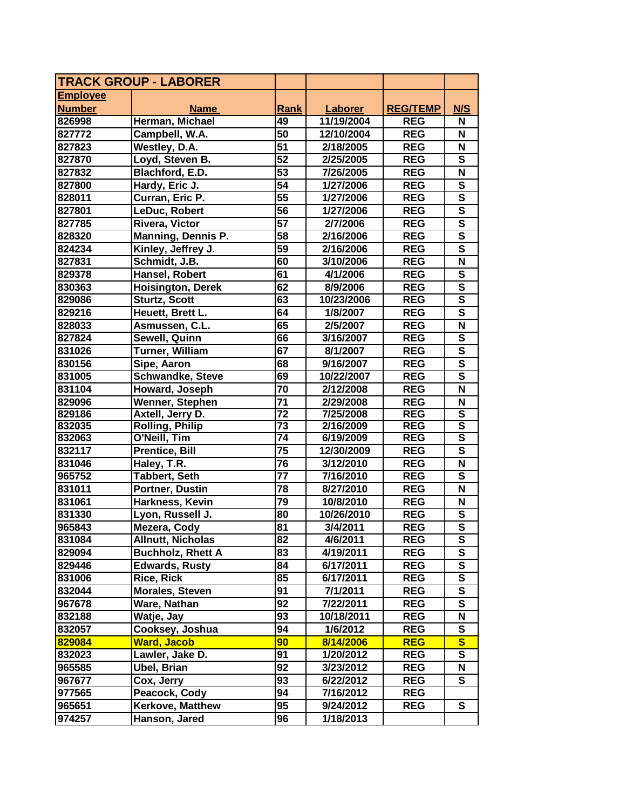| <b>TRACK GROUP - LABORER</b> |                          |                 |            |                 |                         |
|------------------------------|--------------------------|-----------------|------------|-----------------|-------------------------|
| <b>Employee</b>              |                          |                 |            |                 |                         |
| <b>Number</b>                | <b>Name</b>              | Rank            | Laborer    | <b>REG/TEMP</b> | N/S                     |
| 826998                       | Herman, Michael          | 49              | 11/19/2004 | <b>REG</b>      | N                       |
| 827772                       | Campbell, W.A.           | 50              | 12/10/2004 | <b>REG</b>      | N                       |
| 827823                       | Westley, D.A.            | 51              | 2/18/2005  | <b>REG</b>      | N                       |
| 827870                       | Loyd, Steven B.          | 52              | 2/25/2005  | <b>REG</b>      | S                       |
| 827832                       | Blachford, E.D.          | 53              | 7/26/2005  | <b>REG</b>      | N                       |
| 827800                       | Hardy, Eric J.           | 54              | 1/27/2006  | <b>REG</b>      | $\overline{\mathbf{s}}$ |
| 828011                       | Curran, Eric P.          | $\overline{55}$ | 1/27/2006  | <b>REG</b>      | $\overline{\mathbf{s}}$ |
| 827801                       | LeDuc, Robert            | 56              | 1/27/2006  | <b>REG</b>      | $\mathbf s$             |
| 827785                       | Rivera, Victor           | 57              | 2/7/2006   | <b>REG</b>      | S                       |
| 828320                       | Manning, Dennis P.       | $\overline{58}$ | 2/16/2006  | <b>REG</b>      | S                       |
| 824234                       | Kinley, Jeffrey J.       | $\overline{59}$ | 2/16/2006  | <b>REG</b>      | $\overline{\mathbf{s}}$ |
| 827831                       | Schmidt, J.B.            | 60              | 3/10/2006  | <b>REG</b>      | N                       |
| 829378                       | Hansel, Robert           | 61              | 4/1/2006   | <b>REG</b>      | $\mathbf s$             |
| 830363                       | <b>Hoisington, Derek</b> | 62              | 8/9/2006   | <b>REG</b>      | $\overline{\mathbf{s}}$ |
| 829086                       | <b>Sturtz, Scott</b>     | 63              | 10/23/2006 | <b>REG</b>      | $\mathbf S$             |
| 829216                       | Heuett, Brett L.         | 64              | 1/8/2007   | <b>REG</b>      | $\overline{\mathsf{s}}$ |
| 828033                       | Asmussen, C.L.           | 65              | 2/5/2007   | <b>REG</b>      | $\overline{\mathsf{N}}$ |
| 827824                       | Sewell, Quinn            | 66              | 3/16/2007  | <b>REG</b>      | $\overline{\mathbf{s}}$ |
| 831026                       | <b>Turner, William</b>   | 67              | 8/1/2007   | <b>REG</b>      | $\overline{\mathsf{s}}$ |
| 830156                       | Sipe, Aaron              | 68              | 9/16/2007  | <b>REG</b>      | $\overline{\mathbf{s}}$ |
| 831005                       | <b>Schwandke, Steve</b>  | 69              | 10/22/2007 | <b>REG</b>      | $\mathbf s$             |
| 831104                       | Howard, Joseph           | 70              | 2/12/2008  | <b>REG</b>      | N                       |
| 829096                       | Wenner, Stephen          | $\overline{71}$ | 2/29/2008  | <b>REG</b>      | N                       |
| 829186                       | Axtell, Jerry D.         | $\overline{72}$ | 7/25/2008  | <b>REG</b>      | $\overline{\mathsf{s}}$ |
| 832035                       | <b>Rolling, Philip</b>   | $\overline{73}$ | 2/16/2009  | <b>REG</b>      | $\overline{\mathbf{s}}$ |
| 832063                       | O'Neill, Tim             | $\overline{74}$ | 6/19/2009  | <b>REG</b>      | $\overline{\mathsf{s}}$ |
| 832117                       | <b>Prentice, Bill</b>    | 75              | 12/30/2009 | <b>REG</b>      | S                       |
| 831046                       | Haley, T.R.              | 76              | 3/12/2010  | <b>REG</b>      | N                       |
| 965752                       | <b>Tabbert, Seth</b>     | 77              | 7/16/2010  | <b>REG</b>      | $\mathbf{s}$            |
| 831011                       | Portner, Dustin          | 78              | 8/27/2010  | <b>REG</b>      | N                       |
| 831061                       | Harkness, Kevin          | 79              | 10/8/2010  | <b>REG</b>      | N                       |
| 831330                       | Lyon, Russell J.         | 80              | 10/26/2010 | <b>REG</b>      | S                       |
| 965843                       | Mezera, Cody             | $\overline{81}$ | 3/4/2011   | <b>REG</b>      | $\overline{\mathsf{s}}$ |
| 831084                       | <b>Allnutt, Nicholas</b> | 82              | 4/6/2011   | <b>REG</b>      | S                       |
| 829094                       | <b>Buchholz, Rhett A</b> | 83              | 4/19/2011  | <b>REG</b>      | S                       |
| 829446                       | <b>Edwards, Rusty</b>    | 84              | 6/17/2011  | <b>REG</b>      | S                       |
| 831006                       | <b>Rice, Rick</b>        | 85              | 6/17/2011  | <b>REG</b>      | ${\bf S}$               |
| 832044                       | <b>Morales, Steven</b>   | 91              | 7/1/2011   | <b>REG</b>      | ${\bf S}$               |
| 967678                       | Ware, Nathan             | 92              | 7/22/2011  | <b>REG</b>      | S                       |
| 832188                       | Watje, Jay               | 93              | 10/18/2011 | <b>REG</b>      | N                       |
| 832057                       | Cooksey, Joshua          | 94              | 1/6/2012   | <b>REG</b>      | ${\bf S}$               |
| 829084                       | <b>Ward, Jacob</b>       | 90              | 8/14/2006  | <b>REG</b>      | $\overline{\mathbf{s}}$ |
| 832023                       | Lawler, Jake D.          | 91              | 1/20/2012  | <b>REG</b>      | ${\bf S}$               |
| 965585                       | Ubel, Brian              | 92              | 3/23/2012  | <b>REG</b>      | N                       |
| 967677                       | Cox, Jerry               | 93              | 6/22/2012  | <b>REG</b>      | S                       |
| 977565                       | Peacock, Cody            | 94              | 7/16/2012  | <b>REG</b>      |                         |
| 965651                       | Kerkove, Matthew         | 95              | 9/24/2012  | <b>REG</b>      | S                       |
| 974257                       | Hanson, Jared            | 96              | 1/18/2013  |                 |                         |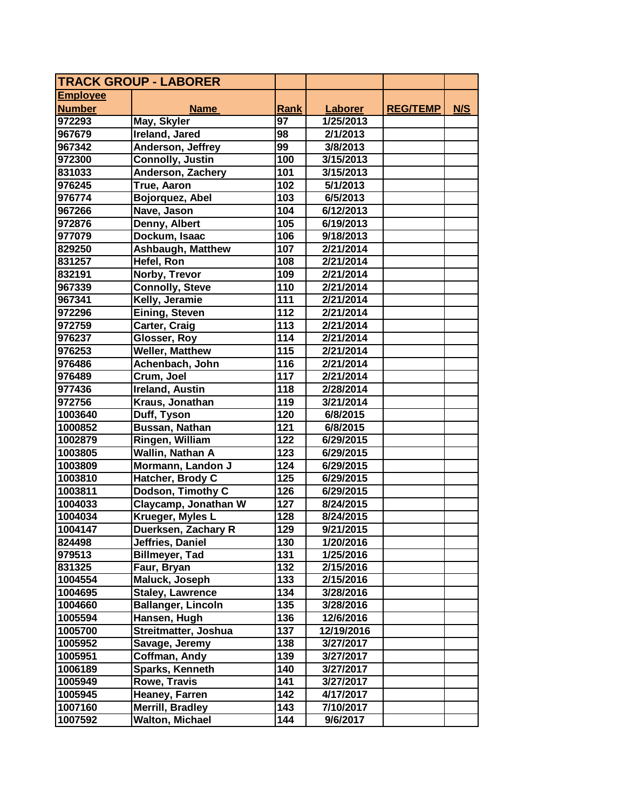| <b>TRACK GROUP - LABORER</b> |                           |                  |                |                 |     |
|------------------------------|---------------------------|------------------|----------------|-----------------|-----|
| <b>Employee</b>              |                           |                  |                |                 |     |
| <b>Number</b>                | <b>Name</b>               | Rank             | <b>Laborer</b> | <b>REG/TEMP</b> | N/S |
| 972293                       | May, Skyler               | 97               | 1/25/2013      |                 |     |
| 967679                       | Ireland, Jared            | 98               | 2/1/2013       |                 |     |
| 967342                       | Anderson, Jeffrey         | 99               | 3/8/2013       |                 |     |
| 972300                       | <b>Connolly, Justin</b>   | 100              | 3/15/2013      |                 |     |
| 831033                       | Anderson, Zachery         | 101              | 3/15/2013      |                 |     |
| 976245                       | True, Aaron               | 102              | 5/1/2013       |                 |     |
| 976774                       | Bojorquez, Abel           | 103              | 6/5/2013       |                 |     |
| 967266                       | Nave, Jason               | 104              | 6/12/2013      |                 |     |
| 972876                       | Denny, Albert             | 105              | 6/19/2013      |                 |     |
| 977079                       | Dockum, Isaac             | 106              | 9/18/2013      |                 |     |
| 829250                       | <b>Ashbaugh, Matthew</b>  | 107              | 2/21/2014      |                 |     |
| 831257                       | Hefel, Ron                | 108              | 2/21/2014      |                 |     |
| 832191                       | Norby, Trevor             | 109              | 2/21/2014      |                 |     |
| 967339                       | <b>Connolly, Steve</b>    | 110              | 2/21/2014      |                 |     |
| 967341                       | Kelly, Jeramie            | 111              | 2/21/2014      |                 |     |
| 972296                       | Eining, Steven            | 112              | 2/21/2014      |                 |     |
| 972759                       | Carter, Craig             | 113              | 2/21/2014      |                 |     |
| 976237                       | Glosser, Roy              | 114              | 2/21/2014      |                 |     |
| 976253                       | <b>Weller, Matthew</b>    | 115              | 2/21/2014      |                 |     |
| 976486                       | Achenbach, John           | 116              | 2/21/2014      |                 |     |
| 976489                       | Crum, Joel                | 117              | 2/21/2014      |                 |     |
| 977436                       | <b>Ireland, Austin</b>    | 118              | 2/28/2014      |                 |     |
| 972756                       | Kraus, Jonathan           | 119              | 3/21/2014      |                 |     |
| 1003640                      | Duff, Tyson               | 120              | 6/8/2015       |                 |     |
| 1000852                      | Bussan, Nathan            | 121              | 6/8/2015       |                 |     |
| 1002879                      | Ringen, William           | 122              | 6/29/2015      |                 |     |
| 1003805                      | Wallin, Nathan A          | 123              | 6/29/2015      |                 |     |
| 1003809                      | Mormann, Landon J         | 124              | 6/29/2015      |                 |     |
| 1003810                      | Hatcher, Brody C          | 125              | 6/29/2015      |                 |     |
| 1003811                      | Dodson, Timothy C         | 126              | 6/29/2015      |                 |     |
| 1004033                      | Claycamp, Jonathan W      | 127              | 8/24/2015      |                 |     |
| 1004034                      | Krueger, Myles L          | 128              | 8/24/2015      |                 |     |
| 1004147                      | Duerksen, Zachary R       | 129              | 9/21/2015      |                 |     |
| 824498                       | Jeffries, Daniel          | 130              | 1/20/2016      |                 |     |
| 979513                       | <b>Billmeyer, Tad</b>     | 131              | 1/25/2016      |                 |     |
| 831325                       | Faur, Bryan               | $\overline{132}$ | 2/15/2016      |                 |     |
| 1004554                      | Maluck, Joseph            | 133              | 2/15/2016      |                 |     |
| 1004695                      | <b>Staley, Lawrence</b>   | 134              | 3/28/2016      |                 |     |
| 1004660                      | <b>Ballanger, Lincoln</b> | 135              | 3/28/2016      |                 |     |
| 1005594                      | Hansen, Hugh              | 136              | 12/6/2016      |                 |     |
| 1005700                      | Streitmatter, Joshua      | 137              | 12/19/2016     |                 |     |
| 1005952                      | Savage, Jeremy            | 138              | 3/27/2017      |                 |     |
| 1005951                      | Coffman, Andy             | 139              | 3/27/2017      |                 |     |
| 1006189                      | Sparks, Kenneth           | 140              | 3/27/2017      |                 |     |
| 1005949                      | Rowe, Travis              | 141              | 3/27/2017      |                 |     |
| 1005945                      | Heaney, Farren            | 142              | 4/17/2017      |                 |     |
| 1007160                      | Merrill, Bradley          | 143              | 7/10/2017      |                 |     |
| 1007592                      | <b>Walton, Michael</b>    | 144              | 9/6/2017       |                 |     |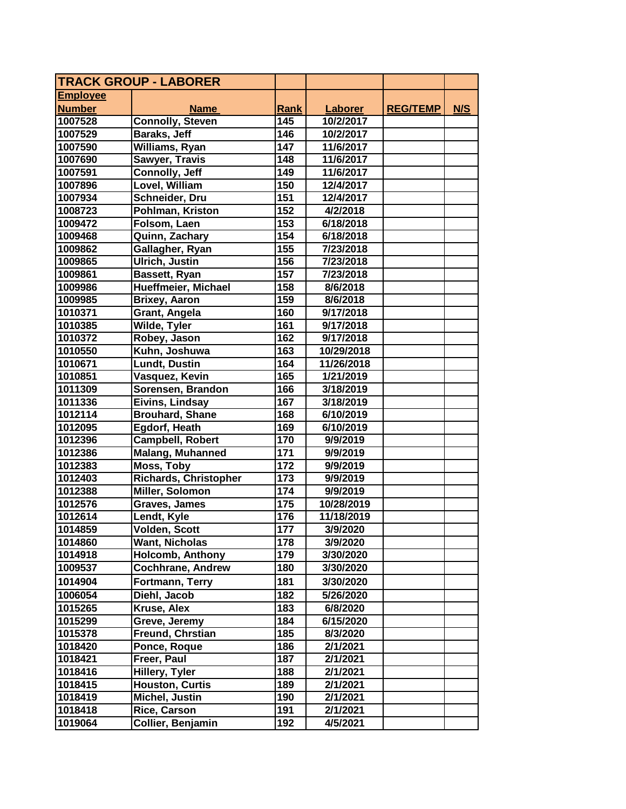| TRACK GROUP - LABORER |                                  |             |                |                 |     |
|-----------------------|----------------------------------|-------------|----------------|-----------------|-----|
| <b>Employee</b>       |                                  |             |                |                 |     |
| <b>Number</b>         | <b>Name</b>                      | <b>Rank</b> | <b>Laborer</b> | <b>REG/TEMP</b> | N/S |
| 1007528               | <b>Connolly, Steven</b>          | 145         | 10/2/2017      |                 |     |
| 1007529               | Baraks, Jeff                     | 146         | 10/2/2017      |                 |     |
| 1007590               | Williams, Ryan                   | 147         | 11/6/2017      |                 |     |
| 1007690               | <b>Sawyer, Travis</b>            | 148         | 11/6/2017      |                 |     |
| 1007591               | Connolly, Jeff                   | 149         | 11/6/2017      |                 |     |
| 1007896               | Lovel, William                   | 150         | 12/4/2017      |                 |     |
| 1007934               | Schneider, Dru                   | 151         | 12/4/2017      |                 |     |
| 1008723               | Pohlman, Kriston                 | 152         | 4/2/2018       |                 |     |
| 1009472               | Folsom, Laen                     | 153         | 6/18/2018      |                 |     |
| 1009468               | Quinn, Zachary                   | 154         | 6/18/2018      |                 |     |
| 1009862               | Gallagher, Ryan                  | 155         | 7/23/2018      |                 |     |
| 1009865               | <b>Ulrich, Justin</b>            | 156         | 7/23/2018      |                 |     |
| 1009861               | Bassett, Ryan                    | 157         | 7/23/2018      |                 |     |
| 1009986               | Hueffmeier, Michael              | 158         | 8/6/2018       |                 |     |
| 1009985               | <b>Brixey, Aaron</b>             | 159         | 8/6/2018       |                 |     |
| 1010371               | Grant, Angela                    | 160         | 9/17/2018      |                 |     |
| 1010385               | Wilde, Tyler                     | 161         | 9/17/2018      |                 |     |
| 1010372               | Robey, Jason                     | 162         | 9/17/2018      |                 |     |
| 1010550               | Kuhn, Joshuwa                    | 163         | 10/29/2018     |                 |     |
| 1010671               | <b>Lundt, Dustin</b>             | 164         | 11/26/2018     |                 |     |
| 1010851               | Vasquez, Kevin                   | 165         | 1/21/2019      |                 |     |
| 1011309               | Sorensen, Brandon                | 166         | 3/18/2019      |                 |     |
| 1011336               | Eivins, Lindsay                  | 167         | 3/18/2019      |                 |     |
| 1012114               | <b>Brouhard, Shane</b>           | 168         | 6/10/2019      |                 |     |
| 1012095               | Egdorf, Heath                    | 169         | 6/10/2019      |                 |     |
| 1012396               | <b>Campbell, Robert</b>          | 170         | 9/9/2019       |                 |     |
| 1012386               | <b>Malang, Muhanned</b>          | 171         | 9/9/2019       |                 |     |
| 1012383               | <b>Moss, Toby</b>                | 172         | 9/9/2019       |                 |     |
| 1012403               | <b>Richards, Christopher</b>     | 173         | 9/9/2019       |                 |     |
| 1012388               | Miller, Solomon                  | 174         | 9/9/2019       |                 |     |
| 1012576               | Graves, James                    | 175         | 10/28/2019     |                 |     |
| 1012614               | Lendt, Kyle                      | 176         | 11/18/2019     |                 |     |
| 1014859               | Volden, Scott                    | 177         | 3/9/2020       |                 |     |
| 1014860               | <b>Want, Nicholas</b>            | 178         | 3/9/2020       |                 |     |
| 1014918               | <b>Holcomb, Anthony</b>          | 179         | 3/30/2020      |                 |     |
| 1009537               | <b>Cochhrane, Andrew</b>         | 180         | 3/30/2020      |                 |     |
| 1014904               | Fortmann, Terry                  | 181         | 3/30/2020      |                 |     |
| 1006054               | Diehl, Jacob                     |             | 5/26/2020      |                 |     |
|                       | Kruse, Alex                      | 182         |                |                 |     |
| 1015265               |                                  | 183         | 6/8/2020       |                 |     |
| 1015299               | Greve, Jeremy                    | 184         | 6/15/2020      |                 |     |
| 1015378<br>1018420    | Freund, Chrstian<br>Ponce, Roque | 185<br>186  | 8/3/2020       |                 |     |
|                       |                                  |             | 2/1/2021       |                 |     |
| 1018421               | Freer, Paul                      | 187         | 2/1/2021       |                 |     |
| 1018416               | Hillery, Tyler                   | 188         | 2/1/2021       |                 |     |
| 1018415               | <b>Houston, Curtis</b>           | 189         | 2/1/2021       |                 |     |
| 1018419               | Michel, Justin                   | 190         | 2/1/2021       |                 |     |
| 1018418               | Rice, Carson                     | 191         | 2/1/2021       |                 |     |
| 1019064               | Collier, Benjamin                | 192         | 4/5/2021       |                 |     |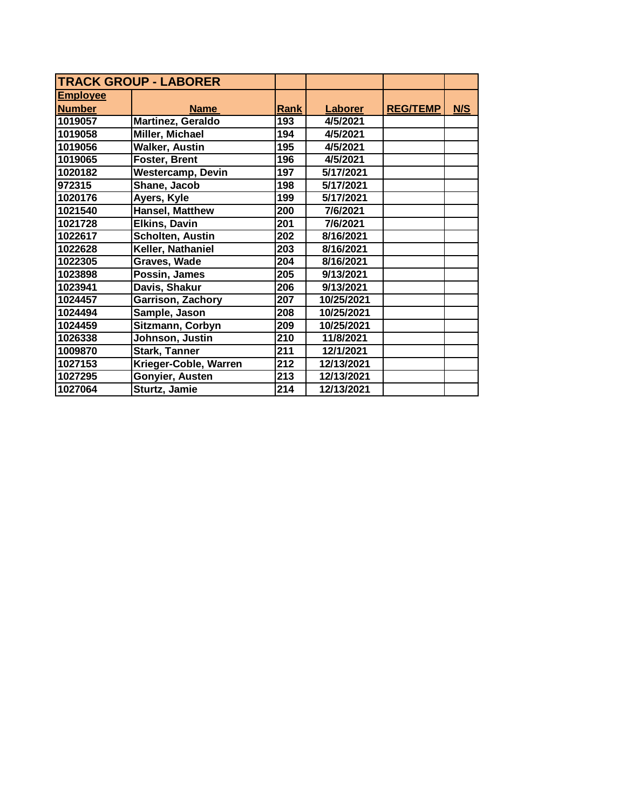| <b>TRACK GROUP - LABORER</b> |                          |      |                |                 |     |
|------------------------------|--------------------------|------|----------------|-----------------|-----|
| <b>Employee</b>              |                          |      |                |                 |     |
| <b>Number</b>                | <b>Name</b>              | Rank | <b>Laborer</b> | <b>REG/TEMP</b> | N/S |
| 1019057                      | <b>Martinez, Geraldo</b> | 193  | 4/5/2021       |                 |     |
| 1019058                      | <b>Miller, Michael</b>   | 194  | 4/5/2021       |                 |     |
| 1019056                      | <b>Walker, Austin</b>    | 195  | 4/5/2021       |                 |     |
| 1019065                      | <b>Foster, Brent</b>     | 196  | 4/5/2021       |                 |     |
| 1020182                      | <b>Westercamp, Devin</b> | 197  | 5/17/2021      |                 |     |
| 972315                       | Shane, Jacob             | 198  | 5/17/2021      |                 |     |
| 1020176                      | Ayers, Kyle              | 199  | 5/17/2021      |                 |     |
| 1021540                      | <b>Hansel, Matthew</b>   | 200  | 7/6/2021       |                 |     |
| 1021728                      | <b>Elkins, Davin</b>     | 201  | 7/6/2021       |                 |     |
| 1022617                      | Scholten, Austin         | 202  | 8/16/2021      |                 |     |
| 1022628                      | Keller, Nathaniel        | 203  | 8/16/2021      |                 |     |
| 1022305                      | <b>Graves, Wade</b>      | 204  | 8/16/2021      |                 |     |
| 1023898                      | Possin, James            | 205  | 9/13/2021      |                 |     |
| 1023941                      | Davis, Shakur            | 206  | 9/13/2021      |                 |     |
| 1024457                      | Garrison, Zachory        | 207  | 10/25/2021     |                 |     |
| 1024494                      | Sample, Jason            | 208  | 10/25/2021     |                 |     |
| 1024459                      | Sitzmann, Corbyn         | 209  | 10/25/2021     |                 |     |
| 1026338                      | Johnson, Justin          | 210  | 11/8/2021      |                 |     |
| 1009870                      | <b>Stark, Tanner</b>     | 211  | 12/1/2021      |                 |     |
| 1027153                      | Krieger-Coble, Warren    | 212  | 12/13/2021     |                 |     |
| 1027295                      | Gonyier, Austen          | 213  | 12/13/2021     |                 |     |
| 1027064                      | Sturtz, Jamie            | 214  | 12/13/2021     |                 |     |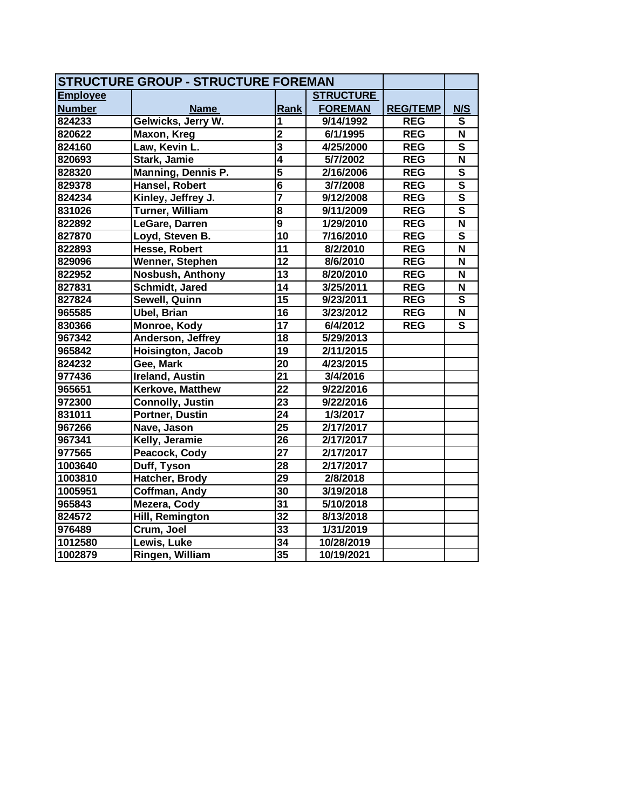| <b>STRUCTURE GROUP - STRUCTURE FOREMAN</b> |                           |                         |                  |                 |                           |
|--------------------------------------------|---------------------------|-------------------------|------------------|-----------------|---------------------------|
| <b>Employee</b>                            |                           |                         | <b>STRUCTURE</b> |                 |                           |
| <b>Number</b>                              | <b>Name</b>               | Rank                    | <b>FOREMAN</b>   | <b>REG/TEMP</b> | N/S                       |
| 824233                                     | Gelwicks, Jerry W.        | 1                       | 9/14/1992        | <b>REG</b>      | S                         |
| 820622                                     | Maxon, Kreg               | $\overline{2}$          | 6/1/1995         | <b>REG</b>      | $\boldsymbol{\mathsf{N}}$ |
| 824160                                     | Law, Kevin L.             | $\overline{\mathbf{3}}$ | 4/25/2000        | <b>REG</b>      | $\overline{\mathbf{s}}$   |
| 820693                                     | Stark, Jamie              | $\overline{\bf{4}}$     | 5/7/2002         | <b>REG</b>      | $\overline{\mathsf{N}}$   |
| 828320                                     | <b>Manning, Dennis P.</b> | $\overline{5}$          | 2/16/2006        | <b>REG</b>      | $\overline{\mathbf{s}}$   |
| 829378                                     | <b>Hansel, Robert</b>     | $\overline{\mathbf{6}}$ | 3/7/2008         | <b>REG</b>      | $\overline{\mathsf{s}}$   |
| 824234                                     | Kinley, Jeffrey J.        | 7                       | 9/12/2008        | <b>REG</b>      | $\overline{\mathsf{s}}$   |
| 831026                                     | <b>Turner, William</b>    | $\overline{\mathbf{8}}$ | 9/11/2009        | <b>REG</b>      | $\overline{\mathsf{s}}$   |
| 822892                                     | LeGare, Darren            | $\overline{9}$          | 1/29/2010        | <b>REG</b>      | $\overline{\mathsf{N}}$   |
| 827870                                     | Loyd, Steven B.           | $\overline{10}$         | 7/16/2010        | <b>REG</b>      | $\overline{\mathbf{s}}$   |
| 822893                                     | Hesse, Robert             | $\overline{11}$         | 8/2/2010         | <b>REG</b>      | $\overline{\mathsf{N}}$   |
| 829096                                     | Wenner, Stephen           | 12                      | 8/6/2010         | <b>REG</b>      | N                         |
| 822952                                     | <b>Nosbush, Anthony</b>   | $\overline{13}$         | 8/20/2010        | <b>REG</b>      | N                         |
| 827831                                     | Schmidt, Jared            | $\overline{14}$         | 3/25/2011        | <b>REG</b>      | N                         |
| 827824                                     | Sewell, Quinn             | 15                      | 9/23/2011        | <b>REG</b>      | S                         |
| 965585                                     | <b>Ubel, Brian</b>        | 16                      | 3/23/2012        | <b>REG</b>      | N                         |
| 830366                                     | Monroe, Kody              | 17                      | 6/4/2012         | <b>REG</b>      | $\overline{\mathsf{s}}$   |
| 967342                                     | Anderson, Jeffrey         | 18                      | 5/29/2013        |                 |                           |
| 965842                                     | Hoisington, Jacob         | 19                      | 2/11/2015        |                 |                           |
| 824232                                     | Gee, Mark                 | 20                      | 4/23/2015        |                 |                           |
| 977436                                     | <b>Ireland, Austin</b>    | 21                      | 3/4/2016         |                 |                           |
| 965651                                     | Kerkove, Matthew          | 22                      | 9/22/2016        |                 |                           |
| 972300                                     | <b>Connolly, Justin</b>   | 23                      | 9/22/2016        |                 |                           |
| 831011                                     | Portner, Dustin           | 24                      | 1/3/2017         |                 |                           |
| 967266                                     | Nave, Jason               | 25                      | 2/17/2017        |                 |                           |
| 967341                                     | Kelly, Jeramie            | 26                      | 2/17/2017        |                 |                           |
| 977565                                     | Peacock, Cody             | 27                      | 2/17/2017        |                 |                           |
| 1003640                                    | Duff, Tyson               | 28                      | 2/17/2017        |                 |                           |
| 1003810                                    | Hatcher, Brody            | 29                      | 2/8/2018         |                 |                           |
| 1005951                                    | Coffman, Andy             | $\overline{30}$         | 3/19/2018        |                 |                           |
| 965843                                     | Mezera, Cody              | $\overline{31}$         | 5/10/2018        |                 |                           |
| 824572                                     | Hill, Remington           | $\overline{32}$         | 8/13/2018        |                 |                           |
| 976489                                     | Crum, Joel                | 33                      | 1/31/2019        |                 |                           |
| 1012580                                    | Lewis, Luke               | 34                      | 10/28/2019       |                 |                           |
| 1002879                                    | Ringen, William           | 35                      | 10/19/2021       |                 |                           |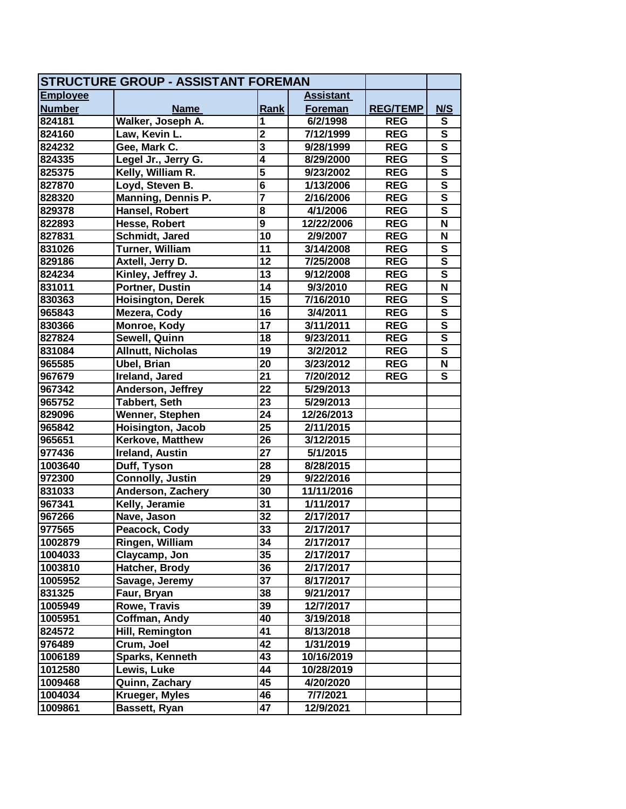| <b>STRUCTURE GROUP - ASSISTANT FOREMAN</b> |                          |                         |                  |                 |                         |
|--------------------------------------------|--------------------------|-------------------------|------------------|-----------------|-------------------------|
| <b>Employee</b>                            |                          |                         | <b>Assistant</b> |                 |                         |
| <b>Number</b>                              | <b>Name</b>              | Rank                    | Foreman          | <b>REG/TEMP</b> | N/S                     |
| 824181                                     | Walker, Joseph A.        | 1                       | 6/2/1998         | <b>REG</b>      | S                       |
| 824160                                     | Law, Kevin L.            | $\overline{2}$          | 7/12/1999        | <b>REG</b>      | $\overline{\mathbf{s}}$ |
| 824232                                     | Gee, Mark C.             | $\overline{\mathbf{3}}$ | 9/28/1999        | <b>REG</b>      | $\overline{\mathsf{s}}$ |
| 824335                                     | Legel Jr., Jerry G.      | $\overline{4}$          | 8/29/2000        | <b>REG</b>      | $\overline{\mathsf{s}}$ |
| 825375                                     | Kelly, William R.        | 5                       | 9/23/2002        | <b>REG</b>      | $\overline{\mathbf{s}}$ |
| 827870                                     | Loyd, Steven B.          | $\overline{\mathbf{6}}$ | 1/13/2006        | <b>REG</b>      | $\overline{\mathsf{s}}$ |
| 828320                                     | Manning, Dennis P.       | 7                       | 2/16/2006        | <b>REG</b>      | $\overline{\mathbf{s}}$ |
| 829378                                     | Hansel, Robert           | 8                       | 4/1/2006         | <b>REG</b>      | $\mathbf s$             |
| 822893                                     | Hesse, Robert            | $\overline{9}$          | 12/22/2006       | <b>REG</b>      | $\overline{\mathsf{N}}$ |
| 827831                                     | Schmidt, Jared           | 10                      | 2/9/2007         | <b>REG</b>      | N                       |
| 831026                                     | Turner, William          | 11                      | 3/14/2008        | <b>REG</b>      | $\overline{\mathbf{s}}$ |
| 829186                                     | Axtell, Jerry D.         | 12                      | 7/25/2008        | <b>REG</b>      | $\overline{\mathsf{s}}$ |
| 824234                                     | Kinley, Jeffrey J.       | 13                      | 9/12/2008        | <b>REG</b>      | $\overline{\mathsf{s}}$ |
| 831011                                     | Portner, Dustin          | 14                      | 9/3/2010         | <b>REG</b>      | $\overline{\mathsf{N}}$ |
| 830363                                     | <b>Hoisington, Derek</b> | 15                      | 7/16/2010        | <b>REG</b>      | ${\bf S}$               |
| 965843                                     | Mezera, Cody             | $\overline{16}$         | 3/4/2011         | <b>REG</b>      | $\overline{\mathsf{s}}$ |
| 830366                                     | Monroe, Kody             | 17                      | 3/11/2011        | <b>REG</b>      | $\overline{\mathsf{s}}$ |
| 827824                                     | Sewell, Quinn            | 18                      | 9/23/2011        | <b>REG</b>      | $\overline{\mathsf{s}}$ |
| 831084                                     | <b>Allnutt, Nicholas</b> | 19                      | 3/2/2012         | <b>REG</b>      | $\overline{\mathbf{s}}$ |
| 965585                                     | <b>Ubel, Brian</b>       | 20                      | 3/23/2012        | <b>REG</b>      | N                       |
| 967679                                     | Ireland, Jared           | 21                      | 7/20/2012        | <b>REG</b>      | $\mathbf{s}$            |
| 967342                                     | Anderson, Jeffrey        | $\overline{2}2$         | 5/29/2013        |                 |                         |
| 965752                                     | Tabbert, Seth            | 23                      | 5/29/2013        |                 |                         |
| 829096                                     | Wenner, Stephen          | 24                      | 12/26/2013       |                 |                         |
| 965842                                     | Hoisington, Jacob        | $\overline{25}$         | 2/11/2015        |                 |                         |
| 965651                                     | Kerkove, Matthew         | 26                      | 3/12/2015        |                 |                         |
| 977436                                     | <b>Ireland, Austin</b>   | $\overline{27}$         | 5/1/2015         |                 |                         |
| 1003640                                    | Duff, Tyson              | 28                      | 8/28/2015        |                 |                         |
| 972300                                     | <b>Connolly, Justin</b>  | 29                      | 9/22/2016        |                 |                         |
| 831033                                     | Anderson, Zachery        | 30                      | 11/11/2016       |                 |                         |
| 967341                                     | Kelly, Jeramie           | 31                      | 1/11/2017        |                 |                         |
| 967266                                     | Nave, Jason              | 32                      | 2/17/2017        |                 |                         |
| 977565                                     | Peacock, Cody            | $\overline{33}$         | 2/17/2017        |                 |                         |
| 1002879                                    | Ringen, William          | $\overline{34}$         | 2/17/2017        |                 |                         |
| 1004033                                    | Claycamp, Jon            | 35                      | 2/17/2017        |                 |                         |
| 1003810                                    | Hatcher, Brody           | 36                      | 2/17/2017        |                 |                         |
| 1005952                                    | Savage, Jeremy           | 37                      | 8/17/2017        |                 |                         |
| 831325                                     | Faur, Bryan              | 38                      | 9/21/2017        |                 |                         |
| 1005949                                    | <b>Rowe, Travis</b>      | 39                      | 12/7/2017        |                 |                         |
| 1005951                                    | Coffman, Andy            | 40                      | 3/19/2018        |                 |                         |
| 824572                                     | Hill, Remington          | 41                      | 8/13/2018        |                 |                         |
| 976489                                     | Crum, Joel               | 42                      | 1/31/2019        |                 |                         |
| 1006189                                    | Sparks, Kenneth          | 43                      | 10/16/2019       |                 |                         |
| 1012580                                    | Lewis, Luke              | 44                      | 10/28/2019       |                 |                         |
| 1009468                                    | Quinn, Zachary           | 45                      | 4/20/2020        |                 |                         |
| 1004034                                    | Krueger, Myles           | 46                      | 7/7/2021         |                 |                         |
| 1009861                                    | Bassett, Ryan            | 47                      | 12/9/2021        |                 |                         |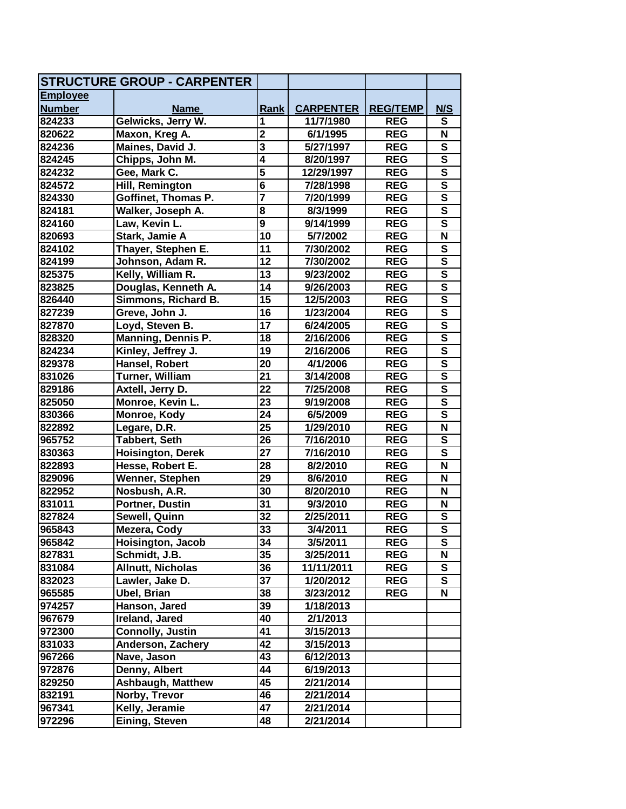|                 | <b>STRUCTURE GROUP - CARPENTER</b> |                         |                  |                 |                         |
|-----------------|------------------------------------|-------------------------|------------------|-----------------|-------------------------|
| <b>Employee</b> |                                    |                         |                  |                 |                         |
| <b>Number</b>   | <b>Name</b>                        | Rank                    | <b>CARPENTER</b> | <b>REG/TEMP</b> | N/S                     |
| 824233          | Gelwicks, Jerry W.                 | 1                       | 11/7/1980        | <b>REG</b>      | S                       |
| 820622          | Maxon, Kreg A.                     | $\overline{2}$          | 6/1/1995         | <b>REG</b>      | N                       |
| 824236          | Maines, David J.                   | $\overline{\mathbf{3}}$ | 5/27/1997        | <b>REG</b>      | $\overline{\mathbf{s}}$ |
| 824245          | Chipps, John M.                    | $\overline{\mathbf{4}}$ | 8/20/1997        | <b>REG</b>      | $\overline{\mathsf{s}}$ |
| 824232          | Gee, Mark C.                       | 5                       | 12/29/1997       | <b>REG</b>      | $\overline{\mathbf{s}}$ |
| 824572          | Hill, Remington                    | $\overline{\mathbf{6}}$ | 7/28/1998        | <b>REG</b>      | $\overline{\mathsf{s}}$ |
| 824330          | Goffinet, Thomas P.                | 7                       | 7/20/1999        | <b>REG</b>      | $\overline{\mathsf{s}}$ |
| 824181          | Walker, Joseph A.                  | 8                       | 8/3/1999         | <b>REG</b>      | ${\bf S}$               |
| 824160          | Law, Kevin L.                      | $\overline{9}$          | 9/14/1999        | <b>REG</b>      | $\overline{\mathsf{s}}$ |
| 820693          | Stark, Jamie A                     | 10                      | 5/7/2002         | <b>REG</b>      | $\overline{\mathsf{N}}$ |
| 824102          | Thayer, Stephen E.                 | 11                      | 7/30/2002        | <b>REG</b>      | $\overline{\mathbf{s}}$ |
| 824199          | Johnson, Adam R.                   | $\overline{12}$         | 7/30/2002        | <b>REG</b>      | $\overline{\mathsf{s}}$ |
| 825375          | Kelly, William R.                  | $\overline{13}$         | 9/23/2002        | <b>REG</b>      | $\overline{\mathsf{s}}$ |
| 823825          | Douglas, Kenneth A.                | 14                      | 9/26/2003        | <b>REG</b>      | $\overline{\mathsf{s}}$ |
| 826440          | Simmons, Richard B.                | 15                      | 12/5/2003        | <b>REG</b>      | $\overline{\mathbf{s}}$ |
| 827239          | Greve, John J.                     | $\overline{16}$         | 1/23/2004        | <b>REG</b>      | $\overline{\mathsf{s}}$ |
| 827870          | Loyd, Steven B.                    | $\overline{17}$         | 6/24/2005        | <b>REG</b>      | $\overline{\mathsf{s}}$ |
| 828320          | Manning, Dennis P.                 | 18                      | 2/16/2006        | <b>REG</b>      | $\overline{\mathsf{s}}$ |
| 824234          | Kinley, Jeffrey J.                 | 19                      | 2/16/2006        | <b>REG</b>      | $\overline{\mathsf{s}}$ |
| 829378          | Hansel, Robert                     | 20                      | 4/1/2006         | <b>REG</b>      | $\overline{\mathsf{s}}$ |
| 831026          | <b>Turner, William</b>             | 21                      | 3/14/2008        | <b>REG</b>      | $\overline{\mathsf{s}}$ |
| 829186          | Axtell, Jerry D.                   | 22                      | 7/25/2008        | <b>REG</b>      | $\overline{\mathbf{s}}$ |
| 825050          | Monroe, Kevin L.                   | 23                      | 9/19/2008        | <b>REG</b>      | $\overline{\mathsf{s}}$ |
| 830366          | Monroe, Kody                       | 24                      | 6/5/2009         | <b>REG</b>      | $\overline{\mathsf{s}}$ |
| 822892          | Legare, D.R.                       | 25                      | 1/29/2010        | <b>REG</b>      | $\overline{\mathsf{N}}$ |
| 965752          | Tabbert, Seth                      | 26                      | 7/16/2010        | <b>REG</b>      | ${\bf S}$               |
| 830363          | <b>Hoisington, Derek</b>           | $\overline{27}$         | 7/16/2010        | <b>REG</b>      | $\overline{\mathsf{s}}$ |
| 822893          | Hesse, Robert E.                   | 28                      | 8/2/2010         | <b>REG</b>      | $\overline{\mathsf{N}}$ |
| 829096          | Wenner, Stephen                    | 29                      | 8/6/2010         | <b>REG</b>      | N                       |
| 822952          | Nosbush, A.R.                      | 30                      | 8/20/2010        | <b>REG</b>      | N                       |
| 831011          | Portner, Dustin                    | 31                      | 9/3/2010         | <b>REG</b>      | N                       |
| 827824          | Sewell, Quinn                      | 32                      | 2/25/2011        | <b>REG</b>      | ${\bf S}$               |
| 965843          | Mezera, Cody                       | $\overline{33}$         | 3/4/2011         | <b>REG</b>      | $\overline{\mathsf{s}}$ |
| 965842          | Hoisington, Jacob                  | 34                      | 3/5/2011         | <b>REG</b>      | S                       |
| 827831          | Schmidt, J.B.                      | 35                      | 3/25/2011        | <b>REG</b>      | N                       |
| 831084          | <b>Allnutt, Nicholas</b>           | 36                      | 11/11/2011       | <b>REG</b>      | $\mathbf s$             |
| 832023          | Lawler, Jake D.                    | 37                      | 1/20/2012        | <b>REG</b>      | $\mathbf s$             |
| 965585          | <b>Ubel, Brian</b>                 | 38                      | 3/23/2012        | <b>REG</b>      | N                       |
| 974257          | Hanson, Jared                      | 39                      | 1/18/2013        |                 |                         |
| 967679          | Ireland, Jared                     | 40                      | 2/1/2013         |                 |                         |
| 972300          | Connolly, Justin                   | 41                      | 3/15/2013        |                 |                         |
| 831033          | <b>Anderson, Zachery</b>           | 42                      | 3/15/2013        |                 |                         |
| 967266          | Nave, Jason                        | 43                      | 6/12/2013        |                 |                         |
| 972876          | Denny, Albert                      | 44                      | 6/19/2013        |                 |                         |
| 829250          | <b>Ashbaugh, Matthew</b>           | 45                      | 2/21/2014        |                 |                         |
| 832191          | Norby, Trevor                      | 46                      | 2/21/2014        |                 |                         |
| 967341          | Kelly, Jeramie                     | 47                      | 2/21/2014        |                 |                         |
| 972296          | Eining, Steven                     | 48                      | 2/21/2014        |                 |                         |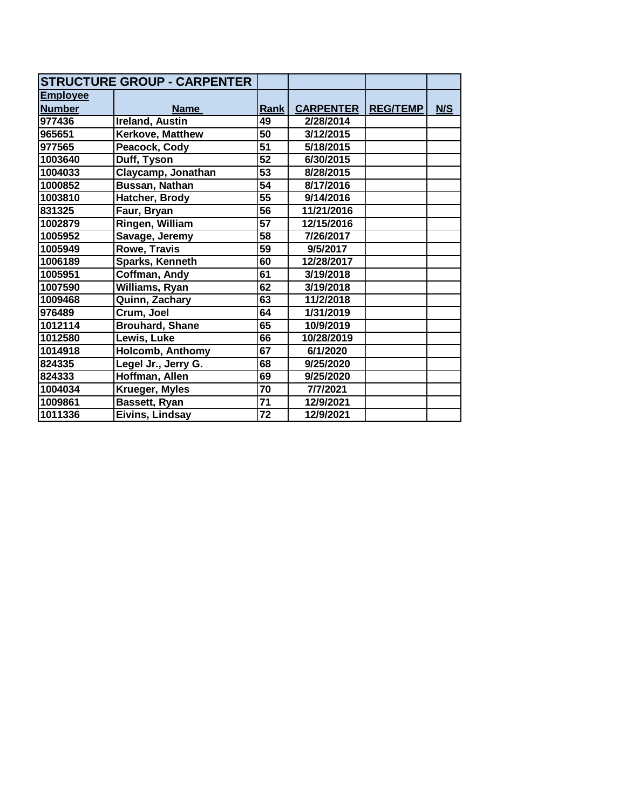|                 | <b>STRUCTURE GROUP - CARPENTER</b> |                 |                  |                 |     |
|-----------------|------------------------------------|-----------------|------------------|-----------------|-----|
| <b>Employee</b> |                                    |                 |                  |                 |     |
| <b>Number</b>   | <b>Name</b>                        | Rank            | <b>CARPENTER</b> | <b>REG/TEMP</b> | N/S |
| 977436          | <b>Ireland, Austin</b>             | 49              | 2/28/2014        |                 |     |
| 965651          | Kerkove, Matthew                   | $\overline{50}$ | 3/12/2015        |                 |     |
| 977565          | Peacock, Cody                      | $\overline{51}$ | 5/18/2015        |                 |     |
| 1003640         | Duff, Tyson                        | 52              | 6/30/2015        |                 |     |
| 1004033         | Claycamp, Jonathan                 | $\overline{53}$ | 8/28/2015        |                 |     |
| 1000852         | Bussan, Nathan                     | 54              | 8/17/2016        |                 |     |
| 1003810         | Hatcher, Brody                     | $\overline{55}$ | 9/14/2016        |                 |     |
| 831325          | Faur, Bryan                        | 56              | 11/21/2016       |                 |     |
| 1002879         | Ringen, William                    | $\overline{57}$ | 12/15/2016       |                 |     |
| 1005952         | Savage, Jeremy                     | 58              | 7/26/2017        |                 |     |
| 1005949         | Rowe, Travis                       | 59              | 9/5/2017         |                 |     |
| 1006189         | Sparks, Kenneth                    | 60              | 12/28/2017       |                 |     |
| 1005951         | Coffman, Andy                      | 61              | 3/19/2018        |                 |     |
| 1007590         | Williams, Ryan                     | 62              | 3/19/2018        |                 |     |
| 1009468         | Quinn, Zachary                     | 63              | 11/2/2018        |                 |     |
| 976489          | Crum, Joel                         | 64              | 1/31/2019        |                 |     |
| 1012114         | <b>Brouhard, Shane</b>             | 65              | 10/9/2019        |                 |     |
| 1012580         | Lewis, Luke                        | 66              | 10/28/2019       |                 |     |
| 1014918         | <b>Holcomb, Anthomy</b>            | 67              | 6/1/2020         |                 |     |
| 824335          | Legel Jr., Jerry G.                | 68              | 9/25/2020        |                 |     |
| 824333          | Hoffman, Allen                     | 69              | 9/25/2020        |                 |     |
| 1004034         | Krueger, Myles                     | 70              | 7/7/2021         |                 |     |
| 1009861         | Bassett, Ryan                      | 71              | 12/9/2021        |                 |     |
| 1011336         | Eivins, Lindsay                    | 72              | 12/9/2021        |                 |     |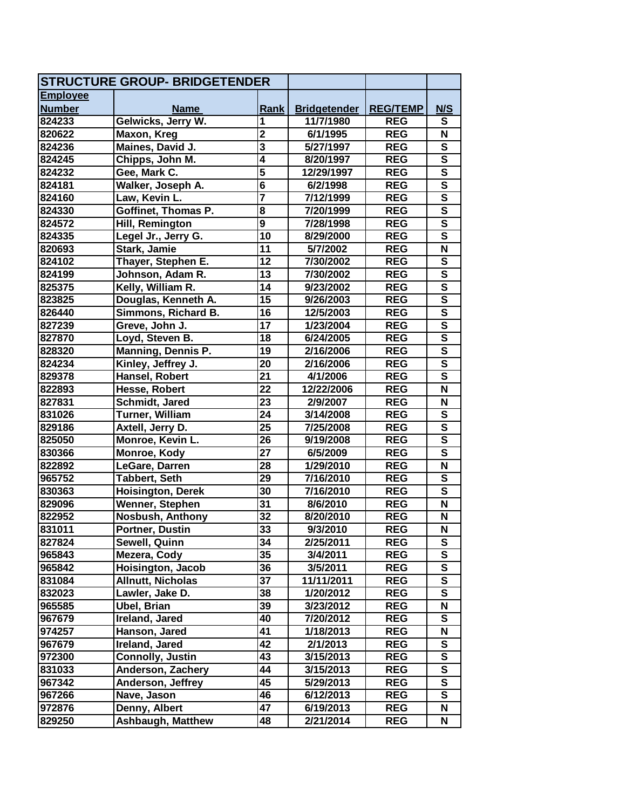| <b>STRUCTURE GROUP- BRIDGETENDER</b> |                          |                         |                     |                 |                         |
|--------------------------------------|--------------------------|-------------------------|---------------------|-----------------|-------------------------|
| <b>Employee</b>                      |                          |                         |                     |                 |                         |
| <b>Number</b>                        | <b>Name</b>              | Rank                    | <b>Bridgetender</b> | <b>REG/TEMP</b> | N/S                     |
| 824233                               | Gelwicks, Jerry W.       | 1                       | 11/7/1980           | <b>REG</b>      | S                       |
| 820622                               | Maxon, Kreg              | $\overline{2}$          | 6/1/1995            | <b>REG</b>      | $\overline{\mathsf{N}}$ |
| 824236                               | Maines, David J.         | $\overline{\mathbf{3}}$ | 5/27/1997           | <b>REG</b>      | S                       |
| 824245                               | Chipps, John M.          | $\overline{\mathbf{4}}$ | 8/20/1997           | <b>REG</b>      | $\overline{\mathsf{s}}$ |
| 824232                               | Gee, Mark C.             | 5                       | 12/29/1997          | <b>REG</b>      | $\overline{\mathsf{s}}$ |
| 824181                               | Walker, Joseph A.        | $\overline{\mathbf{6}}$ | 6/2/1998            | <b>REG</b>      | $\overline{\mathbf{s}}$ |
| 824160                               | Law, Kevin L.            | 7                       | 7/12/1999           | <b>REG</b>      | $\overline{\mathbf{s}}$ |
| 824330                               | Goffinet, Thomas P.      | 8                       | 7/20/1999           | <b>REG</b>      | $\overline{\mathbf{s}}$ |
| 824572                               | Hill, Remington          | $\overline{9}$          | 7/28/1998           | <b>REG</b>      | $\overline{\mathbf{s}}$ |
| 824335                               | Legel Jr., Jerry G.      | $\overline{10}$         | 8/29/2000           | <b>REG</b>      | $\overline{\mathbf{s}}$ |
| 820693                               | Stark, Jamie             | 11                      | 5/7/2002            | <b>REG</b>      | $\overline{\mathsf{N}}$ |
| 824102                               | Thayer, Stephen E.       | $\overline{12}$         | 7/30/2002           | <b>REG</b>      | $\overline{\mathbf{s}}$ |
| 824199                               | Johnson, Adam R.         | 13                      | 7/30/2002           | <b>REG</b>      | $\overline{\mathbf{s}}$ |
| 825375                               | Kelly, William R.        | 14                      | 9/23/2002           | <b>REG</b>      | $\overline{\mathsf{s}}$ |
| 823825                               | Douglas, Kenneth A.      | 15                      | 9/26/2003           | <b>REG</b>      | $\overline{\mathbf{s}}$ |
| 826440                               | Simmons, Richard B.      | 16                      | 12/5/2003           | <b>REG</b>      | $\overline{\mathsf{s}}$ |
| 827239                               | Greve, John J.           | 17                      | 1/23/2004           | <b>REG</b>      | $\overline{\mathsf{s}}$ |
| 827870                               | Loyd, Steven B.          | 18                      | 6/24/2005           | <b>REG</b>      | $\overline{\mathsf{s}}$ |
| 828320                               | Manning, Dennis P.       | 19                      | 2/16/2006           | <b>REG</b>      | $\overline{\mathbf{s}}$ |
| 824234                               | Kinley, Jeffrey J.       | 20                      | 2/16/2006           | <b>REG</b>      | $\overline{\mathsf{s}}$ |
| 829378                               | Hansel, Robert           | 21                      | 4/1/2006            | <b>REG</b>      | $\overline{\mathsf{s}}$ |
| 822893                               | Hesse, Robert            | 22                      | 12/22/2006          | <b>REG</b>      | N                       |
| 827831                               | Schmidt, Jared           | 23                      | 2/9/2007            | <b>REG</b>      | $\mathbf N$             |
| 831026                               | Turner, William          | 24                      | 3/14/2008           | <b>REG</b>      | $\overline{\mathbf{s}}$ |
| 829186                               | Axtell, Jerry D.         | 25                      | 7/25/2008           | <b>REG</b>      | $\overline{\mathbf{s}}$ |
| 825050                               | Monroe, Kevin L.         | 26                      | 9/19/2008           | <b>REG</b>      | $\overline{\mathbf{s}}$ |
| 830366                               | Monroe, Kody             | 27                      | 6/5/2009            | <b>REG</b>      | $\overline{\mathsf{s}}$ |
| 822892                               | LeGare, Darren           | 28                      | 1/29/2010           | <b>REG</b>      | $\overline{\mathsf{N}}$ |
| 965752                               | <b>Tabbert, Seth</b>     | 29                      | 7/16/2010           | <b>REG</b>      | S                       |
| 830363                               | <b>Hoisington, Derek</b> | 30                      | 7/16/2010           | <b>REG</b>      | $\overline{\mathsf{s}}$ |
| 829096                               | Wenner, Stephen          | 31                      | 8/6/2010            | <b>REG</b>      | $\mathbf N$             |
| 822952                               | <b>Nosbush, Anthony</b>  | 32                      | 8/20/2010           | <b>REG</b>      | N                       |
| 831011                               | Portner, Dustin          | 33                      | 9/3/2010            | <b>REG</b>      | N                       |
| 827824                               | Sewell, Quinn            | 34                      | 2/25/2011           | <b>REG</b>      | S                       |
| 965843                               | Mezera, Cody             | 35                      | 3/4/2011            | <b>REG</b>      | S                       |
| 965842                               | Hoisington, Jacob        | 36                      | 3/5/2011            | <b>REG</b>      | S                       |
| 831084                               | <b>Allnutt, Nicholas</b> | 37                      | 11/11/2011          | <b>REG</b>      | S                       |
| 832023                               | Lawler, Jake D.          | 38                      | 1/20/2012           | <b>REG</b>      | S                       |
| 965585                               | Ubel, Brian              | 39                      | 3/23/2012           | <b>REG</b>      | N                       |
| 967679                               | Ireland, Jared           | 40                      | 7/20/2012           | <b>REG</b>      | S                       |
| 974257                               | Hanson, Jared            | 41                      | 1/18/2013           | <b>REG</b>      | N                       |
| 967679                               | Ireland, Jared           | 42                      | 2/1/2013            | <b>REG</b>      | S                       |
| 972300                               | <b>Connolly, Justin</b>  | 43                      | 3/15/2013           | <b>REG</b>      | S                       |
| 831033                               | Anderson, Zachery        | 44                      | 3/15/2013           | <b>REG</b>      | S                       |
| 967342                               | Anderson, Jeffrey        | 45                      | 5/29/2013           | <b>REG</b>      | S                       |
| 967266                               | Nave, Jason              | 46                      | 6/12/2013           | <b>REG</b>      | ${\bf S}$               |
| 972876                               | Denny, Albert            | 47                      | 6/19/2013           | <b>REG</b>      | N                       |
| 829250                               | <b>Ashbaugh, Matthew</b> | 48                      | 2/21/2014           | <b>REG</b>      | N                       |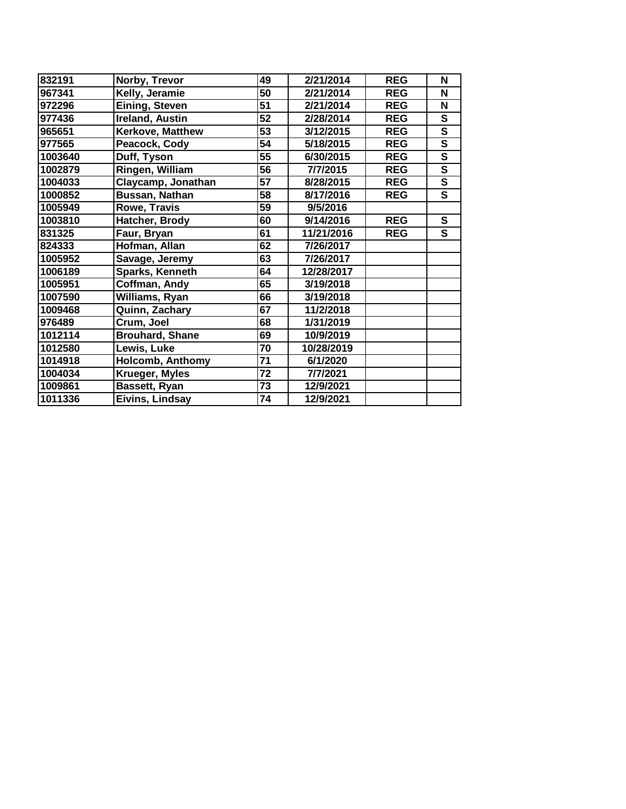| 832191  | Norby, Trevor          | 49              | 2/21/2014  | <b>REG</b> | N                       |
|---------|------------------------|-----------------|------------|------------|-------------------------|
| 967341  | Kelly, Jeramie         | 50              | 2/21/2014  | <b>REG</b> | N                       |
| 972296  | Eining, Steven         | 51              | 2/21/2014  | <b>REG</b> | N                       |
| 977436  | <b>Ireland, Austin</b> | 52              | 2/28/2014  | <b>REG</b> | S                       |
| 965651  | Kerkove, Matthew       | 53              | 3/12/2015  | <b>REG</b> | $\overline{\mathbf{s}}$ |
| 977565  | Peacock, Cody          | 54              | 5/18/2015  | <b>REG</b> | $\overline{\mathbf{s}}$ |
| 1003640 | Duff, Tyson            | $\overline{55}$ | 6/30/2015  | <b>REG</b> | $\overline{\mathbf{s}}$ |
| 1002879 | Ringen, William        | 56              | 7/7/2015   | <b>REG</b> | $\overline{\mathbf{s}}$ |
| 1004033 | Claycamp, Jonathan     | 57              | 8/28/2015  | <b>REG</b> | $\overline{\mathsf{s}}$ |
| 1000852 | Bussan, Nathan         | 58              | 8/17/2016  | <b>REG</b> | $\overline{\mathbf{s}}$ |
| 1005949 | Rowe, Travis           | 59              | 9/5/2016   |            |                         |
| 1003810 | Hatcher, Brody         | 60              | 9/14/2016  | <b>REG</b> | $\mathbf{s}$            |
| 831325  | Faur, Bryan            | 61              | 11/21/2016 | <b>REG</b> | S                       |
| 824333  | Hofman, Allan          | 62              | 7/26/2017  |            |                         |
| 1005952 | Savage, Jeremy         | 63              | 7/26/2017  |            |                         |
| 1006189 | Sparks, Kenneth        | 64              | 12/28/2017 |            |                         |
| 1005951 | Coffman, Andy          | 65              | 3/19/2018  |            |                         |
| 1007590 | Williams, Ryan         | 66              | 3/19/2018  |            |                         |
| 1009468 | Quinn, Zachary         | 67              | 11/2/2018  |            |                         |
| 976489  | Crum, Joel             | 68              | 1/31/2019  |            |                         |
| 1012114 | <b>Brouhard, Shane</b> | 69              | 10/9/2019  |            |                         |
| 1012580 | Lewis, Luke            | 70              | 10/28/2019 |            |                         |
| 1014918 | Holcomb, Anthomy       | 71              | 6/1/2020   |            |                         |
| 1004034 | Krueger, Myles         | 72              | 7/7/2021   |            |                         |
| 1009861 | Bassett, Ryan          | 73              | 12/9/2021  |            |                         |
| 1011336 | Eivins, Lindsay        | 74              | 12/9/2021  |            |                         |
|         |                        |                 |            |            |                         |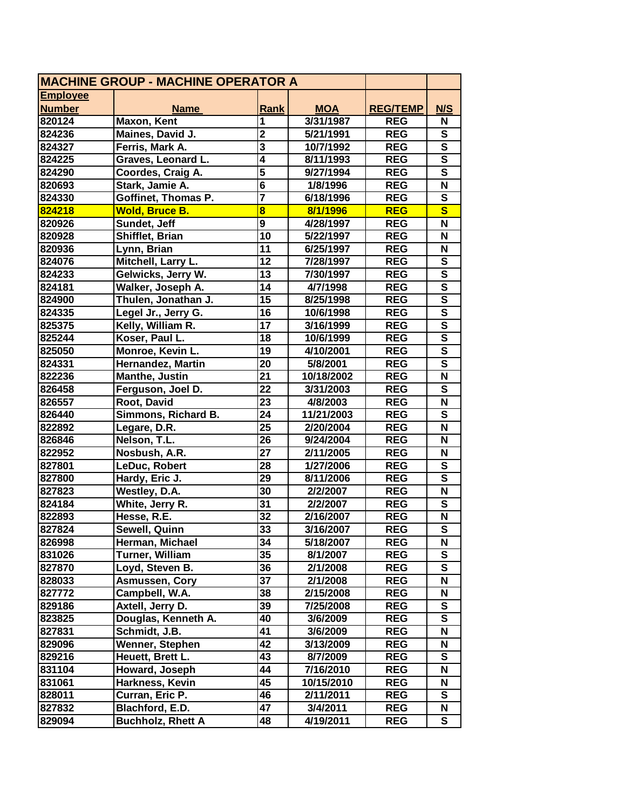| <b>MACHINE GROUP - MACHINE OPERATOR A</b> |                          |                         |            |                 |                           |
|-------------------------------------------|--------------------------|-------------------------|------------|-----------------|---------------------------|
| <b>Employee</b>                           |                          |                         |            |                 |                           |
| <b>Number</b>                             | <b>Name</b>              | Rank                    | <b>MOA</b> | <b>REG/TEMP</b> | <b>N/S</b>                |
| 820124                                    | Maxon, Kent              | 1                       | 3/31/1987  | <b>REG</b>      | N                         |
| 824236                                    | Maines, David J.         | $\overline{\mathbf{2}}$ | 5/21/1991  | <b>REG</b>      | ${\bf S}$                 |
| 824327                                    | Ferris, Mark A.          | $\overline{\mathbf{3}}$ | 10/7/1992  | <b>REG</b>      | $\overline{\mathsf{s}}$   |
| 824225                                    | Graves, Leonard L.       | $\overline{4}$          | 8/11/1993  | <b>REG</b>      | $\overline{\mathsf{s}}$   |
| 824290                                    | Coordes, Craig A.        | 5                       | 9/27/1994  | <b>REG</b>      | $\overline{\mathsf{s}}$   |
| 820693                                    | Stark, Jamie A.          | $6\overline{6}$         | 1/8/1996   | <b>REG</b>      | $\overline{\mathsf{N}}$   |
| 824330                                    | Goffinet, Thomas P.      | 7                       | 6/18/1996  | <b>REG</b>      | ${\bf S}$                 |
| 824218                                    | <b>Wold, Bruce B.</b>    | $\overline{\mathbf{8}}$ | 8/1/1996   | <b>REG</b>      | $\overline{\mathbf{s}}$   |
| 820926                                    | Sundet, Jeff             | $\overline{9}$          | 4/28/1997  | <b>REG</b>      | $\overline{\mathsf{N}}$   |
| 820928                                    | Shifflet, Brian          | $\overline{10}$         | 5/22/1997  | <b>REG</b>      | N                         |
| 820936                                    | Lynn, Brian              | 11                      | 6/25/1997  | <b>REG</b>      | N                         |
| 824076                                    | Mitchell, Larry L.       | $\overline{12}$         | 7/28/1997  | <b>REG</b>      | $\overline{\mathbf{s}}$   |
| 824233                                    | Gelwicks, Jerry W.       | $\overline{13}$         | 7/30/1997  | <b>REG</b>      | $\overline{\mathsf{s}}$   |
| 824181                                    | Walker, Joseph A.        | 14                      | 4/7/1998   | <b>REG</b>      | $\overline{\mathsf{s}}$   |
| 824900                                    | Thulen, Jonathan J.      | 15                      | 8/25/1998  | <b>REG</b>      | $\overline{\mathbf{s}}$   |
| 824335                                    | Legel Jr., Jerry G.      | $\overline{16}$         | 10/6/1998  | <b>REG</b>      | $\overline{\mathbf{s}}$   |
| 825375                                    | Kelly, William R.        | $\overline{17}$         | 3/16/1999  | <b>REG</b>      | $\overline{\mathsf{s}}$   |
| 825244                                    | Koser, Paul L.           | 18                      | 10/6/1999  | <b>REG</b>      | $\overline{\mathsf{s}}$   |
| 825050                                    | Monroe, Kevin L.         | 19                      | 4/10/2001  | <b>REG</b>      | $\overline{\mathsf{s}}$   |
| 824331                                    | <b>Hernandez, Martin</b> | 20                      | 5/8/2001   | <b>REG</b>      | $\overline{\mathsf{s}}$   |
| 822236                                    | Manthe, Justin           | 21                      | 10/18/2002 | <b>REG</b>      | $\overline{\mathsf{N}}$   |
| 826458                                    | Ferguson, Joel D.        | $\overline{22}$         | 3/31/2003  | <b>REG</b>      | ${\bf S}$                 |
| 826557                                    | Root, David              | 23                      | 4/8/2003   | <b>REG</b>      | $\overline{\mathsf{N}}$   |
| 826440                                    | Simmons, Richard B.      | $\overline{24}$         | 11/21/2003 | <b>REG</b>      | $\overline{\mathbf{s}}$   |
| 822892                                    | Legare, D.R.             | $\overline{25}$         | 2/20/2004  | <b>REG</b>      | $\overline{\mathsf{N}}$   |
| 826846                                    | Nelson, T.L.             | 26                      | 9/24/2004  | <b>REG</b>      | N                         |
| 822952                                    | Nosbush, A.R.            | $\overline{27}$         | 2/11/2005  | <b>REG</b>      | N                         |
| 827801                                    | LeDuc, Robert            | $\overline{28}$         | 1/27/2006  | <b>REG</b>      | $\overline{\mathbf{s}}$   |
| 827800                                    | Hardy, Eric J.           | 29                      | 8/11/2006  | <b>REG</b>      | $\overline{\mathbf{s}}$   |
| 827823                                    | Westley, D.A.            | 30                      | 2/2/2007   | <b>REG</b>      | $\boldsymbol{\mathsf{N}}$ |
| 824184                                    | White, Jerry R.          | 31                      | 2/2/2007   | <b>REG</b>      | ${\bf S}$                 |
| 822893                                    | Hesse, R.E.              | 32                      | 2/16/2007  | <b>REG</b>      | $\overline{\mathsf{N}}$   |
| 827824                                    | Sewell, Quinn            | $\overline{33}$         | 3/16/2007  | <b>REG</b>      | $\overline{\mathbf{s}}$   |
| 826998                                    | Herman, Michael          | 34                      | 5/18/2007  | <b>REG</b>      | N                         |
| 831026                                    | <b>Turner, William</b>   | 35                      | 8/1/2007   | <b>REG</b>      | S                         |
| 827870                                    | Loyd, Steven B.          | 36                      | 2/1/2008   | <b>REG</b>      | S                         |
| 828033                                    | Asmussen, Cory           | 37                      | 2/1/2008   | <b>REG</b>      | N                         |
| 827772                                    | Campbell, W.A.           | 38                      | 2/15/2008  | <b>REG</b>      | N                         |
| 829186                                    | Axtell, Jerry D.         | 39                      | 7/25/2008  | <b>REG</b>      | S                         |
| 823825                                    | Douglas, Kenneth A.      | 40                      | 3/6/2009   | <b>REG</b>      | $\overline{\mathbf{s}}$   |
| 827831                                    | Schmidt, J.B.            | 41                      | 3/6/2009   | <b>REG</b>      | N                         |
| 829096                                    | Wenner, Stephen          | 42                      | 3/13/2009  | <b>REG</b>      | N                         |
| 829216                                    | Heuett, Brett L.         | 43                      | 8/7/2009   | <b>REG</b>      | S                         |
| 831104                                    | Howard, Joseph           | 44                      | 7/16/2010  | <b>REG</b>      | N                         |
| 831061                                    | Harkness, Kevin          | 45                      | 10/15/2010 | <b>REG</b>      | N                         |
| 828011                                    | Curran, Eric P.          | 46                      | 2/11/2011  | <b>REG</b>      | S                         |
| 827832                                    | Blachford, E.D.          | 47                      | 3/4/2011   | <b>REG</b>      | N                         |
| 829094                                    | <b>Buchholz, Rhett A</b> | 48                      | 4/19/2011  | <b>REG</b>      | S                         |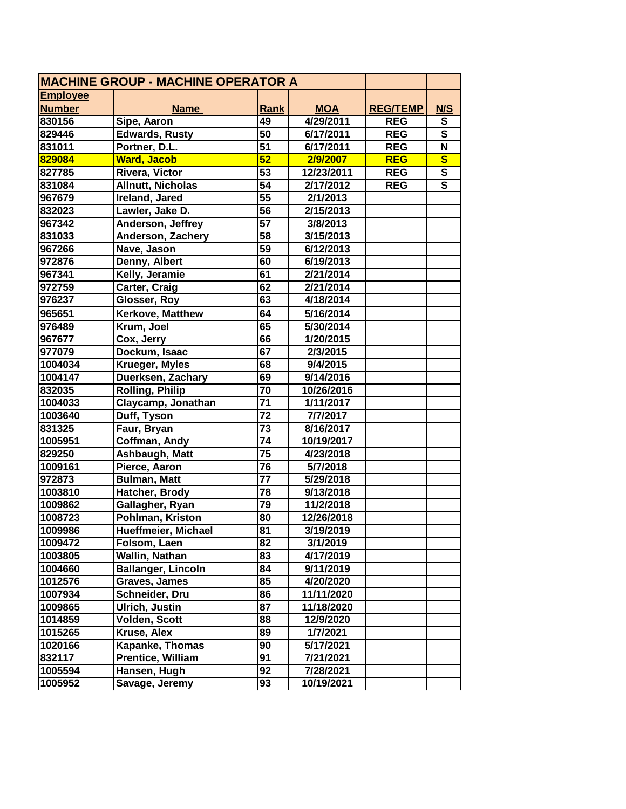| <b>MACHINE GROUP - MACHINE OPERATOR A</b> |                           |                 |            |                 |                         |
|-------------------------------------------|---------------------------|-----------------|------------|-----------------|-------------------------|
| <b>Employee</b>                           |                           |                 |            |                 |                         |
| <b>Number</b>                             | <b>Name</b>               | <b>Rank</b>     | <b>MOA</b> | <b>REG/TEMP</b> | N/S                     |
| 830156                                    | Sipe, Aaron               | 49              | 4/29/2011  | <b>REG</b>      | S                       |
| 829446                                    | <b>Edwards, Rusty</b>     | 50              | 6/17/2011  | <b>REG</b>      | S                       |
| 831011                                    | Portner, D.L.             | 51              | 6/17/2011  | <b>REG</b>      | $\overline{\mathsf{N}}$ |
| 829084                                    | <b>Ward, Jacob</b>        | 52              | 2/9/2007   | <b>REG</b>      | $\overline{\mathbf{s}}$ |
| 827785                                    | Rivera, Victor            | 53              | 12/23/2011 | <b>REG</b>      | S                       |
| 831084                                    | <b>Allnutt, Nicholas</b>  | $\overline{54}$ | 2/17/2012  | <b>REG</b>      | $\overline{\mathbf{s}}$ |
| 967679                                    | Ireland, Jared            | $\overline{55}$ | 2/1/2013   |                 |                         |
| 832023                                    | Lawler, Jake D.           | 56              | 2/15/2013  |                 |                         |
| 967342                                    | Anderson, Jeffrey         | $\overline{57}$ | 3/8/2013   |                 |                         |
| 831033                                    | Anderson, Zachery         | 58              | 3/15/2013  |                 |                         |
| 967266                                    | Nave, Jason               | 59              | 6/12/2013  |                 |                         |
| 972876                                    | Denny, Albert             | 60              | 6/19/2013  |                 |                         |
| 967341                                    | Kelly, Jeramie            | 61              | 2/21/2014  |                 |                         |
| 972759                                    | Carter, Craig             | 62              | 2/21/2014  |                 |                         |
| 976237                                    | Glosser, Roy              | 63              | 4/18/2014  |                 |                         |
| 965651                                    | Kerkove, Matthew          | 64              | 5/16/2014  |                 |                         |
| 976489                                    | Krum, Joel                | 65              | 5/30/2014  |                 |                         |
| 967677                                    | Cox, Jerry                | 66              | 1/20/2015  |                 |                         |
| 977079                                    | Dockum, Isaac             | 67              | 2/3/2015   |                 |                         |
| 1004034                                   | Krueger, Myles            | 68              | 9/4/2015   |                 |                         |
| 1004147                                   | Duerksen, Zachary         | 69              | 9/14/2016  |                 |                         |
| 832035                                    | <b>Rolling, Philip</b>    | 70              | 10/26/2016 |                 |                         |
| 1004033                                   | Claycamp, Jonathan        | 71              | 1/11/2017  |                 |                         |
| 1003640                                   | Duff, Tyson               | 72              | 7/7/2017   |                 |                         |
| 831325                                    | Faur, Bryan               | 73              | 8/16/2017  |                 |                         |
| 1005951                                   | Coffman, Andy             | 74              | 10/19/2017 |                 |                         |
| 829250                                    | Ashbaugh, Matt            | 75              | 4/23/2018  |                 |                         |
| 1009161                                   | Pierce, Aaron             | 76              | 5/7/2018   |                 |                         |
| 972873                                    | <b>Bulman, Matt</b>       | 77              | 5/29/2018  |                 |                         |
| 1003810                                   | Hatcher, Brody            | 78              | 9/13/2018  |                 |                         |
| 1009862                                   | Gallagher, Ryan           | 79              | 11/2/2018  |                 |                         |
| 1008723                                   | Pohlman, Kriston          | $\overline{80}$ | 12/26/2018 |                 |                         |
| 1009986                                   | Hueffmeier, Michael       | 81              | 3/19/2019  |                 |                         |
| 1009472                                   | Folsom, Laen              | 82              | 3/1/2019   |                 |                         |
| 1003805                                   | Wallin, Nathan            | 83              | 4/17/2019  |                 |                         |
| 1004660                                   | <b>Ballanger, Lincoln</b> | 84              | 9/11/2019  |                 |                         |
| 1012576                                   | <b>Graves, James</b>      | 85              | 4/20/2020  |                 |                         |
| 1007934                                   | Schneider, Dru            | 86              | 11/11/2020 |                 |                         |
| 1009865                                   | Ulrich, Justin            | 87              | 11/18/2020 |                 |                         |
| 1014859                                   | Volden, Scott             | 88              | 12/9/2020  |                 |                         |
| 1015265                                   | Kruse, Alex               | 89              | 1/7/2021   |                 |                         |
| 1020166                                   | Kapanke, Thomas           | 90              | 5/17/2021  |                 |                         |
| 832117                                    | Prentice, William         | 91              | 7/21/2021  |                 |                         |
| 1005594                                   | Hansen, Hugh              | 92              | 7/28/2021  |                 |                         |
| 1005952                                   | Savage, Jeremy            | 93              | 10/19/2021 |                 |                         |
|                                           |                           |                 |            |                 |                         |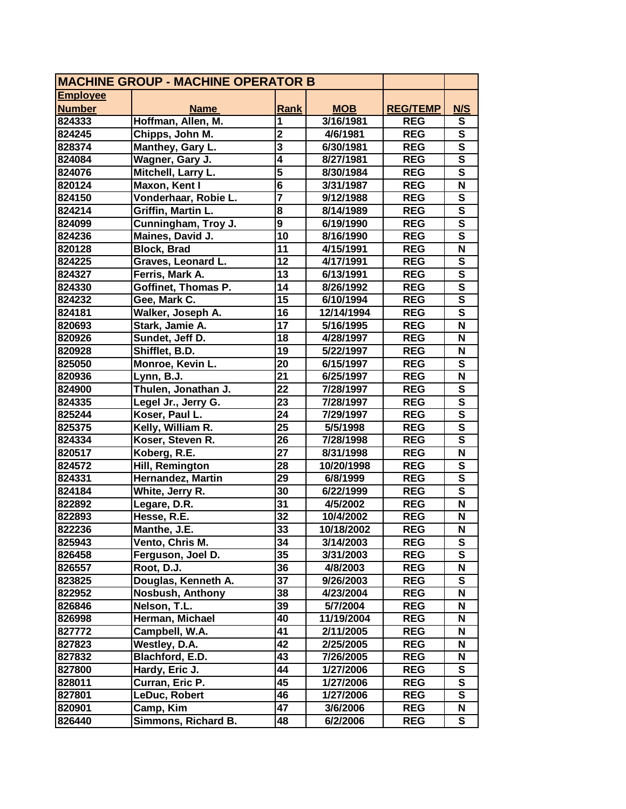| <b>MACHINE GROUP - MACHINE OPERATOR B</b> |                         |                         |            |                 |                         |
|-------------------------------------------|-------------------------|-------------------------|------------|-----------------|-------------------------|
| <b>Employee</b>                           |                         |                         |            |                 |                         |
| <b>Number</b>                             | <b>Name</b>             | Rank                    | <b>MOB</b> | <b>REG/TEMP</b> | N/S                     |
| 824333                                    | Hoffman, Allen, M.      | 1                       | 3/16/1981  | <b>REG</b>      | S                       |
| 824245                                    | Chipps, John M.         | $\overline{2}$          | 4/6/1981   | <b>REG</b>      | $\overline{\mathsf{s}}$ |
| 828374                                    | Manthey, Gary L.        | $\overline{\mathbf{3}}$ | 6/30/1981  | <b>REG</b>      | $\overline{\mathsf{s}}$ |
| 824084                                    | Wagner, Gary J.         | $\overline{\mathbf{4}}$ | 8/27/1981  | <b>REG</b>      | $\overline{\mathsf{s}}$ |
| 824076                                    | Mitchell, Larry L.      | $\overline{\mathbf{5}}$ | 8/30/1984  | <b>REG</b>      | $\overline{\mathsf{s}}$ |
| 820124                                    | Maxon, Kent I           | 6                       | 3/31/1987  | <b>REG</b>      | N                       |
| 824150                                    | Vonderhaar, Robie L.    | $\overline{\mathbf{7}}$ | 9/12/1988  | <b>REG</b>      | S                       |
| 824214                                    | Griffin, Martin L.      | 8                       | 8/14/1989  | <b>REG</b>      | $\mathbf s$             |
| 824099                                    | Cunningham, Troy J.     | $\overline{9}$          | 6/19/1990  | <b>REG</b>      | $\overline{\mathsf{s}}$ |
| 824236                                    | Maines, David J.        | 10                      | 8/16/1990  | <b>REG</b>      | $\overline{\mathbf{s}}$ |
| 820128                                    | <b>Block, Brad</b>      | 11                      | 4/15/1991  | <b>REG</b>      | $\overline{\mathsf{N}}$ |
| 824225                                    | Graves, Leonard L.      | 12                      | 4/17/1991  | <b>REG</b>      | $\overline{\mathbf{s}}$ |
| 824327                                    | Ferris, Mark A.         | 13                      | 6/13/1991  | <b>REG</b>      | $\overline{\mathbf{s}}$ |
| 824330                                    | Goffinet, Thomas P.     | 14                      | 8/26/1992  | <b>REG</b>      | $\overline{\mathsf{s}}$ |
| 824232                                    | Gee, Mark C.            | 15                      | 6/10/1994  | <b>REG</b>      | $\overline{\mathbf{s}}$ |
| 824181                                    | Walker, Joseph A.       | 16                      | 12/14/1994 | <b>REG</b>      | $\overline{\mathsf{s}}$ |
| 820693                                    | Stark, Jamie A.         | 17                      | 5/16/1995  | <b>REG</b>      | N                       |
| 820926                                    | Sundet, Jeff D.         | 18                      | 4/28/1997  | <b>REG</b>      | N                       |
| 820928                                    | Shifflet, B.D.          | 19                      | 5/22/1997  | <b>REG</b>      | N                       |
| 825050                                    | Monroe, Kevin L.        | 20                      | 6/15/1997  | <b>REG</b>      | S                       |
| 820936                                    | Lynn, B.J.              | 21                      | 6/25/1997  | <b>REG</b>      | N                       |
| 824900                                    | Thulen, Jonathan J.     | 22                      | 7/28/1997  | <b>REG</b>      | S                       |
| 824335                                    | Legel Jr., Jerry G.     | 23                      | 7/28/1997  | <b>REG</b>      | $\overline{\mathbf{s}}$ |
| 825244                                    | Koser, Paul L.          | 24                      | 7/29/1997  | <b>REG</b>      | $\overline{\mathbf{s}}$ |
| 825375                                    | Kelly, William R.       | $\overline{25}$         | 5/5/1998   | <b>REG</b>      | $\overline{\mathsf{s}}$ |
| 824334                                    | Koser, Steven R.        | 26                      | 7/28/1998  | <b>REG</b>      | S                       |
| 820517                                    | Koberg, R.E.            | 27                      | 8/31/1998  | <b>REG</b>      | $\overline{\mathsf{N}}$ |
| 824572                                    | Hill, Remington         | 28                      | 10/20/1998 | <b>REG</b>      | $\overline{\mathsf{s}}$ |
| 824331                                    | Hernandez, Martin       | 29                      | 6/8/1999   | <b>REG</b>      | $\overline{\mathsf{s}}$ |
| 824184                                    | White, Jerry R.         | 30                      | 6/22/1999  | <b>REG</b>      | $\overline{\mathsf{s}}$ |
| 822892                                    | Legare, D.R.            | 31                      | 4/5/2002   | <b>REG</b>      | N                       |
| 822893                                    | Hesse, R.E.             | 32                      | 10/4/2002  | <b>REG</b>      | N                       |
| 822236                                    | Manthe, J.E.            | 33                      | 10/18/2002 | <b>REG</b>      | $\overline{\mathsf{N}}$ |
| 825943                                    | Vento, Chris M.         | 34                      | 3/14/2003  | <b>REG</b>      | ${\bf S}$               |
| 826458                                    | Ferguson, Joel D.       | 35                      | 3/31/2003  | <b>REG</b>      | S                       |
| 826557                                    | Root, D.J.              | 36                      | 4/8/2003   | <b>REG</b>      | N                       |
| 823825                                    | Douglas, Kenneth A.     | 37                      | 9/26/2003  | <b>REG</b>      | ${\bf S}$               |
| 822952                                    | <b>Nosbush, Anthony</b> | 38                      | 4/23/2004  | <b>REG</b>      | N                       |
| 826846                                    | Nelson, T.L.            | 39                      | 5/7/2004   | <b>REG</b>      | N                       |
| 826998                                    | Herman, Michael         | 40                      | 11/19/2004 | <b>REG</b>      | N                       |
| 827772                                    | Campbell, W.A.          | 41                      | 2/11/2005  | <b>REG</b>      | N                       |
| 827823                                    | Westley, D.A.           | 42                      | 2/25/2005  | <b>REG</b>      | N                       |
| 827832                                    | Blachford, E.D.         | 43                      | 7/26/2005  | <b>REG</b>      | N                       |
| 827800                                    | Hardy, Eric J.          | 44                      | 1/27/2006  | <b>REG</b>      | S                       |
| 828011                                    | Curran, Eric P.         | 45                      | 1/27/2006  | <b>REG</b>      | ${\bf S}$               |
| 827801                                    | LeDuc, Robert           | 46                      | 1/27/2006  | <b>REG</b>      | ${\bf S}$               |
| 820901                                    | Camp, Kim               | 47                      | 3/6/2006   | <b>REG</b>      | N                       |
| 826440                                    | Simmons, Richard B.     | 48                      | 6/2/2006   | <b>REG</b>      | S                       |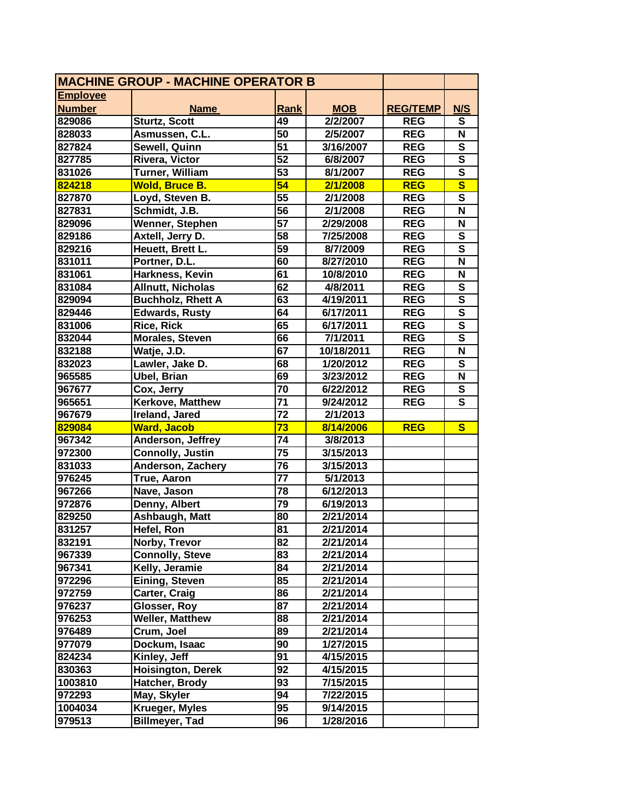| <b>MACHINE GROUP - MACHINE OPERATOR B</b> |                          |                 |            |                 |                         |
|-------------------------------------------|--------------------------|-----------------|------------|-----------------|-------------------------|
| <b>Employee</b>                           |                          |                 |            |                 |                         |
| <b>Number</b>                             | <b>Name</b>              | <b>Rank</b>     | <b>MOB</b> | <b>REG/TEMP</b> | N/S                     |
| 829086                                    | <b>Sturtz, Scott</b>     | 49              | 2/2/2007   | <b>REG</b>      | S                       |
| 828033                                    | Asmussen, C.L.           | $\overline{50}$ | 2/5/2007   | <b>REG</b>      | N                       |
| 827824                                    | Sewell, Quinn            | 51              | 3/16/2007  | <b>REG</b>      | $\overline{\mathbf{s}}$ |
| 827785                                    | Rivera, Victor           | $\overline{52}$ | 6/8/2007   | <b>REG</b>      | $\overline{\mathsf{s}}$ |
| 831026                                    | Turner, William          | $\overline{53}$ | 8/1/2007   | <b>REG</b>      | $\overline{\mathbf{s}}$ |
| 824218                                    | Wold, Bruce B.           | 54              | 2/1/2008   | <b>REG</b>      | $\overline{\mathbf{s}}$ |
| 827870                                    | Loyd, Steven B.          | 55              | 2/1/2008   | <b>REG</b>      | $\overline{\mathbf{s}}$ |
| 827831                                    | Schmidt, J.B.            | 56              | 2/1/2008   | <b>REG</b>      | N                       |
| 829096                                    | <b>Wenner, Stephen</b>   | 57              | 2/29/2008  | <b>REG</b>      | N                       |
| 829186                                    | Axtell, Jerry D.         | 58              | 7/25/2008  | <b>REG</b>      | $\overline{\mathbf{s}}$ |
| 829216                                    | Heuett, Brett L.         | $\overline{59}$ | 8/7/2009   | <b>REG</b>      | $\overline{\mathbf{s}}$ |
| 831011                                    | Portner, D.L.            | 60              | 8/27/2010  | <b>REG</b>      | N                       |
| 831061                                    | Harkness, Kevin          | 61              | 10/8/2010  | <b>REG</b>      | N                       |
| 831084                                    | <b>Allnutt, Nicholas</b> | 62              | 4/8/2011   | <b>REG</b>      | S                       |
| 829094                                    | <b>Buchholz, Rhett A</b> | 63              | 4/19/2011  | <b>REG</b>      | $\overline{\mathbf{s}}$ |
| 829446                                    | Edwards, Rusty           | 64              | 6/17/2011  | <b>REG</b>      | $\overline{\mathsf{s}}$ |
| 831006                                    | <b>Rice, Rick</b>        | 65              | 6/17/2011  | <b>REG</b>      | $\overline{\mathsf{s}}$ |
| 832044                                    | <b>Morales, Steven</b>   | 66              | 7/1/2011   | <b>REG</b>      | $\overline{\mathsf{s}}$ |
| 832188                                    | Watje, J.D.              | 67              | 10/18/2011 | <b>REG</b>      | N                       |
| 832023                                    | Lawler, Jake D.          | 68              | 1/20/2012  | <b>REG</b>      | S                       |
| 965585                                    | <b>Ubel, Brian</b>       | 69              | 3/23/2012  | <b>REG</b>      | N                       |
| 967677                                    | Cox, Jerry               | 70              | 6/22/2012  | <b>REG</b>      | S                       |
| 965651                                    | Kerkove, Matthew         | 71              | 9/24/2012  | <b>REG</b>      | $\overline{\mathbf{s}}$ |
| 967679                                    | Ireland, Jared           | $\overline{72}$ | 2/1/2013   |                 |                         |
| 829084                                    | <b>Ward, Jacob</b>       | $\overline{73}$ | 8/14/2006  | <b>REG</b>      | $\mathbf{s}$            |
| 967342                                    | Anderson, Jeffrey        | 74              | 3/8/2013   |                 |                         |
| 972300                                    | <b>Connolly, Justin</b>  | $\overline{75}$ | 3/15/2013  |                 |                         |
| 831033                                    | Anderson, Zachery        | 76              | 3/15/2013  |                 |                         |
| 976245                                    | True, Aaron              | 77              | 5/1/2013   |                 |                         |
| 967266                                    | Nave, Jason              | 78              | 6/12/2013  |                 |                         |
| 972876                                    | Denny, Albert            | 79              | 6/19/2013  |                 |                         |
| 829250                                    | <b>Ashbaugh, Matt</b>    | 80              | 2/21/2014  |                 |                         |
| 831257                                    | Hefel, Ron               | $\overline{81}$ | 2/21/2014  |                 |                         |
| 832191                                    | Norby, Trevor            | 82              | 2/21/2014  |                 |                         |
| 967339                                    | <b>Connolly, Steve</b>   | 83              | 2/21/2014  |                 |                         |
| 967341                                    | Kelly, Jeramie           | 84              | 2/21/2014  |                 |                         |
| 972296                                    | Eining, Steven           | 85              | 2/21/2014  |                 |                         |
| 972759                                    | Carter, Craig            | 86              | 2/21/2014  |                 |                         |
| 976237                                    | Glosser, Roy             | 87              | 2/21/2014  |                 |                         |
| 976253                                    | <b>Weller, Matthew</b>   | 88              | 2/21/2014  |                 |                         |
| 976489                                    | Crum, Joel               | 89              | 2/21/2014  |                 |                         |
| 977079                                    | Dockum, Isaac            | 90              | 1/27/2015  |                 |                         |
| 824234                                    | Kinley, Jeff             | 91              | 4/15/2015  |                 |                         |
| 830363                                    | <b>Hoisington, Derek</b> | 92              | 4/15/2015  |                 |                         |
| 1003810                                   | Hatcher, Brody           | 93              | 7/15/2015  |                 |                         |
| 972293                                    | May, Skyler              | 94              | 7/22/2015  |                 |                         |
| 1004034                                   | Krueger, Myles           | 95              | 9/14/2015  |                 |                         |
| 979513                                    | <b>Billmeyer, Tad</b>    | 96              | 1/28/2016  |                 |                         |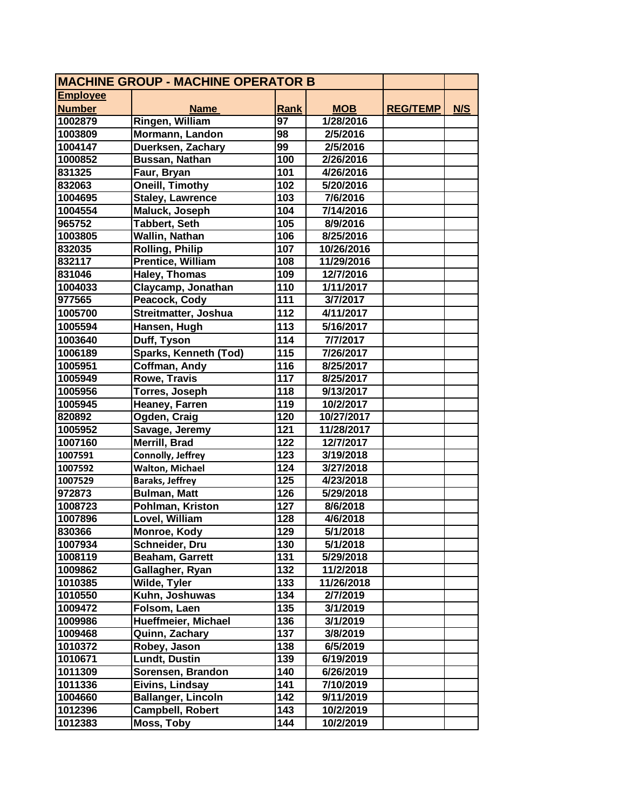| <b>MACHINE GROUP - MACHINE OPERATOR B</b> |                           |             |            |                 |     |
|-------------------------------------------|---------------------------|-------------|------------|-----------------|-----|
| <b>Employee</b>                           |                           |             |            |                 |     |
| <b>Number</b>                             | <b>Name</b>               | <b>Rank</b> | <b>MOB</b> | <b>REG/TEMP</b> | N/S |
| 1002879                                   | Ringen, William           | 97          | 1/28/2016  |                 |     |
| 1003809                                   | Mormann, Landon           | 98          | 2/5/2016   |                 |     |
| 1004147                                   | Duerksen, Zachary         | 99          | 2/5/2016   |                 |     |
| 1000852                                   | Bussan, Nathan            | 100         | 2/26/2016  |                 |     |
| 831325                                    | Faur, Bryan               | 101         | 4/26/2016  |                 |     |
| 832063                                    | <b>Oneill, Timothy</b>    | 102         | 5/20/2016  |                 |     |
| 1004695                                   | <b>Staley, Lawrence</b>   | 103         | 7/6/2016   |                 |     |
| 1004554                                   | Maluck, Joseph            | 104         | 7/14/2016  |                 |     |
| 965752                                    | Tabbert, Seth             | 105         | 8/9/2016   |                 |     |
| 1003805                                   | Wallin, Nathan            | 106         | 8/25/2016  |                 |     |
| 832035                                    | <b>Rolling, Philip</b>    | 107         | 10/26/2016 |                 |     |
| 832117                                    | Prentice, William         | 108         | 11/29/2016 |                 |     |
| 831046                                    | Haley, Thomas             | 109         | 12/7/2016  |                 |     |
| 1004033                                   | Claycamp, Jonathan        | 110         | 1/11/2017  |                 |     |
| 977565                                    | Peacock, Cody             | 111         | 3/7/2017   |                 |     |
| 1005700                                   | Streitmatter, Joshua      | 112         | 4/11/2017  |                 |     |
| 1005594                                   | Hansen, Hugh              | 113         | 5/16/2017  |                 |     |
| 1003640                                   | Duff, Tyson               | 114         | 7/7/2017   |                 |     |
| 1006189                                   | Sparks, Kenneth (Tod)     | 115         | 7/26/2017  |                 |     |
| 1005951                                   | <b>Coffman, Andy</b>      | 116         | 8/25/2017  |                 |     |
| 1005949                                   | <b>Rowe, Travis</b>       | 117         | 8/25/2017  |                 |     |
| 1005956                                   | Torres, Joseph            | 118         | 9/13/2017  |                 |     |
| 1005945                                   | <b>Heaney, Farren</b>     | 119         | 10/2/2017  |                 |     |
| 820892                                    | Ogden, Craig              | 120         | 10/27/2017 |                 |     |
| 1005952                                   | Savage, Jeremy            | 121         | 11/28/2017 |                 |     |
| 1007160                                   | Merrill, Brad             | 122         | 12/7/2017  |                 |     |
| 1007591                                   | Connolly, Jeffrey         | 123         | 3/19/2018  |                 |     |
| 1007592                                   | <b>Walton, Michael</b>    | 124         | 3/27/2018  |                 |     |
| 1007529                                   | <b>Baraks, Jeffrey</b>    | 125         | 4/23/2018  |                 |     |
| 972873                                    | <b>Bulman, Matt</b>       | 126         | 5/29/2018  |                 |     |
| 1008723                                   | Pohlman, Kriston          | 127         | 8/6/2018   |                 |     |
| 1007896                                   | Lovel, William            | 128         | 4/6/2018   |                 |     |
| 830366                                    | Monroe, Kody              | 129         | 5/1/2018   |                 |     |
| 1007934                                   | Schneider, Dru            | 130         | 5/1/2018   |                 |     |
| 1008119                                   | Beaham, Garrett           | 131         | 5/29/2018  |                 |     |
| 1009862                                   | Gallagher, Ryan           | 132         | 11/2/2018  |                 |     |
| 1010385                                   | Wilde, Tyler              | 133         | 11/26/2018 |                 |     |
| 1010550                                   | Kuhn, Joshuwas            | 134         | 2/7/2019   |                 |     |
| 1009472                                   | Folsom, Laen              | 135         | 3/1/2019   |                 |     |
| 1009986                                   | Hueffmeier, Michael       | 136         | 3/1/2019   |                 |     |
| 1009468                                   | Quinn, Zachary            | 137         | 3/8/2019   |                 |     |
| 1010372                                   | Robey, Jason              | 138         | 6/5/2019   |                 |     |
| 1010671                                   | <b>Lundt, Dustin</b>      | 139         | 6/19/2019  |                 |     |
| 1011309                                   | Sorensen, Brandon         | 140         | 6/26/2019  |                 |     |
| 1011336                                   | Eivins, Lindsay           | 141         | 7/10/2019  |                 |     |
| 1004660                                   | <b>Ballanger, Lincoln</b> | 142         | 9/11/2019  |                 |     |
| 1012396                                   | Campbell, Robert          | 143         | 10/2/2019  |                 |     |
| 1012383                                   | Moss, Toby                | 144         | 10/2/2019  |                 |     |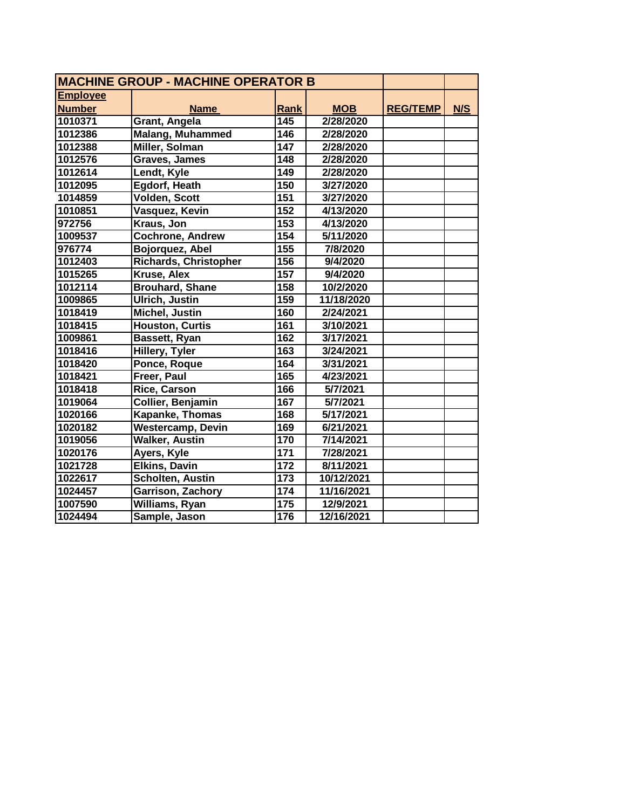| <b>MACHINE GROUP - MACHINE OPERATOR B</b> |                              |                  |            |                 |     |  |
|-------------------------------------------|------------------------------|------------------|------------|-----------------|-----|--|
| <b>Employee</b>                           |                              |                  |            |                 |     |  |
| <b>Number</b>                             | <b>Name</b>                  | <b>Rank</b>      | <b>MOB</b> | <b>REG/TEMP</b> | N/S |  |
| 1010371                                   | Grant, Angela                | $\overline{145}$ | 2/28/2020  |                 |     |  |
| 1012386                                   | Malang, Muhammed             | 146              | 2/28/2020  |                 |     |  |
| 1012388                                   | Miller, Solman               | 147              | 2/28/2020  |                 |     |  |
| 1012576                                   | Graves, James                | 148              | 2/28/2020  |                 |     |  |
| 1012614                                   | Lendt, Kyle                  | $\overline{149}$ | 2/28/2020  |                 |     |  |
| 1012095                                   | Egdorf, Heath                | 150              | 3/27/2020  |                 |     |  |
| 1014859                                   | <b>Volden, Scott</b>         | 151              | 3/27/2020  |                 |     |  |
| 1010851                                   | Vasquez, Kevin               | 152              | 4/13/2020  |                 |     |  |
| 972756                                    | Kraus, Jon                   | 153              | 4/13/2020  |                 |     |  |
| 1009537                                   | <b>Cochrone, Andrew</b>      | 154              | 5/11/2020  |                 |     |  |
| 976774                                    | Bojorquez, Abel              | 155              | 7/8/2020   |                 |     |  |
| 1012403                                   | <b>Richards, Christopher</b> | 156              | 9/4/2020   |                 |     |  |
| 1015265                                   | Kruse, Alex                  | 157              | 9/4/2020   |                 |     |  |
| 1012114                                   | <b>Brouhard, Shane</b>       | 158              | 10/2/2020  |                 |     |  |
| 1009865                                   | Ulrich, Justin               | 159              | 11/18/2020 |                 |     |  |
| 1018419                                   | <b>Michel, Justin</b>        | 160              | 2/24/2021  |                 |     |  |
| 1018415                                   | <b>Houston, Curtis</b>       | 161              | 3/10/2021  |                 |     |  |
| 1009861                                   | Bassett, Ryan                | 162              | 3/17/2021  |                 |     |  |
| 1018416                                   | <b>Hillery, Tyler</b>        | 163              | 3/24/2021  |                 |     |  |
| 1018420                                   | Ponce, Roque                 | 164              | 3/31/2021  |                 |     |  |
| 1018421                                   | Freer, Paul                  | 165              | 4/23/2021  |                 |     |  |
| 1018418                                   | Rice, Carson                 | 166              | 5/7/2021   |                 |     |  |
| 1019064                                   | Collier, Benjamin            | 167              | 5/7/2021   |                 |     |  |
| 1020166                                   | Kapanke, Thomas              | 168              | 5/17/2021  |                 |     |  |
| 1020182                                   | <b>Westercamp, Devin</b>     | 169              | 6/21/2021  |                 |     |  |
| 1019056                                   | <b>Walker, Austin</b>        | 170              | 7/14/2021  |                 |     |  |
| 1020176                                   | Ayers, Kyle                  | 171              | 7/28/2021  |                 |     |  |
| 1021728                                   | <b>Elkins, Davin</b>         | 172              | 8/11/2021  |                 |     |  |
| 1022617                                   | Scholten, Austin             | 173              | 10/12/2021 |                 |     |  |
| 1024457                                   | Garrison, Zachory            | 174              | 11/16/2021 |                 |     |  |
| 1007590                                   | Williams, Ryan               | 175              | 12/9/2021  |                 |     |  |
| 1024494                                   | Sample, Jason                | 176              | 12/16/2021 |                 |     |  |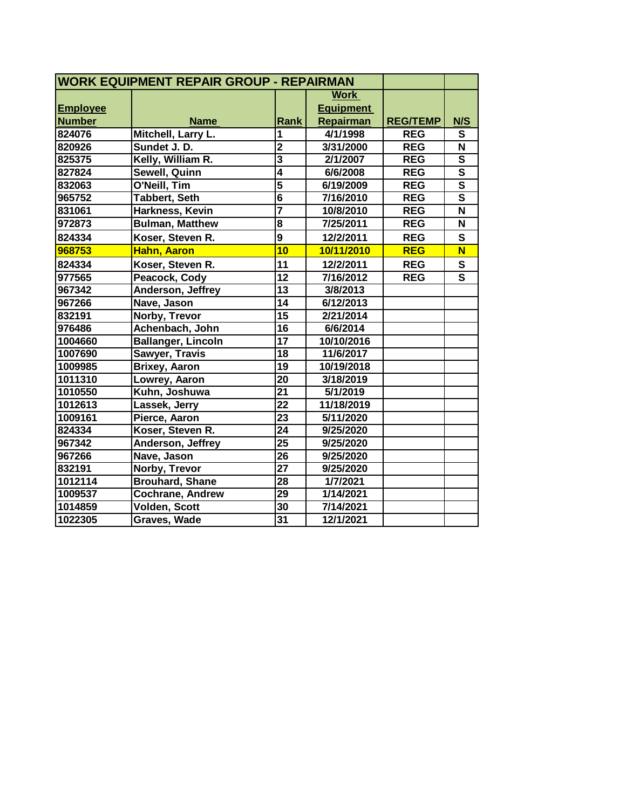| <b>WORK EQUIPMENT REPAIR GROUP - REPAIRMAN</b> |                           |                         |                  |                 |                         |
|------------------------------------------------|---------------------------|-------------------------|------------------|-----------------|-------------------------|
|                                                |                           |                         | <b>Work</b>      |                 |                         |
| <b>Employee</b>                                |                           |                         | <b>Equipment</b> |                 |                         |
| <b>Number</b>                                  | <b>Name</b>               | Rank                    | Repairman        | <b>REG/TEMP</b> | N/S                     |
| 824076                                         | Mitchell, Larry L.        | 1                       | 4/1/1998         | <b>REG</b>      | S                       |
| 820926                                         | Sundet J. D.              | $\overline{2}$          | 3/31/2000        | <b>REG</b>      | $\overline{\mathsf{N}}$ |
| 825375                                         | Kelly, William R.         | $\overline{\mathbf{3}}$ | 2/1/2007         | <b>REG</b>      | $\overline{\mathbf{s}}$ |
| 827824                                         | Sewell, Quinn             | $\overline{4}$          | 6/6/2008         | <b>REG</b>      | $\overline{\mathsf{s}}$ |
| 832063                                         | O'Neill, Tim              | $\overline{5}$          | 6/19/2009        | <b>REG</b>      | $\overline{\mathsf{s}}$ |
| 965752                                         | <b>Tabbert, Seth</b>      | $\overline{\mathbf{6}}$ | 7/16/2010        | <b>REG</b>      | $\overline{\mathsf{s}}$ |
| 831061                                         | Harkness, Kevin           |                         | 10/8/2010        | <b>REG</b>      | N                       |
| 972873                                         | <b>Bulman, Matthew</b>    | $\overline{\mathbf{8}}$ | 7/25/2011        | <b>REG</b>      | N                       |
| 824334                                         | Koser, Steven R.          | $\overline{9}$          | 12/2/2011        | <b>REG</b>      | $\mathbf{s}$            |
| 968753                                         | Hahn, Aaron               | 10                      | 10/11/2010       | <b>REG</b>      | $\overline{\mathsf{N}}$ |
| 824334                                         | Koser, Steven R.          | 11                      | 12/2/2011        | <b>REG</b>      | S                       |
| 977565                                         | Peacock, Cody             | $\overline{12}$         | 7/16/2012        | <b>REG</b>      | $\overline{\mathsf{s}}$ |
| 967342                                         | Anderson, Jeffrey         | $\overline{13}$         | 3/8/2013         |                 |                         |
| 967266                                         | Nave, Jason               | 14                      | 6/12/2013        |                 |                         |
| 832191                                         | Norby, Trevor             | $\overline{15}$         | 2/21/2014        |                 |                         |
| 976486                                         | Achenbach, John           | 16                      | 6/6/2014         |                 |                         |
| 1004660                                        | <b>Ballanger, Lincoln</b> | 17                      | 10/10/2016       |                 |                         |
| 1007690                                        | Sawyer, Travis            | 18                      | 11/6/2017        |                 |                         |
| 1009985                                        | <b>Brixey, Aaron</b>      | 19                      | 10/19/2018       |                 |                         |
| 1011310                                        | Lowrey, Aaron             | 20                      | 3/18/2019        |                 |                         |
| 1010550                                        | Kuhn, Joshuwa             | $\overline{21}$         | 5/1/2019         |                 |                         |
| 1012613                                        | Lassek, Jerry             | 22                      | 11/18/2019       |                 |                         |
| 1009161                                        | Pierce, Aaron             | $\overline{23}$         | 5/11/2020        |                 |                         |
| 824334                                         | Koser, Steven R.          | $\overline{24}$         | 9/25/2020        |                 |                         |
| 967342                                         | Anderson, Jeffrey         | $\overline{25}$         | 9/25/2020        |                 |                         |
| 967266                                         | Nave, Jason               | 26                      | 9/25/2020        |                 |                         |
| 832191                                         | Norby, Trevor             | $\overline{27}$         | 9/25/2020        |                 |                         |
| 1012114                                        | <b>Brouhard, Shane</b>    | 28                      | 1/7/2021         |                 |                         |
| 1009537                                        | Cochrane, Andrew          | 29                      | 1/14/2021        |                 |                         |
| 1014859                                        | Volden, Scott             | 30                      | 7/14/2021        |                 |                         |
| 1022305                                        | Graves, Wade              | 31                      | 12/1/2021        |                 |                         |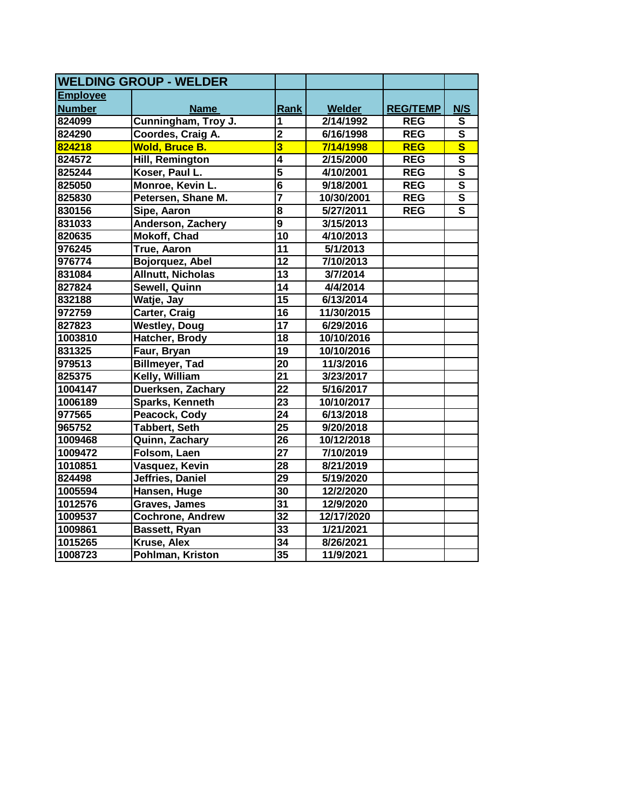| <b>WELDING GROUP - WELDER</b> |                          |                         |            |                 |                         |
|-------------------------------|--------------------------|-------------------------|------------|-----------------|-------------------------|
| <b>Employee</b>               |                          |                         |            |                 |                         |
| <b>Number</b>                 | <b>Name</b>              | Rank                    | Welder     | <b>REG/TEMP</b> | N/S                     |
| 824099                        | Cunningham, Troy J.      | 1                       | 2/14/1992  | <b>REG</b>      | S                       |
| 824290                        | Coordes, Craig A.        | $\overline{2}$          | 6/16/1998  | <b>REG</b>      | $\mathbf{s}$            |
| 824218                        | <b>Wold, Bruce B.</b>    | $\overline{\mathbf{3}}$ | 7/14/1998  | <b>REG</b>      | $\overline{\mathbf{s}}$ |
| 824572                        | Hill, Remington          | $\overline{\mathbf{4}}$ | 2/15/2000  | <b>REG</b>      | $\overline{\mathbf{s}}$ |
| 825244                        | Koser, Paul L.           | $\overline{5}$          | 4/10/2001  | <b>REG</b>      | $\overline{\mathsf{s}}$ |
| 825050                        | Monroe, Kevin L.         | $\overline{\mathbf{6}}$ | 9/18/2001  | <b>REG</b>      | $\overline{\mathsf{s}}$ |
| 825830                        | Petersen, Shane M.       |                         | 10/30/2001 | <b>REG</b>      | $\overline{\mathsf{s}}$ |
| 830156                        | Sipe, Aaron              | 8                       | 5/27/2011  | <b>REG</b>      | $\overline{\mathbf{s}}$ |
| 831033                        | Anderson, Zachery        | $\overline{9}$          | 3/15/2013  |                 |                         |
| 820635                        | Mokoff, Chad             | $\overline{10}$         | 4/10/2013  |                 |                         |
| 976245                        | True, Aaron              | $\overline{11}$         | 5/1/2013   |                 |                         |
| 976774                        | Bojorquez, Abel          | $\overline{12}$         | 7/10/2013  |                 |                         |
| 831084                        | <b>Allnutt, Nicholas</b> | $\overline{13}$         | 3/7/2014   |                 |                         |
| 827824                        | Sewell, Quinn            | $\overline{14}$         | 4/4/2014   |                 |                         |
| 832188                        | Watje, Jay               | $\overline{15}$         | 6/13/2014  |                 |                         |
| 972759                        | Carter, Craig            | 16                      | 11/30/2015 |                 |                         |
| 827823                        | <b>Westley, Doug</b>     | 17                      | 6/29/2016  |                 |                         |
| 1003810                       | Hatcher, Brody           | 18                      | 10/10/2016 |                 |                         |
| 831325                        | Faur, Bryan              | 19                      | 10/10/2016 |                 |                         |
| 979513                        | <b>Billmeyer, Tad</b>    | $\overline{20}$         | 11/3/2016  |                 |                         |
| 825375                        | Kelly, William           | $\overline{21}$         | 3/23/2017  |                 |                         |
| 1004147                       | Duerksen, Zachary        | 22                      | 5/16/2017  |                 |                         |
| 1006189                       | <b>Sparks, Kenneth</b>   | $\overline{23}$         | 10/10/2017 |                 |                         |
| 977565                        | Peacock, Cody            | 24                      | 6/13/2018  |                 |                         |
| 965752                        | <b>Tabbert, Seth</b>     | $\overline{25}$         | 9/20/2018  |                 |                         |
| 1009468                       | Quinn, Zachary           | 26                      | 10/12/2018 |                 |                         |
| 1009472                       | Folsom, Laen             | 27                      | 7/10/2019  |                 |                         |
| 1010851                       | Vasquez, Kevin           | 28                      | 8/21/2019  |                 |                         |
| 824498                        | Jeffries, Daniel         | $\overline{29}$         | 5/19/2020  |                 |                         |
| 1005594                       | Hansen, Huge             | $\overline{30}$         | 12/2/2020  |                 |                         |
| 1012576                       | Graves, James            | $\overline{31}$         | 12/9/2020  |                 |                         |
| 1009537                       | <b>Cochrone, Andrew</b>  | $\overline{32}$         | 12/17/2020 |                 |                         |
| 1009861                       | <b>Bassett, Ryan</b>     | 33                      | 1/21/2021  |                 |                         |
| 1015265                       | <b>Kruse, Alex</b>       | 34                      | 8/26/2021  |                 |                         |
| 1008723                       | <b>Pohlman, Kriston</b>  | $\overline{35}$         | 11/9/2021  |                 |                         |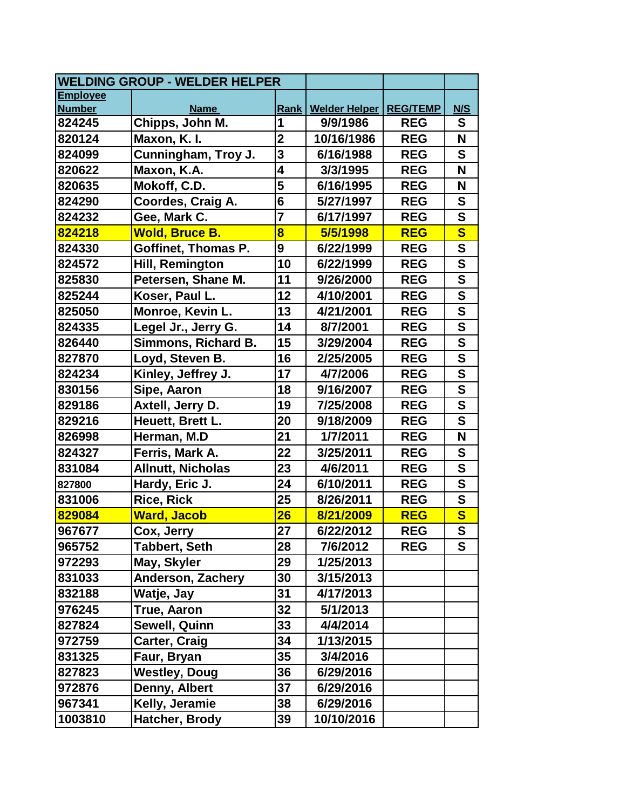| <b>WELDING GROUP - WELDER HELPER</b> |                            |                         |                      |                 |                         |
|--------------------------------------|----------------------------|-------------------------|----------------------|-----------------|-------------------------|
| <b>Employee</b>                      |                            |                         |                      |                 |                         |
| <b>Number</b>                        | <b>Name</b>                | Rank                    | <b>Welder Helper</b> | <b>REG/TEMP</b> | N/S                     |
| 824245                               | Chipps, John M.            | 1                       | 9/9/1986             | <b>REG</b>      | S                       |
| 820124                               | Maxon, K. I.               | $\mathbf{2}$            | 10/16/1986           | <b>REG</b>      | N                       |
| 824099                               | Cunningham, Troy J.        | 3                       | 6/16/1988            | <b>REG</b>      | S                       |
| 820622                               | Maxon, K.A.                | 4                       | 3/3/1995             | <b>REG</b>      | N                       |
| 820635                               | Mokoff, C.D.               | 5                       | 6/16/1995            | <b>REG</b>      | N                       |
| 824290                               | Coordes, Craig A.          | 6                       | 5/27/1997            | <b>REG</b>      | S                       |
| 824232                               | Gee, Mark C.               | $\overline{7}$          | 6/17/1997            | <b>REG</b>      | $\mathbf S$             |
| 824218                               | <b>Wold, Bruce B.</b>      | $\overline{\mathbf{8}}$ | 5/5/1998             | <b>REG</b>      | $\overline{\mathbf{s}}$ |
| 824330                               | Goffinet, Thomas P.        | 9                       | 6/22/1999            | <b>REG</b>      | $\mathbf S$             |
| 824572                               | Hill, Remington            | 10                      | 6/22/1999            | <b>REG</b>      | $\mathbf S$             |
| 825830                               | Petersen, Shane M.         | 11                      | 9/26/2000            | <b>REG</b>      | $\mathbf S$             |
| 825244                               | Koser, Paul L.             | 12                      | 4/10/2001            | <b>REG</b>      | $\mathbf S$             |
| 825050                               | Monroe, Kevin L.           | 13                      | 4/21/2001            | <b>REG</b>      | $\mathbf S$             |
| 824335                               | Legel Jr., Jerry G.        | 14                      | 8/7/2001             | <b>REG</b>      | $\mathbf S$             |
| 826440                               | <b>Simmons, Richard B.</b> | 15                      | 3/29/2004            | <b>REG</b>      | $\mathbf S$             |
| 827870                               | Loyd, Steven B.            | 16                      | 2/25/2005            | <b>REG</b>      | $\mathbf S$             |
| 824234                               | Kinley, Jeffrey J.         | 17                      | 4/7/2006             | <b>REG</b>      | $\mathbf S$             |
| 830156                               | Sipe, Aaron                | 18                      | 9/16/2007            | <b>REG</b>      | $\mathbf S$             |
| 829186                               | Axtell, Jerry D.           | 19                      | 7/25/2008            | <b>REG</b>      | $\mathbf S$             |
| 829216                               | Heuett, Brett L.           | 20                      | 9/18/2009            | <b>REG</b>      | $\mathbf S$             |
| 826998                               | Herman, M.D                | 21                      | 1/7/2011             | <b>REG</b>      | N                       |
| 824327                               | Ferris, Mark A.            | 22                      | 3/25/2011            | <b>REG</b>      | S                       |
| 831084                               | <b>Allnutt, Nicholas</b>   | 23                      | 4/6/2011             | <b>REG</b>      | $\mathbf S$             |
| 827800                               | Hardy, Eric J.             | 24                      | 6/10/2011            | <b>REG</b>      | $\mathbf S$             |
| 831006                               | <b>Rice, Rick</b>          | 25                      | 8/26/2011            | <b>REG</b>      | $\mathbf S$             |
| 829084                               | <b>Ward, Jacob</b>         | 26                      | 8/21/2009            | <b>REG</b>      | $\overline{\mathbf{s}}$ |
| 967677                               | Cox, Jerry                 | $2\overline{7}$         | 6/22/2012            | <b>REG</b>      | $\overline{\mathbf{s}}$ |
| 965752                               | <b>Tabbert, Seth</b>       | 28                      | 7/6/2012             | <b>REG</b>      | S                       |
| 972293                               | May, Skyler                | 29                      | 1/25/2013            |                 |                         |
| 831033                               | <b>Anderson, Zachery</b>   | 30                      | 3/15/2013            |                 |                         |
| 832188                               | Watje, Jay                 | 31                      | 4/17/2013            |                 |                         |
| 976245                               | <b>True, Aaron</b>         | 32                      | 5/1/2013             |                 |                         |
| 827824                               | <b>Sewell, Quinn</b>       | 33                      | 4/4/2014             |                 |                         |
| 972759                               | Carter, Craig              | 34                      | 1/13/2015            |                 |                         |
| 831325                               | Faur, Bryan                | 35                      | 3/4/2016             |                 |                         |
| 827823                               | <b>Westley, Doug</b>       | 36                      | 6/29/2016            |                 |                         |
| 972876                               | Denny, Albert              | 37                      | 6/29/2016            |                 |                         |
| 967341                               | Kelly, Jeramie             | 38                      | 6/29/2016            |                 |                         |
| 1003810                              | Hatcher, Brody             | 39                      | 10/10/2016           |                 |                         |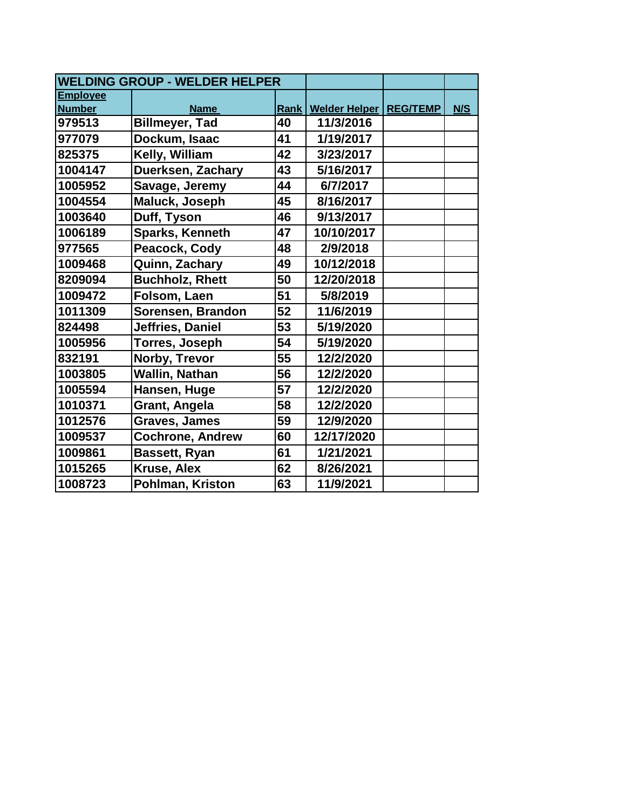| <b>Employee</b> |                         |    |                                 |     |
|-----------------|-------------------------|----|---------------------------------|-----|
| <b>Number</b>   | <b>Name</b>             |    | Rank   Welder Helper   REG/TEMP | N/S |
| 979513          | <b>Billmeyer, Tad</b>   | 40 | 11/3/2016                       |     |
| 977079          | Dockum, Isaac           | 41 | 1/19/2017                       |     |
| 825375          | Kelly, William          | 42 | 3/23/2017                       |     |
| 1004147         | Duerksen, Zachary       | 43 | 5/16/2017                       |     |
| 1005952         | Savage, Jeremy          | 44 | 6/7/2017                        |     |
| 1004554         | Maluck, Joseph          | 45 | 8/16/2017                       |     |
| 1003640         | Duff, Tyson             | 46 | 9/13/2017                       |     |
| 1006189         | <b>Sparks, Kenneth</b>  | 47 | 10/10/2017                      |     |
| 977565          | Peacock, Cody           | 48 | 2/9/2018                        |     |
| 1009468         | Quinn, Zachary          | 49 | 10/12/2018                      |     |
| 8209094         | <b>Buchholz, Rhett</b>  | 50 | 12/20/2018                      |     |
| 1009472         | Folsom, Laen            | 51 | 5/8/2019                        |     |
| 1011309         | Sorensen, Brandon       | 52 | 11/6/2019                       |     |
| 824498          | Jeffries, Daniel        | 53 | 5/19/2020                       |     |
| 1005956         | Torres, Joseph          | 54 | 5/19/2020                       |     |
| 832191          | Norby, Trevor           | 55 | 12/2/2020                       |     |
| 1003805         | <b>Wallin, Nathan</b>   | 56 | 12/2/2020                       |     |
| 1005594         | Hansen, Huge            | 57 | 12/2/2020                       |     |
| 1010371         | Grant, Angela           | 58 | 12/2/2020                       |     |
| 1012576         | <b>Graves, James</b>    | 59 | 12/9/2020                       |     |
| 1009537         | <b>Cochrone, Andrew</b> | 60 | 12/17/2020                      |     |
| 1009861         | <b>Bassett, Ryan</b>    | 61 | 1/21/2021                       |     |
| 1015265         | Kruse, Alex             | 62 | 8/26/2021                       |     |
| 1008723         | Pohlman, Kriston        | 63 | 11/9/2021                       |     |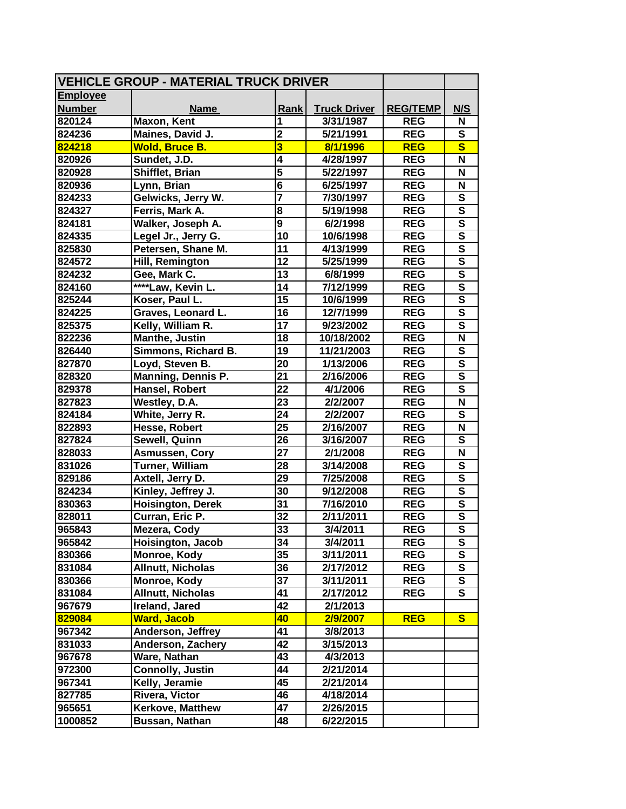| <b>VEHICLE GROUP - MATERIAL TRUCK DRIVER</b> |                          |                         |                     |                 |                         |
|----------------------------------------------|--------------------------|-------------------------|---------------------|-----------------|-------------------------|
| <b>Employee</b>                              |                          |                         |                     |                 |                         |
| <b>Number</b>                                | <b>Name</b>              | <b>Rank</b>             | <b>Truck Driver</b> | <b>REG/TEMP</b> | N/S                     |
| 820124                                       | Maxon, Kent              | 1                       | 3/31/1987           | <b>REG</b>      | N                       |
| 824236                                       | Maines, David J.         | $\overline{2}$          | 5/21/1991           | <b>REG</b>      | $\mathbf{s}$            |
| 824218                                       | Wold, Bruce B.           | 3                       | 8/1/1996            | <b>REG</b>      | $\overline{\mathbf{s}}$ |
| 820926                                       | Sundet, J.D.             | 4                       | 4/28/1997           | <b>REG</b>      | N                       |
| 820928                                       | Shifflet, Brian          | $\overline{\mathbf{5}}$ | 5/22/1997           | <b>REG</b>      | N                       |
| 820936                                       | Lynn, Brian              | $\overline{\mathbf{6}}$ | 6/25/1997           | <b>REG</b>      | N                       |
| 824233                                       | Gelwicks, Jerry W.       | $\overline{\mathbf{7}}$ | 7/30/1997           | <b>REG</b>      | ${\bf S}$               |
| 824327                                       | Ferris, Mark A.          | 8                       | 5/19/1998           | <b>REG</b>      | $\mathbf{s}$            |
| 824181                                       | Walker, Joseph A.        | $\overline{9}$          | 6/2/1998            | <b>REG</b>      | $\overline{\mathbf{s}}$ |
| 824335                                       | Legel Jr., Jerry G.      | 10                      | 10/6/1998           | <b>REG</b>      | $\overline{\mathbf{s}}$ |
| 825830                                       | Petersen, Shane M.       | 11                      | 4/13/1999           | <b>REG</b>      | $\overline{\mathsf{s}}$ |
| 824572                                       | Hill, Remington          | 12                      | 5/25/1999           | <b>REG</b>      | $\overline{\mathbf{s}}$ |
| 824232                                       | Gee, Mark C.             | 13                      | 6/8/1999            | <b>REG</b>      | $\overline{\mathbf{s}}$ |
| 824160                                       | ****Law, Kevin L.        | 14                      | 7/12/1999           | <b>REG</b>      | $\overline{\mathsf{s}}$ |
| 825244                                       | Koser, Paul L.           | 15                      | 10/6/1999           | <b>REG</b>      | $\overline{\mathbf{s}}$ |
| 824225                                       | Graves, Leonard L.       | 16                      | 12/7/1999           | <b>REG</b>      | $\overline{\mathsf{s}}$ |
| 825375                                       | Kelly, William R.        | 17                      | 9/23/2002           | <b>REG</b>      | $\overline{\mathsf{s}}$ |
| 822236                                       | Manthe, Justin           | 18                      | 10/18/2002          | <b>REG</b>      | $\overline{\mathsf{N}}$ |
| 826440                                       | Simmons, Richard B.      | 19                      | 11/21/2003          | <b>REG</b>      | S                       |
| 827870                                       | Loyd, Steven B.          | 20                      | 1/13/2006           | <b>REG</b>      | $\overline{\mathsf{s}}$ |
| 828320                                       | Manning, Dennis P.       | 21                      | 2/16/2006           | <b>REG</b>      | $\overline{\mathsf{s}}$ |
| 829378                                       | Hansel, Robert           | 22                      | 4/1/2006            | <b>REG</b>      | $\mathbf{s}$            |
| 827823                                       | Westley, D.A.            | 23                      | 2/2/2007            | <b>REG</b>      | N                       |
| 824184                                       | White, Jerry R.          | 24                      | 2/2/2007            | <b>REG</b>      | S                       |
| 822893                                       | Hesse, Robert            | $\overline{25}$         | 2/16/2007           | <b>REG</b>      | N                       |
| 827824                                       | Sewell, Quinn            | 26                      | 3/16/2007           | <b>REG</b>      | S                       |
| 828033                                       | <b>Asmussen, Cory</b>    | $\overline{27}$         | 2/1/2008            | <b>REG</b>      | $\overline{\mathsf{N}}$ |
| 831026                                       | Turner, William          | 28                      | 3/14/2008           | <b>REG</b>      | $\overline{\mathbf{s}}$ |
| 829186                                       | Axtell, Jerry D.         | 29                      | 7/25/2008           | <b>REG</b>      | $\overline{\mathsf{s}}$ |
| 824234                                       | Kinley, Jeffrey J.       | 30                      | 9/12/2008           | <b>REG</b>      | $\overline{\mathsf{s}}$ |
| 830363                                       | <b>Hoisington, Derek</b> | 31                      | 7/16/2010           | <b>REG</b>      | $\overline{\mathsf{s}}$ |
| 828011                                       | Curran, Eric P.          | 32                      | 2/11/2011           | <b>REG</b>      | $\overline{\mathsf{s}}$ |
| 965843                                       | Mezera, Cody             | 33                      | 3/4/2011            | <b>REG</b>      | $\overline{\mathsf{s}}$ |
| 965842                                       | Hoisington, Jacob        | 34                      | 3/4/2011            | <b>REG</b>      | S                       |
| 830366                                       | Monroe, Kody             | 35                      | 3/11/2011           | <b>REG</b>      | S                       |
| 831084                                       | <b>Allnutt, Nicholas</b> | 36                      | 2/17/2012           | <b>REG</b>      | S                       |
| 830366                                       | Monroe, Kody             | 37                      | 3/11/2011           | <b>REG</b>      | S                       |
| 831084                                       | <b>Allnutt, Nicholas</b> | 41                      | 2/17/2012           | <b>REG</b>      | $\mathbf{s}$            |
| 967679                                       | Ireland, Jared           | 42                      | 2/1/2013            |                 |                         |
| 829084                                       | <b>Ward, Jacob</b>       | 40                      | 2/9/2007            | <b>REG</b>      | <b>S</b>                |
| 967342                                       | Anderson, Jeffrey        | 41                      | 3/8/2013            |                 |                         |
| 831033                                       | Anderson, Zachery        | 42                      | 3/15/2013           |                 |                         |
| 967678                                       | Ware, Nathan             | 43                      | 4/3/2013            |                 |                         |
| 972300                                       | <b>Connolly, Justin</b>  | 44                      | 2/21/2014           |                 |                         |
| 967341                                       | Kelly, Jeramie           | 45                      | 2/21/2014           |                 |                         |
| 827785                                       | Rivera, Victor           | 46                      | 4/18/2014           |                 |                         |
| 965651                                       | <b>Kerkove, Matthew</b>  | 47                      | 2/26/2015           |                 |                         |
| 1000852                                      | Bussan, Nathan           | 48                      | 6/22/2015           |                 |                         |